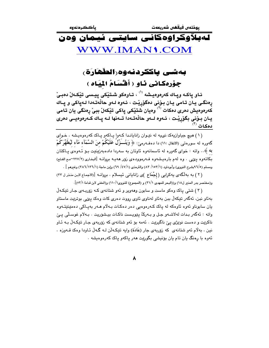# لەبلاّۈكراۋەكانى سايتى ئيمان ۋەن WWW.IMAN1.COM

## بەشى ياككردنەوە الطْھَارَة، جوْرەكانى ئاو ( أَقْسَامُ الْمِيَاه )

ئـاو ياكـه ويـاك كەرەوەيـشە <sup>‹‹›</sup> ، تـاوەكو شـتێكى ييـسى تێكـەلٚ دەبـيّ ړەنگى يان تامى يان بۆنى دەگۆړێت ، ئەوە لـەو حاڵەتـەدا لـەپاكى و پـاك ۔<br>کەرەوەيش دەرى دەكات <sup>(۲)</sup> وەيان شتێكى پاكى تێكەلٚ ببىٚ ڕەنگى يان تامى يـان بـوّنى بگوّرِيْـت ، ئـەوە لــەو حالّەتـەدا تــەنھا لــە پـاك كــەرەوەيــى دەرى

(١) هيچ جياوازيهک نىيه له نيوان زاناياندا كهوا ياكهو ياك كهرهوهيشه ، خواى گەورە <sup>ُر</sup> سورەتى (الانفال :١١) دا دەڧەرمىّ: ﴿ وَيُنُـــَزِّلُ عَلَيْكُمْ مِنَ السَّمَآء مَآء لَيُطَهِّرَكُمْ به ﴾.. واته : خوای گەورە لە ئاسمانەوە ئاوتان بە سەردا دادەبەزینیت بىق ئـەوەی پــاكتان بکاتهوه پێی . وه لهم بارهیشهوه فـهرموودهی زوّر ههیـه بروانـه [البخاری (٢٢٧/٢-مع الفتح) ومسلم (٩٦/٥بشرح النووي) وأبوداود (١٥٣/١/ ٨٣) والترمذي (١/٤٧/ ٦٩) وإبن ماجة (١/٢٦/١٣٦) وغيرهم ] .

(٢) به بهلکهی یهکرایی (إجْمَاع )ی زانایانی ئیسلام ، بروانـه [(الاجماع لابن منذر ل ٣٣) و(مختصر بدر المنير ل١٨) و((البحر للمهدي ٢١/١) و (المجموع) للنووي(١١٠/١) و(المغنى لابن قدامة ٥٢/١)].

( ۳ ) شتی پاک وهکو ماست و سابون وههویر و ئهو شتانهی کـه زۆربـهی جـار تێِکـهڵ بهئاو نبن، ئەگەر تێِکەڵ ببن بەئاو لەناوى ئاوى رووت دەرى کات وەک يێي بوترێت ماستاو يان سابوناو ئەوە ئاوەكە لە ياك كـەرەوەيى دەر دەكـات بـەلام ھـەر بەيـاكى دەمێنێتـەوە واته : ئەگەر بدات لەلاشـەو جىل و بـەركَ يێويىست ناكـات بيـشۆريت . بـەلام غوسـڵى يـێ ناکریت و دهست نویژی یئ ناگیریت . ئهمه بۆ ئەو شتانەی که زۆربەی جـار تیکـەلْ بـه ئـاو نین ، بهلام ئهو شتانهی که زۆربهی جار (عَادَة) وایه تیکهان لـه گـهال ئـاودا وهک قــهوزه ، ئەوە با رەنگ يان تام يان بۆنيشى بگوريت ھەر ياكەو ياك كەرەوەيشە .

 $\lambda$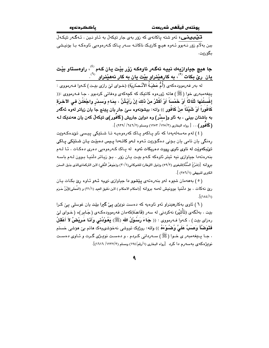ياككردنه وه

.<br>قلی**نیسینی:** ئەو شتە پاكانەي كە زۆر بەي چار تیكەلْ بە ئـاو نـین ، ئـەگـەر تیكـەلْ ببن بهلّام زۆر نـﻪبوو ئـﻪوه هيــچ كارێِـکَ ناکاتــه ســﻪر يـاکَ کـﻪرەوەيى ئاوەکـﻪ بـا بۆنيـشى ىگۆرىت.

جا هي<del>چ</del> جياوازيهك نييه ئهگەر ئاوەكە زۆر بێت يان كەم <sup>(ئ)</sup>، راوەستاو بێت يان ريّ بكات  $^{\text{\tiny{(1)}}}$  به كارهێنراو بێت يان به كار نههێنراو  $^{\text{\tiny{(1)}}}$ .

له بهر فهرموودهكهى (أُمُّ عَطيَةُ الأَنْـصَاريَة) (خـواى ليّ رازى بێـت) كـهوا فـهرمووى : بِيّغهمبهري خوا (ﷺ) هاته ژورهوه کاتيک که کچهکهي وهفاتي کردبوو ، جـا فـهرمووي :(( إِغْسِلْنَهَا ثَلَاثًا ۚ أَوْ خَمْسَاً ۚ أَوْ أَكْثَرُ مِنْ ذَلِكَ إِنْ رَأَيْـٰتُنَّ ، بِمَاءٍ وَسيدْر واجْعَلْنَ في ألآخرَة كَافُوراً أَوْ شَيْئَاً منْ كَافُور ِ﴾) واته: بيشرنهوه سيّ جار يان يتِنج جاً يان زياتر لهوه ئهگهر به باشتان بینی ، به ئاو و(سدْر) وه دواین جاریش (کَافَور)ی تیکهلْ کهن یان ههندیک لـه (كَافُور)... [ رواه البخاري (٢/ ١٢٥/ ١٢٥٣) ومسلم (٦/ ٦٤٦/ / ٩٣٩) ].

( ٤ ) لهم مەسەلەپەدا كە ئاو يـاكەو پـاك كەرەوەيـە تـا شـتێكى پيـسى تێدەكـەوێت رەنگى يان تامى يان بىۆنى دەگۆرپت ئـەوە لـەو كاتـەدا پـيس دەبێت يـان شـتێكى يـاكى تیٌبکهوی٘ت له ناوی ئاوی رووت دهریکات ئهوه له پاک کـهرهوهیی دهری دهکـات ، ئـا لـهم بنهرهتهدا جياوازي نيه ئيتر ئاوهكه كـهم بێت يـان زوّر . بـوّ زيـاتر دلّنيـا بـوون لـهم باسـه بِروانه [(شَرْحُ السُّنَّة)للبغوي (٥٩/٢) و(نيل الاوطار) للشوكاني(٣٠/١) و(جَوهَرُ النَّقي) لابن التركمانىالذي بذيل السنن الكبرى للبيهقي (٢٥٦/١)].

(٥) بهههمان شتوه لهو بنهرهتهى ييشوو دا جياوازى نىيه ئهو ئاوه رئ بكات يان ريّ نه كات ، بوّ دلَّنيا بوونيش له مه بروانه [(احكام الاحكام ) لابن دَقيق العيد (٢١/١) و (المُحَلى)لإبْنُ حَزم  $\int (1\lambda\epsilon/\nu)$ 

( ٦ ) ئاوي بهکارهێنراو ئهو ئاوهيه که دهست نوێژي پيّ گيرا بێت يان غوسلي پيّ کرا بێت ، بهڵگەی (تَأْثيْر) نەكردنى لە سەر (قَاعدَة)كەمان فەرموودەكـەی (جَـابر)ە (خـوای لێ رەزاي بێت) ، كەوا فـەرمووى : (( جَاءَ رَسُوْلُ الله (ﷺ) يَعُوْدُنى وَأَنَا مَرِيْضٌ لاَ أَعْقَلُ فَتَوَضَّأَ وَصَبٍّ عَلَىَّ وُضْمُوْءَهُ )) واته: روژيک تووشی نهخوشىيهک هاتم بیّ هوشی خستم ، جـا يــێغەمبەر ی خـوا (ﷺ) ســەردانی کـردم ، و دەســت نوێـِژی گـرت و ئــاوی دەســت نویژهکهی بهسهرم دا کرد [رواه البخاری (۱/رقم/۱۹٤) ومسلم (۱۲۳۲/۲/ ۱۲۲۱)].

 $\mathbf{a}$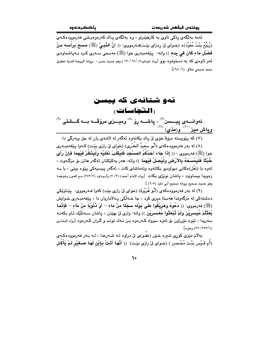.<br>ئەمە بەلگەي ياكى ئاوي بە كارھێنراو ، وە بەلگەي يـاك كەرەوەيىشى فەرموودەكـەي (رُبِّيهُ بِنْتُ مُعَوِّذ)ه (خـواى لىٰ رِهزاى بيْـت)فـهرمووى: (( أنَّ النَّبِـيَّ (ﷺ) مَسَعَ بِرَأْسه منْ فَضْلُ مَاءِ كَانَ في بَده )) واته: ۖ بِيِّغهمبهري خوا (ﷺ) مهسمي سـهري كـرد بـهياشماوهي ئهو ئاوەي كە بە دستيەوە بوو [رواه ابوداود۱( /۹۱ /۹۲۰ ) وهو حديث حسن ، بروانه الروضة الندية تحقيق محمد صبحي حلاق (١/ ٦٨)] .

# ئەو شتانەي كە ييسن (النَّجَاسَاتِ)

ئەوانــــەى پيــــسن $^{\left(\prime\right)}$  ، پاشــــە رۆ $^{\left(\prime\right)}$  وميــــزى مرۆڤـــە بــــە گـــشتى  $^{\left(\prime\right)}$ و**یبا<u>ش میزن آور</u>مَذی** <sup>(۱۱</sup>)

(۷) که پێویسته مرۆﭬ خۆی لیّ یاك بكاتەوه ئەگەر له لاشەی یان له جل ویەرگی دا.

(٨) له بهر فهرموودهکهي (أَبُو سَعيدُ الخَدْرِي) (خواي ليّ رازي بيّت) کـهوا پيّغهمبـهري خوا (ﷺ) فەرمووى : (( إِذَا جَاءَ أَحَدُكُمُ المَسْجِدَ فَلْيُقَلِّبْ نَعْلَيْه وَلْيَذْظُرْ فَيْهِمَا فَإِنْ رَأَى خُبْتْاً فَلْيَمْسَحْهُ بِالأَرْضِ ولْيُصلِّ فيْهِمَا ﴾) واته: مەر يەكێكتان ئەگەر ماتن بۆ مزگـەوت ، ئەوە با (نَعْل)ەكانى دېيواودىيو بكاتەوە وتەماشاي كات ، ئەگەر پېسپەكى يێوە بېنى ، با بـە زهويدا بيساويّت ، ياشان نويّژي بكات [رواه الإمام أحمد) (٢٠/٣) وأبـوداود (٢٥٣/٢) مـع العـون وغيرهمـا وهو حديث صحيح بروانه صحيح أبي داود (٦٠٥) ].

(٩) له بهر فهرموودهکهي (أَبُو هُرَيْرَة) (خواي ليٌ رازي بيّت) کهوا فـهرمووي: پيّـاويّکي دهشتهکی له مزگهوتدا ههستا میزی کرد ، جا خـهڵکی پـهلاماریان دا ، بینفهمبـهری خـوایش (ﷺ) فەرمورى: (( دَعُوهُ وَهَرِيْقُوا عَلَى بَوْله سَجْلَا مِنْ ماء — أَوْ ذَنُوْبَا مِنْ مَاءِ — فَإِنَّمَا بُعثْتُمْ مُيَسرِيْنَ وَلَمْ تُبْعَثُوا مُعَسرِيْن ﴾) واته: وازى ليّ بهيّنن ، ياشان سـهتلّيّك ئـاو بكهنـه سەريدا ، ئێوه نێرراون بۆ ئەوە سووك كـەرەوە بـن نـەك تونـد و گـران كـەرەوە [رواه البخارى (٢٢٢/٣٢/١) وغيره].

بهلام مێزی کوری شیره خـۆر (عَفـو)ی لیٌ دراوه لـه شـهرعدا ، لـه بـهر فهرموودهکـهی (أَم قَـبْس بِنْـت مُحْـصن ) (خـواي لِّيْ رازي بِيّـت) (( أَنَّهَـا أَتَـتْ بِـإِبْنِ لَهَـا صَـغَيْر لَـمْ يَأْكُل

 $\mathsf{L}$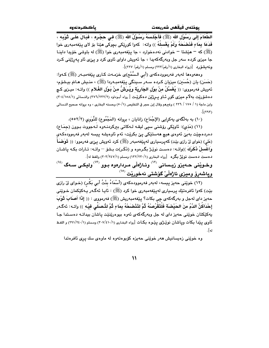يوذتەن فيقفىن شەربعەت

الطَّعَامَ إِلَى رَسُوْل الله (ﷺ) فَأَجْلَسَهُ رَسُوْلُ الله (ﷺ) في حجْره ، فَبَـالَ عَلَـى تُوْبِـه ، فَدَعَا بِمَاءِ فَنَصْحَهُ وَلَمْ يَعْسِلْهُ )) واته: ۖ كهوا كوريْكي بِحِوكي هيّنا بِنْ لاي ييْغهمبهري خوا (ﷺ) که – هێشتا – خوادنی نه<code>دهخوارد ، جا پێغهمبهری خوا (ﷺ) له باوشی خۆیدا داینـا</code> جا ميزي کرده سهر جل ويهرگهکهيدا ، جا ئهويش داواي ئاوي کرد و پيءي ئاو پهرژيني کرد ونه يشفِّرد [(رواه البخاري (١/رقم/٢٢٣) ومسلم (١/رقم/ ٢٢٧)].

وهفەوهفا لەبەر فەرموودەكەي (أبي الـسُّمْح)ى خزمـەت كـارى پێغەمبـەر (ﷺ) كـەوا: (حَسَن) يان (حُسَين) ميزيان كـرده سـهر سـينگي يـێغهمبـهردا (ﷺ) ، منـيش هـاتم بيـشۆم، ئەويش فەرمووى: (( يُغَسَّلُ منْ بوْل الجَارِيَة ويُرَشُّ منْ بَوْل الغُلام )) واتــه: ميـزى كـچ دهشقرریت به لام میزی کور ئـاو پـرژنین دهکریـّـت [ رواه أبـوداود (٢٧٦/٢٣٢/٢) والنـسائـي (١/١٥٨/١).٣٠) وابن ماجة (١ / ١٧٥ / ٢٢٦ ) وغيرهم وقال إبن حجر في التخليص (٥٠/١) وحسنه البخاري ، وه بروانه صحيح النـسائي  $\sqrt{\left(\mathbf{r}^{\mathbf{r}}\right)^{2}}$ 

(١٠) به بهلَّكهي يهكرايي (الإجْمَاع) زانايان ، بروانه (المَجْمُوع) للنَّووي (٢/٢٥٥٢).

(١١) (مَذِي): نَاوِيْكِي رِوْشِنِي سِيِي لِيقِه لِـهِكاتِي بِبِرِكْرِدِنِـهِوهِ لِـهِجووتِ بِـوونِ (جِمَـاعِ) دەردەچێت بەبێ ئەوەي ھیچ ھەستێکى يێ بکرێت، ئەم ئاوەيشە پیسە لەبەر فەرموودەكەي (عَلی) (خوای لیٌ رازی بیْت) که پرسیاری له پیّفهمبهر (ﷺ) کرد ئهویش پیٌ، فهرموو: (( تَوَضَعَأُ وَاغْسلْ فْكَرِكَ ))واتـه: دەست نوێـِرْ بگـرەوە و (ذَكَـر)ت بـشۆ — واتـه: تـارات بكـه ياشـان 

 $^{(12)}$ وخـوێنی حـهیزو زیـسانی  $^{(17)}$  وئـاژەڵی مـردارەوه بـوو  $^{(17)}$ ولیکـی سـهگ  $^{(31)}$ وپاشەرۆ وميزى ئاژەلْيْ گۆشتى نەخوري<sup>ْت (</sub>۰<sup>۰</sup></sup>

(١٢) خوێنی حەيز پيسە، لەبەر فەرموودەكەي (أَسْمَاءُ بِنْتُ أَبِي بَكْرٍ) (خـواي ليّ رازي بێٽ) کەوا ئافرەتێك پرسيارى لەپێغەمبەرى خوا کرد (ﷺ) : ئايـا ئەگـەر يـەكێكمان خـوێنى حەيز داي لەجل و بەرگەكەي چى بكات؟ يێغەمبەريش (ﷺ) فەرمووي : (( إِذَا أَصِلَابَ ثَوْبَ إِحْدَاكُنَّ الدَّمُ منَ الحَيْضَة فَلْتَقْرُصْهُ ثُمَّ لتَذْصَحْهُ بِمَاءٍ ثُمَّ لتُصطَى فيْه )) واتـه: ئهگـهر پەكێكتان خوێنى حەيز داى لە جل وبەرگەكەى ئەوە بيوەرێنێت پاشان بيداتـﻪ دەسـتدا جـا ناوي يندا بكات وياشان نويِّـژي ينوه بكـات [رواه البخـاري (٢٠٧/٤١٠/١) ومـسلم (١/٢٤٠/١٢٤) و اللفـظ له].

وه خوێنی زەيسانيش ھەر خوێنی حەيزە كۆبوەتەوە لە ماوەی سك پرى ئافرەتدا

 $\mathcal{U}$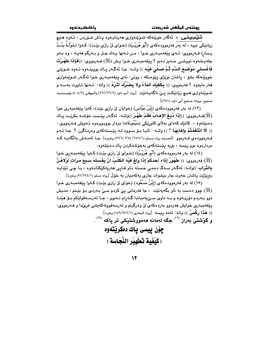.<br>قى<mark>يىبىيىنى</mark> : ئەگەر خوينەكە شىوينەوارى ھەرمايـەوە پـاش شىۆردن ، ئـەوە ھىيچ زيانێِكي نبيه ، له بهر فهرموودهكهي (أَبُو هُرَيْـرَة) (خـواي ليْ رازي بيّـت): كـهوا (خَوْلَـةُ بِنْـتُ يَسَار) فـهرمووي: ئـهي يێغهمبـهري خـوا ، مـن تـهنها يـهك جـل و بـهرگم ههيـه ، وه بـهو جلهیشهوه تووشـی حـهیز دهبم ؟ پێغهمبـهری خـوا یـش (ﷺ) فـهرمووی: ((فَـَإِذَا طَهُـرْت فَاغْسِلي مَوْضِيعَ الدَّمَ ثُمَّ صَلَّى فيْه )) واتــه: جـا ئـهگــهر پــاك بوويتــهوه ئــهوه شــوێني خووێنهکه بشۆ ، پاشان نوێژې پێوهېکه ، ووټي: ئەي پێغەمبەرى خـوا ئەگـەر شـوێنـەوارى هەر مايەوە ؟ فەرمووى: (( بَكْفَيْكَ المَاءُ ولا يَصْرُكَ أَشْرُهُ )) واتە: تـەنھا ئـاووت بەسـە و شـــوێنـهواري هــيـچ زيانێكـت يـــێ ناگـهيــهنێت [رواه أبـو داود (٢٦١/٢٦/٢) والبيهقـي (٤٠٨/٢) وهــوحـديث صحيح ابروانه صحيح أبي داود (٣٥١)].

(١٣) له بهر فهرموودهکهي (إِبْنُ عَبَّاس) (خوايان ليِّ رازي بيّت)، کهوا يێغهمبهري خوا (ﷺ)ف1رمووي: ((إِذَا دُبِغَ الإِهابُ فَقَدْ طَهُرَ ))واتــه: ئهگــهر يێـست خۆشــه بكرێـت يــاك دهبێتەوه ، كاتێك كەداي بەلاي كاورێكى (مَيْمُونَة)دا مردار بووبـووەوە ئـەويش فـەرمووى : (( أَلاَ انْتَفَعْتُمْ بِإِهَابِهَا ؟ )) واتــه: ئايـا بـوْ سـوود لــه ييْـستهكهى وهرنـاگرن ؟ جـا ئــهم فــهرموودهى فــهرموو [الــديث رواه مــسلم (٢٧٧/١/ ٣٦٦، ٣٦٦، ٣٦٦) وغـيره]. جــا نَّهمــهش بهلُكَهيــه كــه مردارەوە بوو پيسه ، بۆيە پێستەكەي بەخۆشەكردن ياك دەبێتەوە.

(١٤) له بهر فهرموودهکهي (أَبُو هُرَيْـرُة) (خـواي ليّ رازي بيّـت) کـهوا يـيّغهمبـهري خـوا (ﷺ) فەرمورى: (( طَهُورُ إِنَاء أَحَدكُمْ إِذَا وَلِغَ فَيْه الكَلْبُ أَنْ يَغْسلَهُ سَبَعَ مَرَاتٍ أَوْلاهُنَّ بالتُٰراب ))واتە: ئەگەر سەگ دەمى خستە ناو قـاپى ھەريەكێكتانـەوە ، بـا چى تێدايـە بيرێژێت پاشان حەوت جار بیشوات جاری پەکەمیان بە خۆلٌ [رواه مسلم (١/٢٣٤/١) وغیره].

(١٥) له بهر فهرموودهکهي (إِبْنُ مَسْعُود) (خواي ليّ رازي بيّت) کـهوا پيّغهمبـهري خـوا (ﷺ) چوو دهست به ناو بگهیهنینت ، جا فهرمانی پیّ کردم سـیٰ بـهردی بـوّ بیّـنـم ، منـیش دوو بــهردم دۆزيــهوه و بــه داوى ســێيهمياندا گــهرام نــهبوو ، جــا تهرســهقولێکم بــۆ هێنــا يێغەمبەرى خواپش ھەردوو بەردەكەي لىٌ وەرگرتم و تەرسەقوولەكەپشى فرىّدا و فـﻪرمووى: (( هَذَا رِكْسٌ )) واتـه: ئـهمه پـيسه [رواه البخارى (١/٢٥٦/١٥٦) وغيره]. و گۆشتى بەراز <sup>(۱٦)</sup> جگە لەمانە ھەمووشتێكى تر ياكە <sup>(١٧)</sup>.

> چۆن پيسى ياك دەكريتەوە (كَيْفَية تَطْهِيْر النَّجَاسَة )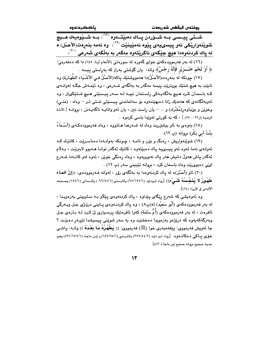يوختەں فيقھى شەريعەت

ياككردنه وه

.<br>شــتي پيــسي بــه شــۆردن يــاك دەبێتــهوه <sup>‹^\›</sup>، بــه شــێوەيهك هــي<del>چ</del> شويْنەواريْكى ئەو پي*سىي*يەى پێوە نەمێينێت <sup>(١٩)</sup>، وە ئەمە بنەرەت(الأصل) ە له ياك كردنهوهدا هيچ جێگەي ناگرێتەوه مەگەر بە بەڵگەي شەرعى <sup>(۲۰)</sup>،

(١٦) له بهر فهرموودهکهي خواي گهوره له سورهتي (الأنعام آيـة: ١٤٥) دا که دهفهرميّ: ﴿ أَوْ لَحْمَ خَنْـــزِيْرٍ فَإِنَّهُ رِجْسٌ﴾ واته: يان گۆشتى بەراز كە بەراستى يىسە .

(١٧) جونكه لَه بنهرهت(الأصلُ)دا ههمووشتيّك ياكه(الأصلُ فـي الأشْـيَاء الطّهَـارَة) وه نابيٽ به هيچ شتيك بووټريٽ پيسه مهگەر به بەلگەي شـەرعى ، وه ئێمـهش جگـه لهوانـهي کـه باسمـان کـرد هـيچ بهلگهيـهکي راسـتمان نييـه لـه سـهر پيـسێتي هـيچ شـتێکىتر ، وه ئەوبەلگانەي كە ھەندێك زانا دەيھێننەوە بۆ سەلماندنى پيسێتى شتى تىر <sup>—</sup> وەك : (مَنىي) وخوێن و بێباوهر(مُشْرك) و .. — يان راست نين ، يان ئەو واتايـه ناگەيـەنن ، بروانــه [ الأدلـة الرضية (ل٢٣ – ٢٥) ] ، كه به كورتي لهوێدا باسي كردوه .

(١٨) بەوەي بە ئاو بېشۆرىت وەك لە شـەرعدا ھـاتووە ، وەك فەرموودەكـەي (أَسْـمَاءُ بِنْتُ أَبِي بَكَرٍ) بِرِوانه (پ ١٢).

(١٩) شوټنهواريش ، رهنگ و بۆن و تامـه ، چـونكه بهوانـهدا دهناسـرێت ، كاتێك كـه ئەوانەي نەما ئەوە ئەو ييسىييە ياك دەبێتەوە ، كاتێك ئەگەر توانـا ھــەبوو لابىرێـت ، بـﻪلام ئەگەر ياش ھەولْ دانيش ھەر ياك نەبوويەوە ، وەك رەنگى خوێن ، ئەوە لەو كاتـەدا شـەرع لونی ده بووریّت وهك باسمان كرد ، بروانه تیّبینی سهر (پ ١٢) .

(٢٠) ئاو (أَصْل)ه له ياك كردنهوهدا به بهلگهي زوّر ، لهوانه فـهرموودهي: ((إنَّ المُعاءَ طَهُورٌ لا يُنَجِّسُهُ شَمَىْء)) [رواه ابـوداود (١٧/١٢٧/١) والترمذي (١/٤٥/١) والنـسائي (١٧٤/١) وصـححه الألباني في الإرواء (١٤)].

وه ئەوەپشى كە شەرع رێگاى پێداوە ، پاك كردنەوەي پێڵاو بـه سـاوپينى بەزەوپـدا ، له بهر فهرموودهکهی (أَبُو سَعيْد) له(پ۸) ، وه ياك كردنـهوهی يـاينی درێـِژی جـل وبـهرگی ئافرەت ، له بەر فەرموودەكەي (أُمُّ سَلَمَة) كەوا ئافرەتێك پرسىيارى لىٚ كـرد لــه بــارەي جـل وبەرگەكەيەوە كە درێژەو بەزەويدا دەخشێت وە بە سەر شوێنى پيسىيشدا تێپـەڕ دەبێـت ؟ جا ئەويش فەرمووى: يێغەمبەرى خوا (ﷺ) فەرمووى: (( يَطْهُرُهُ مَا بَعْدَهُ )) واتــه: ياشـي خۆی پاکی دهکاتــهوه [رواه ابـو داود (٢٧٩/٤٤/٢) والترمـذي (١٤٣/٩٥/١) و إبـن ماجـه (٥٣١/١٧٧/١) وهـو حديث صحيح بروانه صحيح إبن ماجة (٤٣٠)] .

 $\mathcal{N}$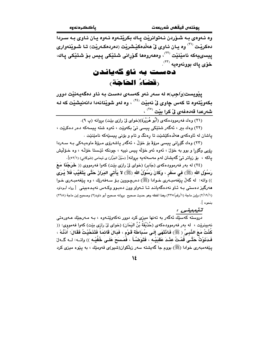وه ئـهوهي بـه شـوّردن نـهتوانريْت يـاك بكريْتـهوه ئـهوه يـان ئـاوي بـه سـردا دمکرٽت <sup>(۲۱)</sup> وه يـان ئـاوي ئي ههٽدمکٽِشريٽت (دمردمکـهريٽت) تـا شـويٽنهواري ييسىييەكە نامێنێت <sup>(۲۲)</sup>، وەھەروەھا گۆرانى شتێكى پيس بۆ شتێكى پاك، خۆی پاك بوونەوەيە <sup>(۲۳)</sup>.

### دهست به ئاو گەياندن رقضاءُ الحَاجَة،

پێویست(وَاجِب)ه له سهر ئهو کهسهی دهست به ئاو دهگهیهنێت دوور بکەوێتەوە تا کەس چاوى ڵێ نەبێت <sup>(٢٤)</sup> ، وە لەو شوێنانەدا دانەنيشێت کە لـﻪ شەرعدا قەدەغەى <mark>ئ</mark> كرا بێت <sup>(٢٥)</sup> ،

(٢٢) وهك بير ، ئەگەر شتێكى پيسى تىٰ بكەوپت ، ئەوه شتە پيسەكە دەر دەكريت ، ياشان له ئاوهکهي ههلاهکێشێت تا رهنگ و تام و بۆنى پيسێهکه نامێنێت .

(۲۳) وەك گۆرانى ييسى مرۆۋ بۆ خۆلْ ، ئەگەر ياشەرۆى مىرۆۋ ماوەيـەكى بـە سـەردا رۆپي وگۆرا و بوو به خۆلْ ، ئەوه ئەو خۆلْه ييس نييه ، چونكە ئێستا خۆلْـه ، وه خـۆلْيش ياكه ، بۆ زياتر تى گەيشتن لەم مەسەلەيە بروانە[ (سَيْلُ الجَرَّار) ي ئيمامى (شَوكَانى) (٥٢/١)].

(٢٤) له بهر فهرموودهکهي (جَابِر) (خواي ليّ رازي بيّت) کهوا فهرمووي (( خَرَجْنَا مَعَ رَسُوْل الله (ﷺ) في سَفَرٍ ، وكَانَ رَسُوْلُ الله (ﷺ) لاَ يَأْتَى البَرَازَ حَتَّى يَتَغَيَّبَ فَلاَ يُرَى )) واته: له گەلْ پێغەمبەُرى خـوادا (ﷺ) دەرچـووين بـۆ سـەفەرێك ، وه پێغەمبـەرى خـوا هەرگیز دەستى بـه ئـاو نەدەگەيانـد تـا تـەواو وون دەبـوو وكـەس نەيـدەبينى [رواە أبـوداود (١/ ٢/١٩) وإبن ماجة (١/رقم/٣٣٥) وهذا لفظه وهو حديث صحيح بروانه صحيح أبو داود(٢) وصحيح إبن ماجة (٢٦٨) بنحوه ].

.<br>دروسته کهسێك ئهگەر به تەنها میز*ی* کرد دوور نەکەوێتـەوە ، بـه مـەرجێك عـەورەتى نهبينريّت ، له بهر فهرموودهكهى (حُذَيْفَةُ بْنُ اليَمَانِ) (خواى ليّ رازى بيّت) كهوا فهمووى: (( كُنُتُ مَعَ النَّبِيِّ ﴿ ﷺ) فَانْتَهَى إِلَى سُبَاطَة قَوْمٍ ، فَبَالَ قَائِمَاً فَتَنَحَّيْتُ فَقَالَ: أَدْنُهْ ، فَدَنَوْتُ حَتَّـى قُمْتُ عِنْـدَ عَقبَيْـه ، فَتَوَضّـًا َ ، فَمَـسَحَ عَلَـى خُفّيْـه )) واتــه: لــه گــهلّ پێغهمبه٫ی خوادا (ﷺ) بووم جا گهیشته سهر زبلکوان(شیو)ی قهومێك ، به پێوه میزی کرد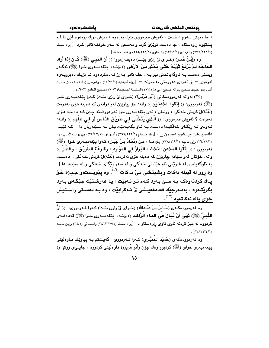، جا منيش سەرم داخست ، ئەويش فەرمووى نزيك بەرەوە ، منيش نزيك بومەوە لێې تا لـه يشتێوه راوهستام ، جا دهست نوێژی گرت و مهسمی له سهر خوففـهکانی کـرد [رواه مسلم (١/٢٢٨/٢٢٨) والترمذي (١٣/١١/١) والبخاري (٢٢٥/٢٢٩/١) وبقية الجماعة ].

وه (إِنْـنُ عُمَـرٍ) (خـواي لِيّ رازِي بِيّـت) دهيفـهرموو: (( أَنَّ النَّسِيَ (ﷺ) كَـانَ إِذَا أَرَادَ الحَاجَةَ لَمْ يَرْفَعْ تُوْبَهُ حَتَّى يَدْنُوَ منَ الأَرْض )) واتـه: ۚ يێفهمبـهري خـوا (ﷺ) نَهڲهر ویستی دەست بـه ئاوگەيانـدنى ببوايـه ، جلـهکانى بـەرز نـەدەكردەوە تـا نزيـك دەبوويـەوە لەزەوى – بۆ ئەوەي عەورەتى نەبىنريّت – [رواە أبوداود (١٤/٣١/١) ، والترمذي (١٤/١١/١) من حديث أنس وهو حديث صحيح بروانه صحيح أبي داود(١١) والسلسلة الصحيحة(١٠٧١) وصحيح الجامع (٤٦٥٢)].

(٢٥) لهوانه فهرموودهكاني (أَبُو هُرَيْرِة) (خواي ليّ رازي بيّت) كـهوا ييّغهمبـهري خـوا (ﷺ) فەرمورى: (( إِتَّقُوا اللاِّعنَـيْن )) واته: خۆ بيارێزن لەر دوانەي كە دەبنە ھۆي نەفرەت (لَغُنَة)لِيٌ كردني خه لُكي ، ووتيان : ئەي يَيْغەمبەرى خوا ئەو دووشته چين كـه دەبنـه هـوَي نهفردت ؟ نُهويش فهرمووى : (( الَّذي يَتَخَلَّى في طَرِيْقِ الذَّاس أَو في ظلَهم )) واتـه: ئـهوهي لـه ريْگاي خهلكيدا دهست بـه ئـاو بگهيـهنيد يـان لـه سـيدويان دا \_ كـه تييدا دادهنیـــشن ویـــشوو دهدهن \_ . [رواه مــسلم (٢٢٦/٢٢٦/١) وأبــوداود (٢٥/٤٧/١)، وفي روايـــة لأبـــى داود (٢٦/٢٨/١) وإبن ماجه (٢٢٨/١١٩/١) وغيرهما ، عـن (مُعَـانُ بـنُ جَبَـل) كـهوا يِيْغهمبـهوى خـوا (ﷺ) فەرمورى : (( إِتَّقُوا المَلاعنَ الثَّلاث ، البَرازُ فى المَوَارد ، وقارعَة الطَّرِيْق ، والظِّلُّ )) واته: خۆتان لەو سێانە بيارێزن كە دەبنە ھۆى نەفرەت (لَعْنَة)لىٰ كردنى خـەلْكى: دەسـت به ئاوگهباندن له شوێنی ئاو هێنانی خهڵکی و له سهر رِێگای خهڵکی و له سێبهر دا ]. وه ړوو له قيبله نهکات وپشيتشى تـىٰ نـهکات <sup>(۲٦)</sup>، وه پێويست(وَاجب)ه خـۆ ياك كردنەوەكـه بـه سـێ بـەرد كـهم تـر نـەبێت ، يـا هەرشـتێك جێگـهى بـەرد بگرنتـهوه ، بهمـهرجێك قهدهغهيـشي لِّ نـهكرابێت ، وه بـه دهسـتي راسـتيش خۆي پاك نەكاتەوە <sup>(۲۷)</sup>،

وه فەرموودەكـەي (جَـابرُ بـنُ عَبْـدالله) (خـواي ليْ رازي بێـت) كـەوا فــەرمووي: (( أَنَّ النَّبِيُّ (ﷺ) نَهَى أَنْ يُبَالَ في المَاء الرَّاكد )) واتـه: بِيّفهمبـهري خـوا (ﷺ) قهدهغـهي كردووه له ميز كردنه ناوى ئاوى رِاوهستاو دا [رواه مسلم (٢٨١/٢٣٥/١) والنسائي (٣٤/١) وإبن ماجه  $\frac{1}{\tau}$ (٣٤٣/١٢٤/١)

وه فەرموودەكەي (حُمَيْد الحُمَيْـرِي) كـەوا فـەرمووی: گەيـشتم بـە يـياوێـك ھـاوەڵێتى پێفەمبەرى خواي (ﷺ) كردبوو وەك چۆن (أَبُو هُرَيْرَة) ھاوەلێتى كردووە ، جاپـێى ووتم: ((

 $\Omega$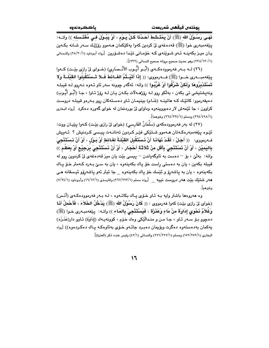يوذتەن فيقفن شەريعەت

نَهَـى رَسُـوْلُ الله (ﷺ) أَنْ يَمْتَـشَطَ أَحَـدُنَا كُـلَّ يَـوْمِ ، أَوْ يَبُـوْلَ فـى مُغْتَـسله )) واتــه: يٽغەمبەرى خوا (ﷺ) قەدەغەي لىّ كردىن كەوا يەكٽِكمان ھـﻪموو رۆژێـك سـﻪر شـانە بكـﻪين یان میـز بکهینــه ئـهو شـوینهى کـه خوّمـانى تیدا دهشـوّرین [رواه أبـوداود (١٨/٢٠/١) والنـسائى (١/ ٢٢٠/١٣٠)) وهو حديث صحيح بروانه صحيح النسائي (٢٣٢)].

(٢٦) لــه بــهر فهرموودهكــهي (أبُــو أيُّــوب الأنْــصَارِي) (خــواي ليّ رازي بيّــت) كــهوا ينِغهمبـــهرى خـــوا (ﷺ) فـــهرمووى: (( إِذَا أَتَيْــتُمُ الغَــائطَ فَــلا تَــسْتَقْبِلُوا القَبْلَــةَ وَلا تَسْتَدْبِرُوهَا وَلَكنْ شَرِّقُوا أَوْ غَرِّيُوا )) واته: ئەگەر چوونە سەر ئاو ئـەوە نـەروو لـە قىبلـە ونهيشتيشي تي بکهن ، بهڵکو روو لـه روّژهـهلات بکـهن يـان لـه روّژ ئـاوا ، جـا (أَبُـو أَيُّـوبِ) دهیفهرموو: کاتێك کـه هاتینـه (شَـام) بینیمـان ئـاو دهسـتهكان روو بـهرهو قیبلـه دروسـت کراوون ، جا ئێمهش لار دهبووینهوه وداوای لیّ بوردنمان له خوای گهوره دهکرد [رواه البخاری (٢٩٤/٤٩٨/١) ومسلم (٢٦٤/٢٢٤/١) وغيرهما].

(٢٧) له بهر فهرموودهکهی (سَلْمَانُ الفَارسی) (خوای لیّ رازی بیّـت) کـهوا پیّیـان ووت: ئٽيوه يٽغهمبەرەكـەتان ھـﻪموو شـتێکي فێـر کـردون تەنانـﻪت پيـسى کـردنيش ؟ ئـﻪويش فـهرمووي: ﴿ ( أَجَلْ ، لَقَدْ نَهَانَـا أَنْ نَـسْتَقْبِلَ القَبْلَـةَ لغَـائطِ أَوْ بَـوْلِ ، أَوْ أَنْ نَـسْتَنْجِيَ بِاليَميْنِ ، أَوْ أَنْ نَسْتَنْجِيَ بِأَقَلِ مِنْ ثَلاَثَـة أَحْجَارٍ ، أَوْ أَنْ نَسْتَنْجِيَ بِرَجِيْع أَوْ بِعَظْمِ )) واته: بەلْيٌ ، بۆ – دەست بە ئاوگەياندن – ييسى بيّت يان ميز قەدەغەي ليٌ كردوين روو لە قيبله بکهين ، يان به دهستي راست خۆ ياك بکهينهوه ، يان به سيّ بـهرد کـهمتر خـۆ يـاك بکەينەوە ، يان بە ياشەرۆ و ئێسك خۆ ياك بکەينەوە ھىجا ئىتر ئەو ياشەرۆو ئېسقانە ھے هه ر شتتیك بنیت هه ر دروست نبییه \_\_\_ [رواه مسلم (۱/۲۲۲/۲۲۳) والترمذی (۱/۱/۱۲) وأبـوداود (۷/۲٤/۱) وغيرهم].

وه هەروەها باشتر وايه بـه ئـاو خـوّى يـاك بكاتـهوه ، لـه بـهر فهرموودهكـهى (أَنَـس) (خواي ليّ رازي بيّت) كهوا فهرمووي : (( كَانَ رَسُوْلُ الله (ﷺ) يَدْخُلُ الخَلاَءَ ، فَأَحْملُ أَذَا وَغُلاَمٌ نَحْوى إِدَاوَةَ مِنْ مَاءٍ وَعَذَرَة ، فَيَسْتَنْجِيَ بِالمَاء )) واتـه: ۖ ييّغهمبـهري خـوا (ﷺ) دهچوو بـۆ سـهر ئـاو ، جـا مـن و منـدالٌيٚكى وهك خـۆم ، كوونهيـهك (إداَوَة) ئـاوو دار(عَذَـزَه) پەكمان بەدەستەوە دەگرت ويۆيمان دەبىرد جائـەو خـۆي بەئاوەكـە يـاك دەكـردەوە)) [رواە البخاري (١٥٢/٢٥٢/١) ومسلم (٢٧١/٢٢٧/١) والنسائي (٤٢/١) وليس عنده ذكر (العنزة)]

 $\mathcal{L}$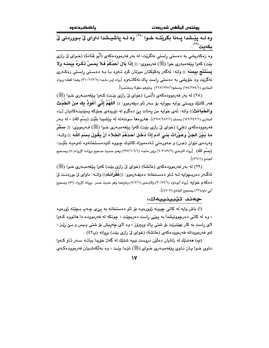باككردنهوه

يوذتەں فيقفس شەريعەت

وه لــه پِيْـشْدا پِــهنا بِكَرِيْتــه خــوا <sup>(۲۸)</sup> وه لــه پاشيــشدا داواى لِّى بــووردنى لِّى ىكەىت<sup>‹›</sup>

وه زهکهریشی به دهستی راستی نهگریت، له بهر فهرموودهکهی (أَبُو قَتَادَة) (خـوای لیْ رازی بيّت) كەوا يـيْغەمبەرى خوا (ﷺ) فەرمووى: (( إِذَا بَالَ أَحَدُكُمْ فَـلا بَمَسَّ ذَكَـرَهُ بِيَمنـه وَلا يَسْتَنْعِ بِيَمنه )) واته: ئەگەر يەكێِكتان میزتان كرد ئـەوه بـا بـه دەسـتى راسـتى زەكـەرى نهگریت وه خویشی به دهستی راست یاك نهكاتـهوه [رواه إبن ماجـه (٢١٠/١١٣/١) وهـذا لفظـه ورواه البخاري (١٥٤/٢٥٤/١) ومسلم(٢٦٧/٢٢٥/١) وغيرهم مطولا ومختصرا].

(٢٨) له بهر فهرموودهکهي (أَنَس) (خواي ليّ رازي بِيّت) کـهوا بِيّغهمبـهري خـوا (ﷺ) مەر كاتێك ويستى بوايە بچوايە بۆ سەر ئاو ديفەرموو: (( اللّهُمَّ إِنِّى أَهُوذُ بِكَ منَ الخَبْثِ والخُدَائث)) واته: ئەي خوابە من يەنات يېْ دەگرم لە نێرينەي جنۆكە ومێنينـﻪكانيان [رواه فه رمووده که ی (عَلی) (خوای لیٌ رازی بیّت) کهوا پیّفهمبـهری خـوا (ﷺ) فـه رمووی: (( **سـثـرُ** مَا بَيْنَ الجِنِّ وَعَوْرَات بَنـَى آدَم إِذَا دَخَلَ أَحَدُهُمُ الخَلاءَ أَنْ يَقُولَ بِسْمِ اللَّه ﴾) واتـه: يەردەي نێوان (جن) و عــەورەتى ئــادەميزاد كاتێك چـووە ئاودەسـتخانەوە ئەوەيـە بلێـت: (بِسْمِ اللهِ) [رواه الترمذي (٦٠٣/٥٩/٢) وإبن ماجـه (١٠٩/١٠٩/١) وهـو حـديث صـحيح بروانـه الإرواء(٥٠) وصـحيح الجامع (٣٦١١)].

(٢٩) له بهر فهرموودهکهي (عَائشَة) (خواي ليّ رازي بيّت) کهوا پيّغهمبـهري خـوا (ﷺ) ئەگـەر دەريـجوايە لــه ئــاو دەسـتخانە دەيفــەرموو: ((غَفْرَانَـكَ)) واتــه: داواي ليّ بوردنـت ليّ دهكهم خوابيه [رواه أبوداود (٢٠/٥٢/١) والترمذي (٧/٧/١) وغيرهما وهو حديث حسن بروانه الإرواء (٥٢) وصحيح أبي داود(٢٢) وصحيح الحامع (٤٧٠٧)].

### چەند تێبينييەك:

(أ) باش وايه له كاتي چوونه ژوررهوه بۆ ئاو دهستخانه به پيٌ ع چهپ بـچێته ژورهوه ، وه له کاتی دهرچوونیشدا به ییٌی راست دهربچیّت ، چونکه له فهرمووده دا هاتووه کـهوا لای راست به کار بهێنرێت بۆ شتی پاك وپیرۆز ، وه لای چەپیش بۆ شتی پـیس و بـێ رێـز ، لهو فهرموودانه فهرموودهكهي (عَائشَة) (خواي ليٌ رازي بيّت) بروانه (پ٤٢) .

(بِ) هەندێك لە زانايان دەلێن دروست نييە شتێك لە گەلّ خۆيدا بباتـه سـەر ئـاو كـەوا نـاوي خـوا يـان نـاوي يێغهمبـهري خـواي (ﷺ) تێدا بێت ، وه بهڵکهشـيان فهرموودهکـهي

 $\mathsf{N}$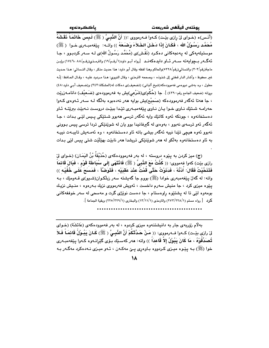(أنَـس)ه (خـواي ليْ رازي بيّـت) كـهوا فـهرمووي :(( أَنَّ النَّبِـيُّ ( ﷺ) لَـبِسَ خَاتَمَـاً نَقَشَهُ مُحَمَّد رَسُوْلُ الله ، فَكَانَ إِذَا دَخَلَ الخَلاَءَ وَضَعَهُ )) واتـه: يێفهمبـهري خـوا ( ﷺ) موستیلهیهکی له یهنجهکانی دهکرد (نَقْش)ی (مُحَمَّد رَسُولُ الله)ی لـه سـهر کردبـوو ، جـا ئهگــهر بــجوابهته ســهر ئــاو دايدهكهنــد [رواه أبـو داود(١/رقـم/١٩) والترمـذي(رقـم/٨٨ ١٧٤٦، ١٧٤٦) وإبـن ماجة(رقم/٣٠٣) والنسائي(رقم/٥٢٢٨)والحاكم وهذا لفظه وقال أبو داود: هذا حديث منكر ، وقال النـسائي: هـذا حـديث غير محفوظ ، وأشار الدار قطني إلى شذوذه ، وصححه الترمذي ، وقال النووي: هـذا مـردود عليـه ، وقـال الحـافظ: إنّـه معلول ، وه بهشي دووهمي فهموودهكه(شيخ ألباني) (تضعيف)ي دهكات له(المشكاة:٣٤٣) و(ضعيف أبـي داود:٤٨) بروانه (ضعيف الجامع رقم:٤٣٩٠) ]. جا (حُكْم)ى(شَرْعى)يش به فه رموودهى (ضَـعيْف) دانامــهزريّت ، جا هەتا ئەگەر فەرموودەكە (صَحيْح)يش بوايە ھەر نەدەبوە بەلگە لـە سـەر ئـەوەى كـەوا حەرامـه شـتێك نـاوى خـوا يـان نـاوى يێغەمبـەرى تێدا ببێت دروسـت نـەبێت ببرێتـه ئـاو دەستخانەوە ، چونكە ئەوە كاتێك واپە ئەگەر ترسى ھەبوو شىتێكى پىس لێى بىدات ، جا ئهگەر ئەو ترسەي نەبوق ، بەۋەي لە گىرفانيدا بوق يان لە شويێنێكى تردا ترسى پيس بـوونى نەبور ئەرە ھېچى تێدا نېيە ئەگەر بېشى باتە ئار دەستخانەرە ، رە ئەمـەيش تايبـەت نېيـە به ئاو دەستخانەوە بەلكو لە ھەر شوي٘نێكى تريشدا ھەر نابێت بهێڵێت شتى پيس لێي بدات

(ج) ميز كردن به پٽوه دروسته ، له بهر فهرموودهكهي (حُذَيْفَةُ بْنُ اليَمَـانِ) (خـواي لِيّ رازي بيّت) كەوا فەمووى: (( كُنُتُ مَعَ النَّبِيِّ ( ﷺ) فَانْتَهَى إِلَى سُبَاطَة قَوْم ، فَبَالَ قَائمَاً فَتَنَحَّيْتُ فَقَالَ: أُدْنُهْ ، فَدَنَوْتُ حَتَّى قُمْتُ عِنْدَ عَقبَيْهِ ، فَتَوَضَّأَ ، فَمَسَحَ عَلَى خُفَيْهِ )) واته: له گەلْ پێغەمبەرى خوادا (ﷺ) بووم جا گەيشتە سەر زېلْكـوان(شـيو)ى قـەومێك ، بـە يێوه ميزي کرد ، جا منيش سەرم داخست ، ئەويش فەرمووى نزيك بـەرەوە ، منـيش نزيـك بومەوه لێی تا له پشتێوه راوهستام ، جا دەست نوێژی گرت و مەسحی له سەر خوففەکانی كرد [رواه مسلم (٢٧٢/٢٢٨/١) والترمذي (١٣/١١/١) والبخاري (٢٢٥/٢٢٩/١) وبقية الجماعة ].

بهلام زۆربەی جار بە دانیشتنەوه میزی کردوه ، لە بەر فەموودەکەی (عَائشَة) (خــوای لِ (رازى بيّـت) كــهوا فــه(مووى: (( مَـنْ حَـدَّتْكُمْ أَنَّ النَّبِـيُّ ( ﷺ) كَـانَ يَبُـوْلُ قَائِمَـاً فَـلاَ تُصَدِّقُوْهُ ، مَا كَانَ يَبُوْلُ إِلاَّ قَاعدَاً )) واته: هەر كەسىيّك بىۆى گێرانـەوە كـەوا پێغەمبـەرى خوا (ﷺ) بـه پێوه میـزی کـردووه بـاوهږی پـێ مهکـهن ، ئـهو میـزی نـهدهکرد مهگـهر بـه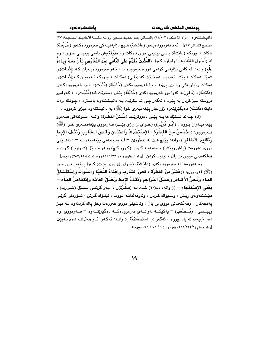دانيـشتنـهوه [رواه الترمـذي (١٢/١٠/١) والنـسائي وهـو حـديث صـحيح بروانـه سلـسلة الاحاديـث الـصحيحة(٢٠١) وصحيح النسائي(٢٩)] . ئهم فهرموودهيـهي (عَائـشَة) هـيـچ دژايهتيـهكي فهرموودهكـهي (حُذَيْفَـة) ناكات ، چونكه (عَائشَة) باسي بينيني خۆي دەكات و (حُذَيْفَة)يش باسي بينينـي خـۆي ، وه له (أُصُول الفقْه)يشدا زانراوه كهوا (المُثْبَتُ مُقَدَّمُ عَلَى النَّافُى عِنْدَ النَّعَارُض لـأَنَّ مَعَـهُ زيَـادَةُ علَّم) واته: له کاتی دژاپهتی کردنی دوو فـهرمووده دا ، ئـهو فهرموودهیـهیان کـه (إثْبَـات)ی شتێك دەكات ، پێش ئەوەيان دەخرێت كە (نَفي) دەكـات ، چـونكە ئـەوەيان كـە(إِثْبَـات)ى دهکات زانياريهکي زياتري ييُنيه . جا فهرموودهکهي (حُذَيْفَة) (مُثْبَت)ه ، وه فهرموودهکهي (عَائشَة)ه (نَافي)يه کەوا بوو فەرموودەکەي (حُذَيْفَة) يـێش دەخرێت کـه(مُثْبَت)ه ، کـەوابوو دروسته ميز کردن به پێوه ، ئهگهر چې تـا بکرێت بـه دانيـشتنهوه باشـتره ، چـونکه وهك دايکه(عَائشَة) دەيگێرێتەوە زۆر جار يێغەمبەرى خوا (ﷺ) بە دانىشتنەوە مىزى کردووە ٠

(٥) جـه ند شـتـێك ههيــه يـێـي دهووتريّـت (سُــذَنُ الفطْـردّ) واتــه: سـوننهتي هــهموو يێغەمبـەران بـووه ، (أَبُـو هُرَيْـرَة) (خـواي ليّ رازي بێت) فـەرمووي يێغەمبـەرى خـوا (ﷺ) فِّ رمووى: ((خَمْسُ منَ الفَطْرَة ، الإِسْتَحْدَادُ وَالخَتَّانِ وَقَصِّ الشَّارِبِ وَنَتْفُ الإِبط وَتَقْلِيْمُ الأَظَافِرِ )) واته: پێنچ شت له (فطْرَة)ن <sup>ـــ</sup> لـه سـوننهتی پێغهمبهرانـه <sup>ـــ</sup> : تاشـينی مووی عهورهت (پاش ویێش) و خهتهنـه کـردن (کـورو کـچ) وبـهر سمـێڵ (شـوارب) گـرتن و هه لکه ندنی مووی بن بالٌ ، نبینوْك كردن [رواه البخاری (٥٨٨٩/٣٢٤/١٠) ومسلم (١/٢٢١/١٧) وغیرهم].

وه ههروهها له فهرموودهکهی (عَائشَة) (خـوای لیّ رازی بیّـت) کـهوا پیّغهمبـهری خـوا (ﷺ) فەرمورى: ((عَشْرٌ منَ الفطْرَة ، قَصُّ الشَّارب وإعْفَاءُ اللَّحْيَة والسِّواكُ وإسْتَذْشَاقُ المَاء وَقَصُّ الأَظَافر وَغَسْلُ البَـرَاجِم وَنَتْـفُ الإِبـط وَحَلْـقُ العَانَـة وإِنْتقَاصُ المَـاْء – يَعْني الإسْتَنْجَاء – )) واته: ده(١٠) شت لـه (فطْرَة)ن : بـهر گرتنـي سمـێلْ (شـوارب) ، هێشتنهوهي ريش ، وسيواك كردن ، وئاوههلادنه لـووت ، نينـۆك گـرتن ، شـۆردنى گرێـى پەنجەكان ، وھەلكەندنى مووى بن بالْ ، وتاشينى مووى عەورەت وخۆ ياك كردنەوە لـە ميـز وييـــسى ، (مُـــصْعَب) – يەكێكـــه لەوانــــەي فەرموودەكـــه دەگێرێتــــەوە – فـــەرمووى: وە ده(١٠)بهمم له باد جووه ، ئهگهر (( المَضْمَضَة )) واتـه: ئهگـهر ئـاو ههلّالنـه دهم نـهبيّت [رواه مسلم (٢٦٦/٢٢٣/١) وإبوداود (١/ ٧٩/ ٥٩) وغيرهما] .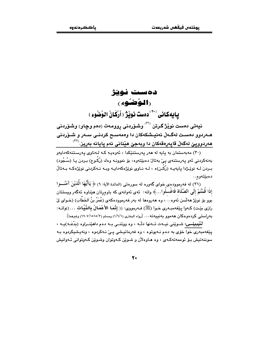# دەست نوتژ **(الوُضُوء)** يايهكانى (٣٠) دهست نويز (أرْكَانُ الوُضُوءِ)

نیەتی دەست نوێژ گرتن <sup>(۳۱)</sup> وشۆردنی پوومەت (دەم وچاو) وشۆردنی هــهردوو دهسـت لهگــهڵ ئهنيــشكهكان دا وهمهســح كردنــى ســهر و شــۆردنى هەردووپێ لەگەڵ قاپەرەقەكان دا وبەجێ هێنانی ئەم پايانە بەريز.<sup>(۳۲</sup>

(۳۰) مەبەستمان بە يايە لە ھەر يەرستنێكدا ، ئەوەپ ككە لـەناوى يەرسىتنەكەدايەو بەنەكردنى ئەو يەرستنەي يېْ بەتالْ دەبێتەوە، بۆ نموونـە وەك (رُكُـوع) بـردن يـا (سُـجُود) بـردن لـه نوێـِژدا پايهيـه (رُکّـن)ه ، لـه نـاوي نوێژهکهدايـه ويـه نـهکردني نوێژهکـه بـهتاڵ دەبێتەوە…

(٣١) له فهرموودهي خواي گهوره له سورهتي (المائدة الآية: ٦) ﴿ يَاأَيُّهَا الَّذِيْنَ آمَنُـــوا إِذَا قَمْتُمْ إِلَى الصَّلَاة فَاغْسلُوا…﴾ واته: ئهي ئهوانهي كه باوهرتان هێناوه ئهڰُهر ويستتان بُوق بِقِ نَوِيْرٌ مَه لَسْنِ نُهُوه… ، وه هه روهما له بهر فه رموودهكه ي (عُمَرُ بنُ الخَطَّابِ) (خـواي لِيّ رازي بيّت) كـ٥وا يـيّغ٥مبـ٥ري خـوا (ﷺ) فـ٥رمووي: (( إنَّمَا الأَعْمَالُ بِالنِّيِّات ...))واتـ٥: بهراستمي كردهوهكان ههموو بهنييهته... [رواه البخاري (١/٩/١) ومسلم (١٥١٥/٢/١٥١٥) وغيرهما].

تنَّيْبِينِسِي: شـوێني نيــهت تــهنها دلّــه ، وه ووتنــي بــه دهم داهێنــراوه (بدْعَــه)يــه ، يێغەمبەرى خوا خۆى بە دەم نـەيوتوە ، وە فەرمانيـشى يـێ نـەكردوە ، ونەيـشيكردوە بـە سوننهتيش بـۆ ئوممەتەكـەي ، وه ھـاوەلأن و شـوێن كـەوتوان وشـوێن كـەوتوانى ئـەوانىش

۲.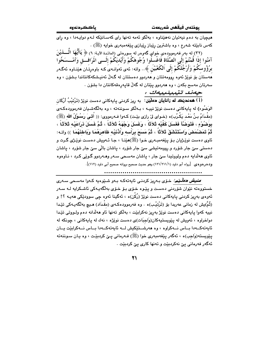.<br>هیچیان به دهم نیهتیان نههێناوه ، بهڵکو ئهمه تهنها رای کهسـانێکه لـهم دوایـهدا ، وه رای کهس نابێته شهرع ، وه باشترین رێباز رێبازی یێغهمبهری خوایه (ﷺ) .

(٣٢) له بهر فهرموودهى خواي گەوەر له سورەتى (المائدة الآيـة: ٦) ﴿ يَاأَيُّهَا الِّـــــــــٰوْيَنَ آمَنُوا إِذَا قَمْتُمْ إِلَى الصَّلَاة فَاغْسِلُوا وُجُوهَكُمْ وَأَيْدِيَكُمْ إِلَــي الْمَرَافَــقِ وَأَمْــسَحُوا برُؤُوسَكُمْ وَأَرْجُّلَكُمْ إِلَى اَلكَعْبَيْنَ ﴾.. واته: ئەي ئەوانـەيَ كـه باوەرتـَان مَيٚنـاوە ئەگـەر مەستان بۆ نوێژ ئەوە روومەتتان و مەردوو دەستتان لە گەلّ ئەنپشكەكانتاندا بىشۆن ، وە سەرتان مەسىم بكەن ، وە ھەردوو يێتان لە گەلْ قايەرەقەكانتان دا بشۆن .

جەند تٽيبينييەك :

الوَضُوء) له پايهکانې دهست نوێژ نيپـه ، بـهلکو سـوننـهتـه ، وه بهلگهشـيان فـهرموودهکـهي (مقْدَامُ بِنُ مَعْدِ يَكْرُب)ه (خـواي ليّ رازي بِيّـت) كـهوا فـهرمووي: (( أُنّـيَ رَسُوْلُ الله (ﷺ) بِوَضُوْءٍ ، فَتَوَضَّأَ فَفَسَلَ كَفَّيْه ثَلاَثًا ، وَغَسَلَ وَجْهَهُ ثَلاَثَـا ً ، ثُمَّ غَسَلَ ذراعَيْـه ثَلاَثَـا ً ، ثُمَّ تَمَصْمَصَ وَاسْتَنْشَقَ ثَلاَثَاً ، ثُمَّ مَسَحَ بِرَأْسه وَأَدْنَيْه ظَاهِرَهُمَا وَبَاطنَهُمَا ﴾) واتـه: ئاوي دهست نويٽريان بـٽي پيٽغهمبـهري خـوا (ﷺ)هێنـا ، جـا ئـهويش دهسـت نويٽري گـرت و دهستي سيٰ جار شۆرد و روومهتيشي سيٰ جار شۆرد ، پاشان بالّي سيٰ جار شۆرد ، پاشان .<br>ئاوي هەلدايە دەم ولووتيدا سىّ جار ، ياشان مەسـحى سـەر وھـەردوو گـوێي كـرد ، نـاوەوە وبـ٥درهو.هي [رواه أبو داود (١٢١/٢١١/١) وهو حديث صحيح بروانه صحيح أبي داود (١١٢)].

*منیش دهڵیم:* خـرّی بـهریز کردنـی ئایهتهکـه بـهو شـێوهیه کـهوا مهسـحی سـهری خستووهته نێوان شۆردنى دەست و يێوە خۆى بـۆ خـۆى بەلگەيـەكى ئاشـكرايە لـە سـەر ئەوەي بەريز كردنى ياپەكانى دەست نوێژ (رُكْن)ە ، ئەگينا ئەوە چى سوودێكى ھەپـە ؟! و (ثُمَّ)يش له زمانی عهربدا بۆ (تَرْتيْب)ه . وه فهرموودهکـهی (مقْـدَاد) هـيچ بهلگهيـهکی تێدا نییه کهوا پایهکانی دهست نوێژ بهڕیز نهکرابێت ، بهڵکو تهنها ئاو ههڵدانه دهم ولـووتی تێدا دواخراوه ، ئەويش لە يێويستيەكان(وَاجِبَات)ى دەست نوێژە ، نەك لە ياپەكانى ، چونكە لە ئايەتەكــەدا بــاس نــەكراوە ، وە ھەرشــتێكيش لــە ئايەتەكــەدا بــاس نــەكرابێت يــان يێويسته(وَاجب)ه ، ئەگەر يێغەمبەرى خوا (ﷺ) فـﻪرمانى يـێ كردېێت ، وه يـان سـوننەتە ئەگەر فەرمانى يېّ نەكردېيّت و تەنھا كارى يېّ كردېيّت .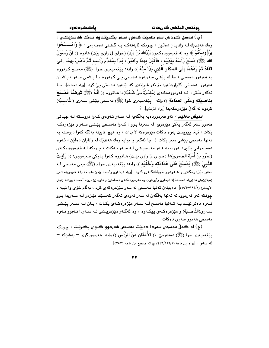يوذتەں فيقھى شەريعەت

.<br>(ب) مەسح ڪردنى سەر دەبيٽت ھەموو سـەر بگـريٽــەوە نـەڪ ھەنـديٽڪى › وهك هەنىدىك لـــه زانايــان دەلْـيْن ، چــونكه ئايـەتــەكــه بــه گــشتــى دەڧــەرمـىّ : ﴿ وَامْـــــسَحُوا برُؤُوسكُمْ ﴾ وه له فەرموودەكەي(عَبْدُالله بْنُ زَيْد) (خواي لِيْ رازِي بِيْت) ھاتوە (( أَنَّ رَسُوْلَ الله (ﷺ) مَستَحَ رَأْسَهُ بِيَدَيْهِ ، فَأَقْبَلَ بِهِمَا وَأَدْبَرَ ، بَدَأَ بِمُقَدَّم رَأْسِه ذُمَّ ذَهَبَ بهمَا إِلَي قَفَاهُ ثُمَّ رَدَّهُمَا إِلَى المَكَانِ الَّذِي بَدَأَ مِنْهُ ﴾) واته: يێغهمبهري خـوا (ﷺ) مهسـح كـردووه به ههردوو دهستی ، جا له پێشی سهریهوه دهستی یـی کـردووه تـا پـشتی سـهر ، پاشـان هەردوو دەستى گێراوەتەوە بۆ ئەو شوێنەى كە لێيەوە دەستى پىٚ كرد [<sub>رواە الج</sub>ماعة]. جـا ئهگەر بِلّذين: لـه فەرموودەكـەي (مُغيْـرَةُ بـنُ شُـعْبَة)دا هـاتووه (( أَنَّـهُ (ﷺ) قَوَضَّـأَ فَمَسَحَ بِذَاصِيَتَه وَعَلَى العَمَامَة )) واته: يێغهمبهري خوا (ﷺ) مهسمي يێشي سـهري (النَّاصـيّة) كردوه له گەلٌ مێزەرەكەيدا [رواه الترمذى]. ؟

*منيش دەلّيّم :* ئەو فەرموودەپە پەلگەنە لـه سـەر ئـەوەي كـەو! دروستە لـه جنياتي .<br>ههموو سهر ئهگەر يەكىّ مێزەرى له سەردا بـوو ، كـەوا مەسـحى يێـشى سـەر و مێزەرەكـه بکات ، ئيتر يێويست بەوە ناکات مێزەرەکە لا بدات ، وە ھيچ نابێتە بەلگە کەوا دروستە بە تەنھا مەسمى يێشى سەر بكات ! جا ئەگەر وا بوايە وەك ھەندێك لە زانايان دەلٽن ، ئـەوە دەمانتوانى بلُٽِين: دروسته هـهر مەسحيـشى لـه سـهر نـهكات ، چـونكه لـه فەرموودەكـهى (عَمْرُو بنُ أُمَيَّة الضُمَرِي)دا (خـواي ليّ رازي بيّـت) هـاتووه كـهوا بـاوكي فـهرمووي: (( رَأَيْـتُ النَّبِيُّ (ﷺ) يَمْسَحُ عَلَى عَمَامَتَه وَخُفَّيْه )) واته: يێغهمبهري خوام (ﷺ) بيني مهسحي لـه سهر مێزەرەكەي و ھـﻪردوو خوففەكـﻪي كـرد [رواه البخارى وأحمد وإبن ماجـة ، ولـﻪ فەرموودەكـﻪي .<br>(بيلال)يش دا (رواه الجماعة إلا البخاري وأبوداود) وه فەرموودەكـەي (سـلمان) و (ثوبـان) (رواه أحمـد) بروانــه (نيـل الأوطار) (١٩٤/١-١٩٦)]. دهبينين تەنها مەسجى له سەر مێزەرەكەي كرد ، بەللّام خۆي وا نييه ، جونکه ئەو فەرموودانە تەنھا بەلگەن لە سەر ئەوەي ئەگەر كەسىيّك ميّزەر لـە سـەريدا بـوو ئـهوه دهتوانٽِـت بـه تـهنها مهسـح لـه سـهر مێزهرهکـهى بکـات ، پـان لـه سـهر پێـشى سـهري(النَّاصـيَة) و مێزەرەكـهى يێكـهوه ، وه ئەگـهر مێزەريـشى لـه سـهردا نـهبوو ئـهوه مەسچى ھەموق سەرى دەكات .

(ج) له گە<mark>لْ مەسحى سەردا دەبيٽت مەسحى ھەردوو گــوى بکريٽت</mark> ، چـونكە يێغەمبەرى خوا (ﷺ) دەفەرمىّ: (( الأَنْنَان مِنَ الرَّأْسِ )) واتە: ھەردوو گوي <sup>—</sup> بەشێكە <sup>—</sup> له سهو . [رواه إبن ماجة (٤٤٣/١٥٢/١) بروانه صحيح إبن ماجه (٣٥٧)].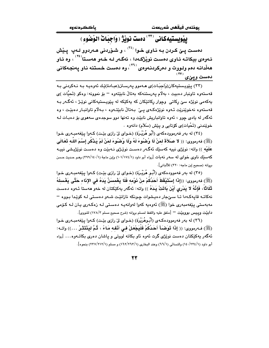باككردنهوه

# ييْويستيەكانى (\*\*) دەست نوپژ ( وَاجبَاتْ الوُضُوءِ )

دهست يـێ کـردن بـه نـاوی خـوا <sup>(۳٤)</sup> ، و شـۆردنى هـەردوو لـهڀ يـێش ئـهوهي بيكاتـه ئـاوي دەسـت نوێژكـهدا ، ئەگـهر لـه خـهو هەسـتا<sup>(۳۵)</sup> ، وه ئـاو هەلّدانيە دەم وليووت و دەركردنيەوەي (٣٦)، وه دەست خستنه نياو پەنچەكانى دەست ويێى′

(۳۳) پێویستپهکان(وَاجبَات)ی هـهموو پهرسـتن(عبـادة)ێك ئهوهیـه بـه نـهکردنی بـه قەستەوە تاونبار دەبيت ، بەلاّم پەرستنەكە بەتالْ نابێتەوە – بۆ نموونە: وەكو (تَحيَّات )ى بهکەمی نوێژه سێ رکاتی وچوار رکاتێکان که بهکێکه له بێویستبهکانی نوێـژ ، ئەگـەر بـه قەستەوە نەخوێنرێت ئـەوە نوێژەكـەى يـێ بـەتاڵ نابێتـەوە ، بـەلاّم تاوانبـار دەبێت ، وە ئهگەر له يادى چوق ، ئەوە تاوانباريش نابێت وە تەنھا دوو سوجدەي سەھوى بۆ دەبـات لـه خوێندني (تَحْيات)ي كۆتايى و يێش (سَلاَم) دانەوە ٠

(٣٤) له بهر فهرموودهکهي (أَبُو هُرَيْرَة) (خـواي ليّ رازي بێت) کـهوا پێفهمبـهري خـوا (ﷺ) فەرمورى: (( لا صَلاَةَ لمَنْ لَا وُصْنُوءَ لَهُ وَلَا وُصْنُوءَ لمَنْ لَمْ يَذْكُر إِسْمَ اللَّه تَعَالَى عَلَيْه )) واته: نوێژي نيپه کهسێك ئهگـهر دهسـت نوێـژي نـهبێت وه دهسـت نوێژيـشي نيپـه كهسنيك ناوى خواى له سهر نهبات [رواه أبو داود (١/١٧٤/١) وإبن ماجة (١/١٤٠/١٤) وهـو حديث حسن بروانه (صحيح إبن ماجه: ٣٢٠) للألباني].

(٣٥) له بهر فهموودهکهي (أَبُو هُرَيْرَة) (خواي ليٌ رازي بيِّت) کهوا يێغهمبهري خوا (ﷺ) فەرمورى: ((إِذَا إِسْتَيْقَظَ أَحَدُكُمْ منْ نَوْمه فَلَا يَغْمسَنَّ يَدَهُ في الإِنَاء حَتَّى يَغْسلَهُ ثَلَاثًاً، فَإِنَّهُ لا يَدْرِي أَيْنَ بِاتَتْ يَدَهُ )) واته: ئەگەر يەكێكتان لە خەو ھەستا ئـەوە دەست نهکاتـه قايـهکـهدا تـا سـێجار دهيـشوات چـونکه نازانێـت شـهو دهسـتى لـه کوێـدا بـووه − مەبەستى يێغەمبەرى خوا (ﷺ) ئەوەبە كەوا لەوانەيـە دەسـتى لـە زەكـەرى يـان لـە كـۆمى دابيِّت ويبيس بووبيِّت — [متفق عليه واللفظ لمسلم بروانه (شرح صحيح مسلم ١٧٨/٣) للنووي].

(٣٦) له بهر فهرموودهكهي (أَبُوهُرَيْرَة) (خواي ليّ رازي بيّت) كـهوا ييّفهمبـهري خـوا (ﷺ) فـه(مووى: (( إِذَا تَوَضَـأَ أَحَدُكُمْ فَلْيَجْعَلْ فِي أَنْفِهِ مَاءً ، ثُمَّ لِيَنْتَثِرْ ….)) واتـه: ئەگەر يەكێكتان دەست نوێژى گرت ئەوە ئاو بكاتە لووتى و پاشان دەرى بكاتـەوە… [رواە أبو داود (١/٢٢٤/١٤) والنسائي (٦٦/١) وعند البخاري (١/٢٦٢/١٦٣) و مسلم (١/٢١٢/٢١٢) بنحوه].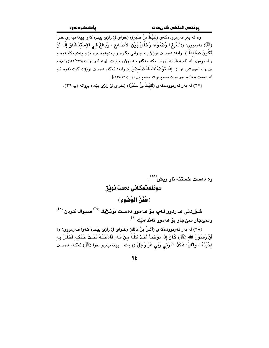وه له بهر فهرموودهکهي (لَقيْطُ بنُ صَبْرَة) (خواي ليٌ رازي بيّت) کهوا پيّغهمبهري خـوا (ﷺ) فەرمورى: ((أَسْبِغِ الوُصْبُوْءَ، وَخَلِّلْ بَـيْنَ الأَصَابِعِ ، وَيَالغُ في الإِسْتَذْشَاقِ إِلَـا أَنْ تَكُونَ صَائمَاً )) واته: دەست نوێِژ بـه جـوانی بگـره و پـهنجهبخـهره نێـو پـهنجهكانـهوه و زیادهردوی له ناو ههالدانه لووتدا بکه مهگهر بـه رۆژوو ببیـت [رواه أبـو داود (١٤٢/٢٣٦/١) وغیرهـم وفى روايه أخرى لابى داود (( إِ**ذَا تَوَضَأَتَ فَمَضْمضْ**)) وإنّه: ئەگەر دەست نوێ<del>ژ</del>ت گرت ئەوە ئاو له دهمت ههالّده وهو حديث صحيح بروانه صحيح ابي داود (١٢٩،١٣١)].

(٣٧) له بهر فهرموودهكهي (لَقيْطُ بنُ صَبْرِة) (خواي ليّ رازي بيّت) بروانه (پ ٣٦).

وه دهست خستنه ناو ریش<sup>(۳۸)</sup> . سوننه تهكانى دەست نوپژ ( سُنَنُ الوُضُوءِ ) شـۆردنى ھـەردوو لـەپ بـۆ ھـەموو دەسـت نوێـژێك <sup>(٣٩)</sup> سـيواك كـردن <sup>(٤٠)</sup> وسىجار سێجار بۆ ھەموو ئەندامێك <sup>(٤١)</sup> (٣٨) له بهر فهرموودهكهي (أَنَسُ بنُ مَالكِ) (خـواي ليّ رازي بيّـت) كـهوا فـهرمووي: (( أَنَّ رَسُوْلَ الله (ﷺ) كَانَ إِذَا تَوَضَّأَ أَخَذَ كَفًّا منْ مَاءِ فَأَدْخَلَهُ تَحْتَ حَذَكِه فَخَلْلَ بِه لحْيَتَهُ ، وَقَالَ: هَكَذَا أَمَرَنى رَبِّي عَزَّ وَجَلَّ )) واته: يێغهمبهري خوا (ﷺ) ئهگـهر دهسـت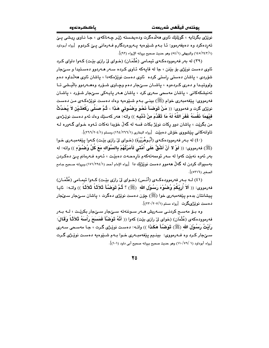يوذتەن فيقفس شەربعەت

نوێژي بگرتايه ، گوێِلێك ئاوي هەڵدەگرت ودەپخستە ژێِر چەناكەي ، جـا نـاوي ريشي يـێ تەردەكرد وە دەيفەرموو: ئــا بــەم شــێوەيە پــەروەردگارم فــەرمانى پــێ كـردوم [رواە أبـوداود (١/ ١٤٥/٢٤٣) والبيهقي (٥٤/١) وهو حديث صحيح بروانه الإرواء (٩٢)].

(۳۹) له پهر فهرموودهکهي ئېمپامې (عُثْمَان) (خوای ليّ رازي پيّت) کېوا داواي کرد ئاوي دهست نويْژي بۆ بێنن ، جا له قايەكە ئـاوي كـرده سـەر ھـەردوو دەسـتيدا و سـێجار شۆردى ، ياشان دەستى راستى كردە ئاوى دەست نوپژەكەدا ، ياشان ئاوى ھەلْداوە دەم ولووتيـدا و دهري كـردهوه ، پاشـان ســـيٌجار دهم وچـاوي شــۆرد وهـــهردوو باليــشي تــا ئەنىشكەكانى ، ياشان مەسمى سەرى كرد ، ياشان ھـەر يايـەكى سـےٌجار شـۆرد ، ياشـان فهرمووي: پێغهمبهري خوام (ﷺ) بينـي بـهم شـێوهيه وهك دهست نوێژهكـهي مـن دهست نويْژِي گرت و فهمووي: (( مَنْ تَوَضَـأَ نَحْوَ وَضُوئي هَذَا ، ثُمَّ صَلَّى رَكْعَتَـيْنِ لاَ يُحَدِّثُ فَيْهِمَا ذَفْسَهُ غَفَرَ اللَّهُ لَهُ مَا تَقَرَّمَ منْ ذَنْبِه ﴾) واته: ههر كهسێك وهك ئهم دهست نوێـژهى من بگريّت ، پاشان دوو رکات نويّژ بکات قسه له گهلٌ خۆيدا نهکات ئـهوه خـواي گـهوره لـه تاوانه كاني بيُشووي خوْش دهبيِّت [رواه البخاري (١/٢٦٦/١) ومسلم (٢/٢٦٦/١)].

(٤٠) له بـهر فهرموودهكـهي (أُبُـوهُرَيْرة) (خـواي ليّ رازي بيّـت) كـهوا يـيّغهمبـهري خـوا (ﷺ) فەرمورى: (( لَوْ لا أَنْ أَشُقَّ عَلَى أُمَّتَى لَأَمَرْتُهُمْ بِالسِّوَاك مَعَ كُلِّ وُصْبُوْءِ )) واته: له بەر ئەوە نەبێت كەوا لە سەر ئوممەتەكەم نارەھـەت دەبێت ، ئـەوە ڧـەرمانم يـێ دەكـردن بهسیواك كردن له گەلٌ هەموو دەست نوێژێك دا [رواه الإمام أحمد (١//٢٩٤) وبروانه صحیح جامع الصغير (٥٣١٦)].

(٤١) لــه بــهر فهرموودهكـهـي (أنّـس) (خــواي ليّ رازي بيّـت) كــهوا ئيمــامي (عُثْمَــان) فهرمووى: (( أَلاَ أُرِيْكُمْ وُصْبُوْءَ رَسُوْلِ الله ۚ (ﷺ) ؟ ثُمَّ تَوَصَّنَّا ثَلاَثَا ثَلاَثَاً )) واتـه: ئايـا پيشانتان بدهم پێغەمبەرى خوا (ﷺ) چۆن دەست نوێژى دەگرت ، پاشان سـێجار سـێجار دهست نوێژی گرت [رواه مسلم (٢٠٧/٢٠٧/١)].

وه بـۆ مەسـح كردنـي سـەريش مــەر سـوننەتە سـێجار سـێجار بكرێـت ، لــە بــەر فهرموودهكهى (عُثْمَان) (خواى ليْ رازى بيِّت) كهوا (( أَنَّهُ تَوَضَّأَ فَمَسَحَ رَأْسَهُ ثَلاَثَنَا وَقَالَ: رَأَبْتُ رَسُوْلَ الله (ﷺ) تَوَضَّأَ هَكَذَا )) واتـه: دهست نوي٘ـژي گـرت ، جـا مهسـحي سـهري سے جار کرد وہ فــهرمووی: بينـيم بيٽغهمبـهري خـوا بـهم شــێوميه دهسـت نوێـِژي گـرت [رواه أبوداود (١ /٧٩/١٠) وهو حديث صحيح بروانه صحيح أبي داود (١٠١)].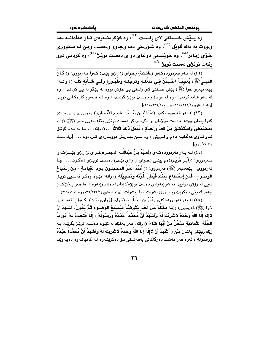يوذتەن فيقفن شەريعەت

باككردنهوه

وه پــێش خــستنى لاى راسـت (<sup>٤٢)</sup>، وه كۆكرىنــهوەى ئــاو هەڵدانــه دەم ولووت به يهك گويْل <sup>(٤٢)</sup>، وه شوْردني دهم وڃاوو ودهست ويئ لـه سنووري خوّي زياتر<sup>(٤٤)</sup>، وه خوێندني دوعاي دواي دهست نوێژ <sup>(٤٥)</sup>، وه کردني دوو ركات نو<u>ێژی</u> دهست نوێژ<sup>(٤٦)</sup>.

(٤٢) له به ر فه رمووده كه ي (عَائشَة) (خواي لي رازي بيّت) كه وا فه رمووي: ((كَانَ النَّبِـيُّ(ﷺ) يُعْجِبُـهُ التَّـيَمُّنُ فـى تَنَعُّــه وتَرَجُّــه وَطَهُـوْره وَفـى شَـأْنه كُلِّـه )) واتــه: پێغهمبهری خوا (ﷺ) پێش خستنی لای راستی پێ خۆش بووه له پێڵاو له پێ کردنـدا ، وه له سهر شانه کردندا ، وه له غوسلو دهست نویِّژ گرتنـدا ، وه لـه هـهموو کارهکـانی تریـدا [رواه البخاري (١/٢٦٩/١٦) ومسلم (١/٢٢٦/١)].

(٤٣) له بهر فهرموودهكهى (عَبْدُالله بن زَيْد بْن عَاصمِ الأَنْصَارِي) (خواى ليّ رازى بيّـت) کهوا پێیان ووت: دهست نوێژمان بۆ بگره وهکو دهست نوێژی پێفهمبهری خـوا (ﷺ) (( .. فَمَصْمَصَ وَاسْتَنْشَقَ منْ كَفٍّ وَاحدَةٍ ، فَفَعَلَ ذَلكَ ثَلاَثَاً …)) واته: .. جا به يـهك گوێـل ئــاو ئــاوى هەلّدايــه دەم و لــووتى ، وه ســێ جــاريش دووبــارەى كــردەوه ... [رواه مـسلم  $\frac{1}{\sqrt{2}}$ 

(٤٤) لــه بــهر فهرموودهكـهى (نُعَـيْمُ بـنُ عَبْداللَّــه المُجْمـر)(خــواى ليّ رِازى بيّـت)كــهوا فـهرمووي: ((أَبُـو هُرَيْـرَة)هم بينـي (خـواي ليّ رازي بيّـت) دهسـت نويّـرْي دهگـرت.... جـا فهرمووى: يێغهمبهر (ﷺ) فهرمووى: (( أَنْتُمُ الغُنُّ المُحَجَلُونَ يَوْمَ القِيَامَة ، مِنْ إِسْبَاعْ الوُصْلُوء ، فَمَن إسْتَطَاعَ مِنْكُمْ فَيُطِلْ غُرَّتَهُ وَتَحْجِيْلَهُ ﴾) واته: ئێوه وهكو ئهسـيي توێـلْ سيي له رۆژې دواييدا به شوينهواري دهست نويژهکانتاندا دهناسرينهوه ، جا ههر پـهکێکتان چەندێك پێی دەكرێت زیاتری لیٌ بشوات ، با بیشوات ۚ [رواه البخاري (١/١٣٦/٢٣٥) ومسلم (١/٢١٦)].

(٤٥) له بهر فهرموودهکهي (عُمَرُ بنُ الخَطَّابِ) (خواي ليِّ رازي بيِّت) کـهوا بييِّغهمبـهري خوا (ﷺ) فەرمووى: ((مَا مِنْكُمْ منْ أَحَدٍ يَتَوَضَّأُ فَيُسْبِغُ الوُصْنُوءَ ثُمَّ يَقُولُ: أَشْهَدُ أَنْ لاإِلَهَ إِلَّا اللَّهُ وَحْدَهُ لاشْرَبْكَ لَهُ وَاَشْهَدُ أَنَّ مُحَمَّداً عَبْدُهُ وَرَسُولَهُ ، إلَّا فَتحَتْ لَـهُ أَبْـوَابُ الجَنَّة الثَّمَانِيَة يَدْخُلُ منْ أَيُّهَا شَاءَ )) واته: هەر يەكێك له ئێوه دەست نوێِرْ بگرێِت بـه رِيّك وبِيْكي بِاشان بِلّيّ ( أَشْهَدُ أَنْ لاإِلَهَ إِلَّا اللهُ وَحْدَهُ لاشَرِيْكَ لَهُ وَأَشْهَدُ أَنَّ مُحَمَّدَاً عَبْدُهُ وَرَسُولُهُ ) ئەوە ھەر ھەشت دەرگاكانى بەھەشتى بىۆ دەكريتتەوە لـە كاميانـەوە دەپـەويّت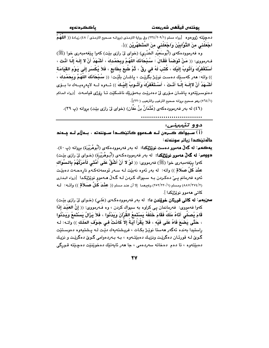لـه چيّنته ژووهوه [رواه مسلم (٢٢٤/٢٠٩/١) وفي رواية الترمـذى (بروانـه صـحيح الترمـذى / ٤٨) زيـادة (( اللَّهُمَّ اجْعَلْني منَ التَّوَّابِيْنَ وَاجْعَلْني منَ الم<sup>َ</sup>تَطَهِّرِيْن ﴾)].

وه فهرموودهكهي (أُبُوسَعيْد الخَدْرِي) (خواي ليّ رازي بيّت) كهوا يـێغهمبهري خوا (ﷺ) فهرمووى: (( مَنْ تَوَضَأَ فَقَالَ : سُبْحَانَكَ اللَّهُمَّ وبِحَمْدِكَ ، أَشْهَدُ أَنْ لا إِلَـهَ إِلَّا أَنْت أَسْتَغْفَرُكَ وَٱتُّوبُ إِلَيْكَ ، كُتَبَ لَهُ في رقِّ ، ثُمَّ طُبِعَ بِطَابِعٍ ، فَلاَ يُكْسَرِ إِلَى يَوْم القيَامَة )) واته: هەر كەسىيّك دەست نويْـِرْ بگريْـت ، ياشـان بلّيْـت: (( سُـبْحَانَكَ اللّهُمَّ وَبِحَمْدِكَ ، أَشْـهَدُ أَنْ لاإلَــهَ إِلَّــا أَنْـتَ ، أَسْـتَغْفِرُكَ وَأَتُــوبُ إِلَيْـكَ )) ئــهوه لــه لاپهرِهيــهك دا بــوّى دەنوسىرێتەوە پاشـان مـۆرى لىٰ دەدرێت بـەمۆرێك ناشـكێت تـا رۆژى قيامـەت [(رواه الحـاكم (٥٦٤/١) وهو صحيح بروانه صحيح الترغيب والترهيب (٢٢٠)].

(٤٦) له بهر فهرموودهكهي (عُثْمَانُ بنُ عَفَّانِ) (خواي ليِّ رازي بيّت) بروانه (پ ٣٩).

دوو تٽيبيني:

...<br>(i) سـيواک کــردن لــه هــههوو کاتيٽڪــدا ســوننهته ، بــهلٌم لــه چــهند دالەتىٽكدا زياتر سوننەتە :

يهكمو: له گەلّ هەمور دەست نويێێکدا: له بەر فەرموردەكەي (أُبُوهُرَيْرَة) بروانه (پ ٤٠). دووهم: له گەلّ مەمور نوێژێکدا: له بەر فەرموردەکەي (أَبُـوهُرَيْرة) (خـواي ليّ رازى بێت) كەوا يێغەمبەرى خوا (ﷺ) فەرمورى: (( لَوْ لا أَنْ أَشُقَّ عَلَى أَمَّتَى لَأَمَرْتُهُمْ بِالسِّوَاك عَنْدَ كُلِّ صَلاقٍ )) واته: له بهر ئهوه نهبيّت لـه سـهر ئوممهتهكـهم نارهـحـهت دهبيّـت ئەوە فەرمانم يـيّ دەكـردن بـه سـيواك كـردن لـه گـهڵ ھــهموو نوێژێكدا [(رواه البخارى (٨ /٨٧/٢٧٤/٢) ومسلم (٢٥٢/٢٢٠/١) وغيرهما إلا أن عند مسلم (( عَثْمَدَ كَلِّ صَلاَقٍ )) واتـه: لـه کاتي ههموو نوێژێکدا ].

**ستن بهم: له کاتی قورئان خویّندن دا:** له بهر فهرموودهکهی (عَلـی) (خـوای لیّ رازی بیّـت) كهوا فهمووى: فهرمانمان پي كراوه به سيواك كردن ، وه فــهرمووى: (( إنَّ العَبْـدَ إذَا قَامَ يُصنِّي أَتَاهُ مَلَكٌ فَقَامَ خَلْفَهُ يَسْتَمعُ القُرْآنَ وَيَدْنُوا ، فَلاَ يَرْالُ يَسْتَمعُ وَيَدْنُوا ، حَتَّى يَصْبَعَ فَاهُ عَلَى فَيْه ، فَلا يَقْرَأُ آيَـةً إلاّ كَانَتْ فـى جَـوْف المَلَك )) واتـه: ك راستيدا بەندە ئەگەر ھەستا نوێژ بكات ، فريشتەيەك دێت لـه پـشتيەوە دەوسـتێت گـویٌ لـه قورئـان دهگرێـِت ونزیـِك دهبێتـهوه ، بـه بـهردهوامی گـویؒ دهگرێـِت و نزیـِك دهبێتەوه ، تا دەم دەخاتە سەردەمى ، جا ھەر ئايەتێك دەخوێنێت دەچێتە قـورگى

**YV**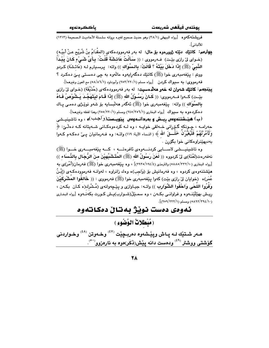.<br>فريشتهكهوه [رواه البيهقي (٢٨/١) وهو حديث صحيح لغيره بروانه سلسلة الأحاديث الـصحيحة (١٢١٢) للألباني].

**يوارهم: كاتيّك ديّته ژوورهوه بوّ مال:** له بهر فهرموودهكهى (المقْدَامُ بنُ شُرَيْح عـنْ أبيْـه) (خـواي ليْ رازي بيْـت) ۖ فـهرمووي : (( سَـأَلْتُ عَائـشَةَ قُلْـتُ: بِـأَيِّ شَـيْءٍ كَـانَ يَبْـدَأُ النَّبِيّ (ﷺ) إِذَا دَخَلَ بَيْتَهُ ؟ قَالَتْ: بِالسِّوَاكِ )) واته: پرسـيارم لـه (عَائـشَة) كـردو وونتم : پێغەمبەرى خوا (ﷺ) كاتێك دەگەراپەوە ماڵەوە بە چى دەسىتى پىێ دەكىرد ؟ فه رمووي: به سبيواك كردن [رواه مسلم (٢٥٢/٢٢٠/١) وأبوداود (٥٨/٨٦/١) مع العون وغيرهما].

ي**يننجهم: كاتيّك شەوان له خەو ھەلدەسىيت:** له بەر فەرموودەكەي (حُذَيْفَة) (خـواي ليّ رازي بيِّـت) كــهوا فــهرمووى: (( كَـانَ رَسُــوْلُ الله (ﷺ) إِذَا قَـامَ ليَتَهَجَّـدَ يَـشُوْصُ فَـاهُ بِالسِّوَاك )) واته: پێغەمبەرى خوا (ﷺ) ئەگەر ھەلبسايە بۆ شەو نوێژى دەمى يـاك دهكردهوره به سيواك [رواه البخاري (٢٤٥/٣٥٦/١) ومسلم (٢٤٥/٢٢٠/١) وهذا لفظه وغيرهما].

(ب) هیـْـشتنهوهس رِیــش و بهردانــهوهس پیویــست(واَحِـب)ه ، وه تاشینیــشی حِهرامــه ، چِــوِنکهِ گــۆِرِانى خــهالقى خوايــه ، وه لــه کردهوهکــانى شــهيتانه کــه دهڵــێ: ﴿ وَلَآمُرَنَّهُمْ فَلَيُغَيُّرُنَّ خَلْسَقَ الله ﴾ (النساء الآية: ١١٩) وإتـه: وه فـهرمانيان يــيٌ دهكـهم كـهوا بەدىھێنراوەكانى خوا بگۆرن .

وه تاشينيــــشي لاســــايي كردنـــــەوهي ئافرەتـــــه ، كــــه يێغەمبــــەرى خــــوا (ﷺ) نهفەرەت(لَعْنَة)ى لِنّ كردووه (( لَعَنَ رَسُولُ الله (ﷺ) المُتَشَبِّهيْنَ منَ الرُّجَال بِالذِّسَاء )) [رواه البخارى (٢٢٢/١٠/٥٨٨٥) والترمذي (٢٩٢٥/١٩٤/٤) ، وه پێغهمبهوري خوا (ﷺ) فه<code>o</code>رمان(أَمْر)ى به هێشتنهوهي کردوه ، وه فهرمانيش بۆ (وَاجِبِ)ه وهك زانراوه ، لهوانـه فهرموودهکـهي (إِبْنُ عُمَر)ه (خوايان ليّ رازي بيّت) كهوا ينفهمبهري خوا (ﷺ) فهرمووي : (( خَالفُوا المُشْرِكَيْنَ وَفَرُوا اللَّحَى وَاحْفُوا الشُّوَارِبِ )) واتـه: جيـاوازي و يێـڃهوانهي (مُـشْرك(ه كـان بكـهن ، ريـش بهێڵێنــهوه و فراوانــي بكــهن ، وه سمــێڵ(شــوارب)پــش كــورت بكهنــهوه [رواه البخـاري (٥٨٩٢/٢٩٤/١٠) ومسلم (٢٢٢/٢١/٢٥٩)].

### ئەوەي دەست نوٽژ بەتان دەكاتەوە

(مُبْطَلاتٌ الوُضُوءِ )

هـهر شـتێك لـه پـاش وپێـشهوه دهربـچێت <sup>(٤٧)</sup> وخـهوتن <sup>(٤٨)</sup> وخـواردنى گۆشتى ووشتر <sup>(٤٩)</sup> ودەست دانە پێش(ذَكَر)ەوە بە ئارەزوو<sup>(٥٠)</sup>.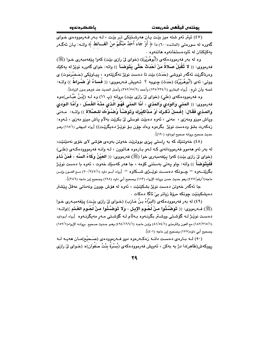(٤٧) ئيتر ئەو شتە ميز بيّت يان ھەرشتيكى تر بيّت ، لـه بـهر فـهرموودەي خـواي گەورە لە سورەتى (المائدە: ٦٠) دا ﴿ أَوْ جَاءَ أَحَلُّ مِنْكُمْ منْ الْغَـــائط ﴾ واتــه: يـان ئەگــەر يەكێكتان لە ئاودەستخانەوە ھاتنەوە .

وه له بهر فهرموودهکهي (أَبُوهُرَيْرة) (خواي ليّ رازي بيّت) کهوا بيّفهمبهري خـوا (ﷺ) فه٫مووى: (( لا تُقْبَلُ صَلاةُ مَنْ أَحْدَثَ حَتَّى يَتَوَضَعَأَ )) واته: خواى گهوره نوێژ له يهكێك وهرناگرێت ئەگەر تووشى (حَدَث) بێت تا دەست نوێژ نەگرێتەوە ، پيـاوێکى (حَـضْرَمَوت) ى ووتى: ئەي (أَبُوهُرَيْرُة) (حَدَث) چىيە ؟ ئەويش فـەرمووى: (( فَساءٌ أَوْ ضُراطٌ )) واتـه: تسه يان تره . [رواه البخاري (٢٣٥/٢٣٤/١) وأحمد (٣٥٢/٧٥/٢) وأصل الحديث عند غيرهم بدون الزيادة] .

وه فه رموودهکهی (عَلیٍ) (خوای لیٌ رازی بیّت) بروانه (پ ۱۱) وه لـه (إِبْـنُ عَبَّـاس)هوه فهرمووى: (( المَنْى وَالوَدى وَالمَدْى ، أَمَّا المَنْى فَهُوَ الَّذى منْهُ الغُسْل ، وَأَمَّا الـوَدى وَالمَذِي فَقَالَ: إِغْسِلْ ذَكَرِكَ أَوْ مَذَاكِيْرِكَ وَتَوَضَّأْ وُصْنُوْءَكَ للبصَّلاَة )) واتـه: ۚ مـهنى وياش ميزو ومەزى ، مەنى ، ئەوە دەبێت غوسلى لىْ بكرێت بەلام ياش ميزو مەزى ، ئـەوە: زهکەرت بشۆ ودەست نوێژ بگرەوە وەك چۆن بىۆ نوێـژ دەيگرێـت)) [رواه البيهقى (١١٥/١) ومـو حديث صحيح بروانه صحيح ابوداود (١٩٠)].

(٤٨) خەوتنىيك كە بە راستى پى بووترىيت خەوتن بەوەي ھۆشى لاي خۆي نەمىيىنىت، له بهر ئهو ههموو فهرموودانهي كـه لـهو بـارهوه هـاتوون ، لـه وانـه فهرمووودهكـهي (عَلـى) (خواي ليْ رازي بيّت) كهوا ييْغهمبهري خوا (ﷺ) فهرمووي: (( العَيْنُ وكَاءُ السَّه ، فَمَنْ نَـامَ فَلَيَتَوَضَأَ )) واته: چاو پەتى بەستنى كۆمە ، جا ھەر كەسێك خەوت ، ئەوە با دەست نوێـژ بگرێتــهوه – چــونکه دهســت نوێــژی شـــکاوه – [رواه أبــو داود (٢٠٠/٢٤٧/١) مــع العــون وإبــن ماجه(١/رقم/٤٧٧) وهو حديث حسن بروانه الإرواء (١١٣) وصحيح أبي داود (١٩٨) وصحيح إبن ماجه (٣٨٦)] .

جا ئەگەر خەوتن دەست نوێژ بشكێنێت ، ئەوە لە ھۆش چوون ونەمانى عەقلْ يێشتر دەيشكىنێت چونكە مرۆۋ زياتر بى ئاگا دەكات .

(٤٩) له بهر فهرموودهکهي (البَرَّاءُ بنُ عَازب) (خـواي ليّ رازي بێت) پێغهمبـهري خـوا (ﷺ) فـ4رمووى: (( تَوَضَّـُّوا منْ لَحُـوم الإبـل ، وَلا تَوَضَّـُّوا منْ لَحُـوم الغَـنَم ))واتــه: دەست نوێـِژ لــه گۆشـتـى ووشــتر بگرنــهوه بــهڵام لــه گۆشـتـى مــهر مەيگرنــهوه [رواه أبـوداود (١/١٥/١/١٥) مع العون والترمذي (١/٥٤/١) وإبن ماجه (١/١٦٦/١) وهـو حديث صـحيح بروانـه الإرواء(١٥٢/١) وصحيح أبي داود(١٧٧) وصحيح إبن ماجه (٤٠١)].

(٥٠) لـه بـارهي دهسـت دانــه زهكـهرهوه دوو فــهرموودهي (صَـحيْح)مـان ههيـه لــه رووكهش(ظَاهر)دا دژ به بهكن ، ئەويش فەرموودەكەي (بُسْرَة بِنْتُ صَفوَان)ە (خــواي ليٌ رازي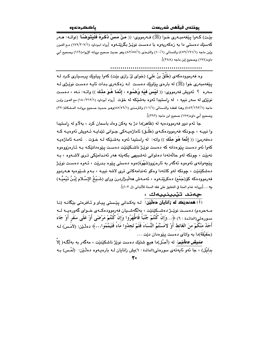يوذتەن فيقھن شەربعەت

باككردنهوه

بِيّت) كـهوا ينفهمبـهري خـوا (ﷺ) فـهرمووي: (( مَنْ مَسَّ ذَكَرَهُ فَلْيَتَوَضَّأ ))واتـه: هـهر کهسێك دهستی دا به زهکهريهوه با دهست نوێـِژ بگرێتـهوه [رواه ابـوداود (١٧٩/٢٠٧/١) مـع العـون وإبن ماجه (٤٧٩/١٦١/١) والنسائي (١٠٠/١) والترمذي (٨٢/٥٥/١) وهو حديث صحيح بروانه الإرواء(١١٦) وصحيح أبي داود(١٧٤) وصحيح إبن ماجه (٣٨٨)].

وه فهرموودهکهی (طَلقٌ بنُ عَلی) (خوای ليّ رازی بێت) کهوا پياوێك پرسـياری کـرد لـه يێغەمبەرى خوا (ﷺ) لە بارەي يێاوێك دەست لـە زەكـەرى بـدات ئايـە دەست نوێـژى لـە سەرە ؟ ئەويش فەرمووى: (( لَيْسَ فَيْه وُصْنُوء ، إِنَّمَا هُوَ مِنْكَ )) واتـه: نـهء ، دەسـت نوێژی له سهر نییه ، له راِستیدا ئهوه بهشێکه له خوّت [رواه أبوداود (١٨٠/٢١٢/١) مع العون وإبن ماجه (١/٦٢//١٦٢) وهذا لفظـه والنـسائي (١٠١/١) والترمـذي (٥/٥/٥/١)وهـو حـديث صـحيح بروانـه المـشكاة(٣٢٠) وصحيح أبي داود(١٧٥) صحيح ابن ماجه (٣٩٢)].

جا ئهم دوو فهرموودهيه له (ظَاهر)دا دژ به يهكن وهك باسمان كرد ، بهلام له راستيدا وا نبیـه ، چـونکه فهرموودهکـهی (طَلـق) ئاماژهیـهکی جـوانی تێدایـه ئـهویش ئهوهیـه کـه دەفەرمێ: (( إِنَّمَا هُوَ مِنْكَ )) واتە: له راستيدا ئەوە بەشىێكە لـه خـۆت . ئەمـە ئاماژەيـە کەوا ئەو دەست يێوەدانە کە دەست نوێـژ ناشـکێنێت دەسـت يێوەدانێکـە بـە ئـارەزووەوە نەبێت ، چونكه لەو حالّەتەدا دەتوانى تەشبىھى بكەيتە ھەر ئەندامێكى تىرى لاشـەوە ، بـە يێڇەوانەي ئەوەوە ئەگەر بە ئارەزوو(شَهْوَة)ەوە دەستى يێوە بـدرێت ، ئـەوە دەست نوێـژ دهشکێنێت ، چونکه لهو کاتهدا وهکو ئهندامهکانی تری لاشه نییـه ، بـهم شـێوهیه هــهردوو فەرموودەكە كۆرجَمْم) دەكرێتـەوە ، ئەمـەش ھەلىبـژاردرن وراي (شَـيْخُ الإِسْـلام إِبْـنُ تَيْميُّـه) يه . . . [بروانه تمام المنة في التعليق على فقه السنة للألباني (ل ١٠٣)].

چەند تێبينييەك :

راً) همنديک له زانايان دملينن: له يهکدانی پيستی پياو و ئافرهتی بيکانه (نا مـهحرهم) دهسـت نوێــژ دهشــکێنێت ، بهڵگهشــیان فهرموودهکــهى خــواى گهورهیــه لــه سـورهتي(المائـدة : ٦) ﴿...وَإِنْ كُنْتُمْ جُنُبَاً فَاطْهَرُوا وَإِنْ كُنْتُمْ مَرْضَى أَوْ عَلَى سَفَر أَوْ جَاءَ أَحَدُ مِنْكُمْ منَ الغَائط أَوْ لامَسْتُمُ النِّسَاءَ فَلَمْ تَجِدُوا مَاءً فَتَيَمَّمُوا...﴾ دهلـێن: (لأمَّسَ) ك (حَقَيْقَة)دا به واتاى دەست يێوەدان دێت ...

*مُفيش دَللَيْم:* له (أَصْل)دا هيچ شتنيك دەست نوێژ ناشكێنێت ، مەگەر بە بەلگە( إلا بدَلَیْل) ، جا ئەو ئایەتەی سورەتى(المائدة : ٦)پش زانایان لـــه بارەپـــەوە دەڵـێن: (لَمْـس) بــه

٣.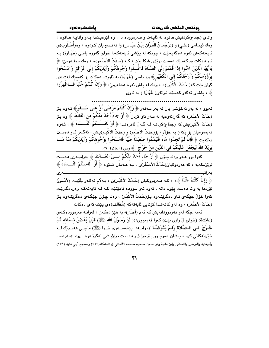واتای (جمَاع)کردنیش هاتوه له ئایـهت و فـهرمووده دا ، وه لێرهیـشدا بـهو واتایـه هـاتوه ، وهك ئيمـامي (عَلـى) و (تَرْجُمَـانُ القُـرْآن إِبْـنُ عَبَّـاس) وا تـهفـسيريان كـردوه ، وه(أُسْـلُوب)ى ئايەتەكەش ئەوە دەگەيەنێت ، چونكە لە يێشى ئايەتەكەدا خواي گەورە باسى (طَهَـارَة) بـە ئاو دهکات بۆ کەسێك دەست نوێژى شکا بێت ، کـه (حَدَثُ الأَصْـغَر)ە ، وەك دەڧـەرمێ: ﴿ يَاأَيُّهَا الَّذيْنَ آمَنُوا إذَا قُمْتُمْ إِلَى الصَّلَاة فَاغْسلُوا وُجُوهَكُمْ وَأَيْديْكُمْ إِلَى المَرَافق وَامْسَحُوا برُوُُوسكُمْ وَأَرْجُلَكُمْ إِلَى الكُعْبَيْنِ﴾ وه باسي (طَهَارَة) به ناويش دهكات بۆ كەسێك لەشـەي گران بيّت كه( حَدَثُ الأُكْبَر )ه ، وهك له ياش ئەوه دەفەرمى، ﴿ وَإِنْ كُنْتُمْ جُنُبَاً فَــاطَّهَرُوا ﴾ ، ياشان ئەگەر كەسىيك تواناي( طَهَارَة ) بە ئاوى

نهبوو ، له بهر نهخۆشى يان له بهر سەفەر ﴿ وَإِنْ كُنْتُمْ مَرْضَى أَوْ عَلَى سَـــفَرِ﴾ ئــهوه بـۆ (حَدَثُ الأَصْغَرِ) كه گەرانەوەيە لە سەر ئاو كردنَ ﴿ أَوْ جَاءَ أَحَدٌ منْكُمْ من الْغَائُطُ ﴾ وە بـۆ (حَدَثُ الأَكْبَر)يش كه (جمَاع)كردنـه لـه گـهالْ ئافرەتـدا ﴿ أَوْ لَامَــَـسْتُمُ اَلْنَّــسَاءَ ﴾ ، ئـهوه تهيمموميان بۆ بكەن بە خۆلّ ، بۆ(حَدَثُ الأَصْغَر) و (حَدَثُ الأَكْبَـر)يش ، ئەگـەر ئـاو دەسـت نهكەوت ﴿ فَإِنْ لَمْ تَجِدُوا مَاءً فَتَيَمَّمُوا صَعِيْدَاً طَيِّبًا فَامْسَحُوا بوُجُوهكُمْ وَأَيْديْكُمْ منْهُ مَــا يُويْلُهُ اللَّهَ لَيَجْعَلَ عَلَيْكُمْ فِي الدِّيْنِ منْ حَرَجَ..﴾ (سورة المائدة :٦).

كهواً بوو هــهـر وهك چـۆن ﴿ أَوْ جَاء أَحَلْهُ منْكُمْ مــــنَ الغَـــائط ﴾ بـهرانبــهرى دهسـت نويْژەكەيە ، كە ھەردوكيان(حَدَثُ الأصْغَر)ن ، بـه ھـەمان شىيوە ﴿ أَوْ ۖ لَامَسْتُمُ النِّـــسَاءَ ﴾ بەرانب ﴿ وَإِنْ كُنْتُمْ جُنُبَاً ﴾ه ، كـه هــه(دووكيان (حَـدَثُ الأكْبَـر)ن ، بــهلام ئهگـهر بلّينيـت (لأمَـسَ) لێرهدا به واتا دهست پێوه دانه ، ئەوه ئەو سووده نامێنێت کـه لـه ئاپەتەکـه وەردەگیرێـت کەوا خۆلّ جِيْگەى ئـاو دەگريتـەوە بـۆ(حَـدَثُ الأَكْبَـر) ، وەك چـۆن جِيْگـەى دەگريتـەوە بـۆ (حَدَثُ الأصْغَر) ، وه لهو كاتهشدا كۆتايى ئايەتەكە (مُخَالف)ەي يێشەكەي دەكات .

ئهمه جگه لهو فهرموودانهيش که ئهم (أصْل)ه به هێز دهکهن ، لهوانـه فهرموودهکـهی (عَائشَة) (خواي ليْ رازي بيّت) كهوا فهرمووي:(( أَنَّ رَسُوْلَ الله (ﷺ) قَبْلَ بَعْضَ نِساَئه ثُمَّ خَبرَجَ إِلَـى الـصَّلاَة ولَـمْ يَتَوَضَّـأ )) واتــه: يێفهمبــهري خــوا (ﷺ) ماجــي ههنــدێك لــه .<br>خێزانهکانی کرد ، پاشان دهرچوو بـۆ نوێـژ و دهسـت نوێژپـشی نهگرتـهوه [رواه الإمـام احمـد وأبوداود والترمذي والنسائي وإبن ماجة وهو حديث صحيح صححه الألباني في المشكاة(٣٢٣) وصحيح أبـي داود (١٧١)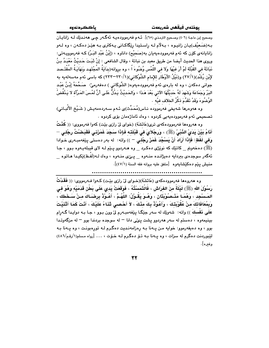وصحيح إبن ماجـة (٤٠٦) وصـحيح الترمـذي (٦٥)]. ئــهم فـهرموودهيــه ئـهگــهر چــي هـهـنـدێك لــه زانايــان بـه(ضَعيْف)يـان زانيـوه ، بـهلاّم لـه راسـتيدا رێگاكـانى يـهكترى بـه هێـز دهكـهن ، وه لـهو زانايانەي كۆن كە ئەم فەرموودەيەيان بە(صَحيْح) داناوە ، (إِبْنُ عَبْد البَـرّ) كـه فەرموويـەتى: وروى هذا الحديث أيضا من طريق معبد بن نباتة ، وقال الشافعي : إنْ ثَبَتَ حَديثُ مَعْبَدُ بنُ نَبَاتَةَ في القُبْلَة لَمْ أَرَ فيهَا وَلا في اللَّمْس وُضُوءَ اً ، وه برِوانه(بدَايَةُ المُجْتَهد وَنهَايَـةُ المُقْتَـصد لإِبْن رُشْد)(٢٧/١) و(نَيْلُ الأَوْطَار للإمام الشَّوْكانى)(٢٣٠/١/١) كه باسى ئهم مهسهلهيه به جوانی دهکهن ، وه له بارهی ئهم فهرموودهیهوه( الشَّوکَانی ) دهفهرمیٌ: صَـحَّحَهُ إبْـنُ عَبْـد البَرّ وَجَمَاعَة وَشَهِدَ لَهُ حَديْثُهَا الآتي بَعْدَ هَـذَا ، وَالحَـديْثُ يَـدُلُّ عَلَـي أَنَّ لَمْـسَ المَـرْأة لا يَـنْقُضُ الوُضُوءَ وَقَدْ تَقَدَّمَ ذكْرُ الخلاف فيْه ٠

وه هەوەرها شەيخى فەرموودە نـاس(مُحَدِّث)ى ئـهم سـەردەمەيـش ( شَـيْـغ الأَلْبـانى) تصحيحي ئەم فەرموۋدەيەيى كردوە ، وەك ئاماژەمان بۆي كردوە .

وه هەروەها فەرموودەكەي ترى(عَائشَة) (خواي ليّ رازي بيّت) كەوا فەرمووي: (( كُنْتُ أَنَامُ بَيْنَ يَدَىٰ النَّبْيّ (ﷺ) ، وَرجْلاَىَ في قَبْلَتَـه فَإِذَا سَجَدَ غَمَزَنـى فَقَبَـضْتُ رجْلـى — وَفِي لَفْظِ: فَإِذَا أَرَادَ أَنْ يَسْجُدَ غَمَزَ رِجْلـِي – )) واته: له بهر دهستي يێغهمبـهري خـوادا (ﷺ) دهخەوتم \_ كاتێك كە نوێژى دەكـرد \_ وە ھــەردوو پـێم لــە لاي قيبلەپـەوە بـوو ، جـا ئەگەر سوجدەي بىردايە دەيژانىدە منـەوە \_ يــێى منـەوە ، وەك لـە(لَفْـظ)ێِكيـدا ھـاتوە \_ منيش ينم دهكيشايهوه [متفق عليه بروانه فقه السنة (٤٧/١)].

وه هەروەها فەرموودەكەي (عَائشَة)(خـواي ليٌ رازي بيّـت) كـەوا فـەرمووي: (( فَقَدْتُ رَسُوْلَ الله (ﷺ) لَيْلَةً منَ الفرَاشِ ، فَالْتَمَسْتُهُ ، فَوَقَعَتْ يَدِي عَلَى بَطْنِ قَدَمَيْه وَهُوَ في المَـسنْجِدِ ، وَهُمَـا مَثْـصُوْبَتَانِ ، وَهُـوَ يَقُـوْلُ: اللّهُـمَّ ، أَعُـوْذُ بِرِضَـاكَ مـنْ سَـخَطكَ ، وَبِمُعَافَاتِكَ منْ عُقُوْبَتِكَ ، وَأَعُوْذُ بِكَ مِنْكَ ، لاَ أَحْصِى ثَنَـاءً عَلَيْكَ ، أَنْتَ كَمَا أثْنَيْتَ عَلَى نَفْسكَ )) واته: شەوێك له سەر جێگـا يێغەمبـەرم لىٚ وون بـوو ، جـا بـه دوايـدا گـەرام بینیمهوه ، دهستم له سهر ههردوو پشت پیٌی دانا – له سوجده بردندا بوو – له مزگهوتـدا بوو ، وه دهيفهرموو: خوايه من يـهنا بـه رهزامهنديت دهگرم لـه تورهبونـت ، وه يـهنا بـه لێبوردنت دهگرم له سزات ، وه پهنا بـه تــوٌ دهگـرم لــه خــوّت ، . . . [رواه مـسلم(١/رقـم/٤٨٦) وغىرە].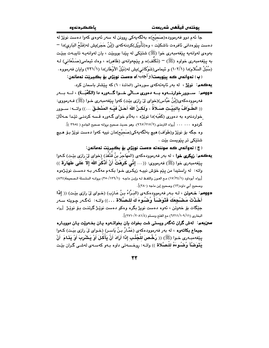جا ئهم دوو فهرمووده(صَحيْحَ)ه بهڵگهيهکي روونن له سهر ئهوهي کهوا دهست نوێژ له دەست بێوەدانى ئافرەت ناشكێت ، وە(تَأْوِيْل)كردنەكەي (إِبْنُ حَجَر)بِش لە(فَتْحُ البَارِي)دا ー بهوهي لهوانهيه پيٽغهمبهري خوا (ﷺ) شتيکي له پيدا بوويٽت ، پان لهوانهيـه تابيـهت بيٽيت به پێغهمبهري خواوه (ﷺ) – (تَكَلَّف)ه و پێچهوانهي (ظَاهر)ه ، وهك ئيمامي(صَنْعَاني) لـه (سُبُلُ السَّلام)دا (١٠٢/١) و ئيمامي(شَوْكَاني)يش له(نَيْلُ الأوْطَار)دا (١/٢٣١) وايان فهرمووه .

(پ) نهوانهم ڪه پيٽويست(واُجِب)ه دهست نويٽڻ بو بڪيريٽ نهمانهن: **يەكەم: نوێژ،** لە بەر ئايەتەكەي سورەتى (المائدة : ٦) كە يێشتر باسمان كرد. =195م: ســوور خوارنـــهوه بـــه دهوری مـــالّی خـــوا گـــهوره دا (الكَعْبَـــة) ، لـــه بـــهر

فهرموودهکهي(إبْنُ عَبَّاس)(خواي ليّ رازي بيّت) کهوا يـيّغهمبهري خـوا (ﷺ) فـهرمووي: (( الطّـوَافُ بِالبَيْـت صَـلاَةٌ ، ولَكـنَّ اللهَ أَحَـلَّ فيْــه المَنْطـقَ …)) واتــه: ســوور خواردنهوه به دهوري (کَعْبَه)دا نوێژه ، بهلاّم خوای گـهوره قـسه کردنـی تێدا حــهلّالٌ وه جگه بۆ نوێژ و(طَوَاف) هيچ بهڵگەيەكى(صَحيْح)مان نييه كەوا دەست نوێژ بـۆ هـيچ

شتێکی تر یێویست بێت ٠

( ج ) ئەوانەس كە سوننەتە دەست نوپژس بۆ بگيريت ئەمانەن:

- يهكمم: زيكري خوا ، له بهر فهرموودهكهي (المُهَاجِرُ بنُ قُتْفُذ) (خواي ليّ رازي بيّـت) كـهوا ينِغهمبهري خوا (ﷺ) فهرمووي: ((… إِنِّي كَرِهْتُ أَنْ أَذْكُرَ اللَّهَ إِلاَّ عَلَى طَهَارَة )) واته: له راستيدا من پێم خۆش نييـه زيكـرى خـوا بكـهم مهگـهر بـه دهسـت نوێـژهوه [رواه أبوداود (١٧/٣٤/١) مع العون واللفظ لـه وإبن ماجـه (١٢٦/١/١٣٥) بروانـه السلسلة الـصحيحة(٨٣٤) وصحيح أبي داود(١٣) وصحيح إبن ماجه (٢٨٠)].
- دووهم: خـهوتن ، لـه بـهر فهرموودهكـهى (البَـرَّاءُ بـنُ عَـازب) (خـواى ليّ رازى بيّـت) (( إِذَا أَخَذْتَ مَصْبْحِكَ فَتَوَضِّأَ وُضْنُوءَ كَ للصَّلاة . . .)) واتــه: ۚ ئـه گــه ر جـويته ســه ر جێؚگات بۆ خەوتن ، ئەوە دەست نويژ بگرە وەكو دەست نوێژ گرتنـت بـۆ نوێـژ [رواە البخاري (١١/١٠٩/١٠٩) مع الفتح ومسلم (٤/٢٠٨١/١/١)].
- سن بهم: لهش گران ئهگەر ويستى شت بخوات بان بخواتـهوه بـان بخـهويّت بـان دوويـاره جِيماع بِكاتهوه ، له بهر فهرموودهكهي (عَمَّـارُ بنُ يَاسـر) (خـواي ليَ رازي بيَـت) كـهوا بِيّفهمبهري خـوا (ﷺ) (( رُخِّص َ للْجُنُبِ إِذَا أَرَادَ أَنْ يَأْكُلَ أَوْ يَشْرِبَ أَوْ يَذَامَ ۖ أَنْ يَتَوَضَّأَ وُضُوءَهُ للْصَّلاة )) واتـه: روخـسهتى داوه بـهو كهسـهى لهشـى گـران بێـت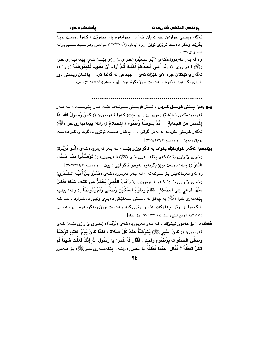.<br>ئهگهر ويسٽي خواردن بخوات بان خواردن بخواتهوه بان بخهوٽت ۽ ڪهوا دوست نوٽڻ بگریّت وهکو دهست نوی٘ژی نوی٘ژ [رواه أبوداود (۱/۲۲/۲۷۰) مع العون وهـو حـدیث صـحیح بروانـه الوحيز (ل ٣٩)].

وه له بـهر فهرموودهکـهي (أُبُـو سَعيْد) (خـواي ليّ رازي بيّـت) کـهوا بيّغهمبـهري خـوا (ﷺ) فـه(مووى: (( إِذَا أَتَـى أَحَدُكُمْ أَهْلَـهُ ثُمَّ أَرَادَ أَنْ يَعُودَ فَلْيَتَوَضَّأَ )) واتـه: ئهگەر يەكێكتان چوه لاى خێزانەكەى – جيماعى لە گەلّدا كرد – پاشـان ويـستى دوو باره ی بکاتهوه ، ئهوه با دهست نویز بگریتهوه [رواه مسلم (٢٠٨/٢٤٩/١) وغیره].

**يــوارەم: يــێش غوسـل كــردن** ، ئــيتر غوسـلى سـوننهت بێـت يـان يێويـست ، لــه بــهر فه رمووده كه ي (عَائشَة) (خواي ليّ رازي بيّت) كـهوا فـه رمووي: (( كَمانَ رَسُمُولُ الله إذَا إِغْتَسِلَ مِنَ الجَذَابَة. . . ثُمَّ يَتَوَضَّأُ وُضُوءَ هُ للصَّلاة )) واته: ييْغهمبهري خوا (ﷺ) ئەگەر غوسلى بكردايە لە لەش گرانى … پاشان دەست نوێژى دەگرت وەكـو دەسـت نويزمي نويز [رواه مسلم (٢١٦/٢٥٢/١)].

- ييٽنجهم: ئەگەر خواردنێك بخوات بە ئاگر برژاو بێت ، كە بەر فەرموودەكـەي (أَبُـو هُرَيْـرَة) (خواي ليّ رازي بيّت) كهوا يێغهمبهري خـوا (ﷺ) فـهرمووي: (( تَوَضَّـَّأُوا ممَّـا مَسَّت النَّانُ )) وإنه: دەست نوێژ بگرنەوە لەوەي ئاگر لٽي دائٽت [رواه مسلم (٢٥٢/٢٧٢/١)]. وه ئەو فەرمانەيش بۆ سوننەتە ، لـە بـەر فەرموودەكـەي (عَمْـرُو بـنُ أُمَيَّـة الـضُمَرِي) (خواي ليْ رازي بيْت) كـهوا فـهرمووي: (( رِأَيْتُ النَّبِيَّ يَحْتَنُّ منْ كَتْف شَاةٍ فَأَكَلّ منْهَا فَدُعىَ إِلَى الصَّلاة ، فَقَامَ وَطَرَحَ السِّكِّيْنِ وَصَلَّى وَلَمْ يَتَوَضَّأْ )) واته: بينـيم يٽِغەمەرى خوا (ﷺ) بە چەقۆ لە دەستى شـەكێكى دەبـرى ولێـى دەخـوارد ، جـا كـە .<br>بانگ درا بۆ نوپژ چەقۆكەي دانا و نوپژی كرد و دەست نوپژی نەگرتـەوە [رواه البخـاری (٢٠٨/٣١١/١) مع الفتح ومسلم (٢٧٤/١/ ٣٥٥/٣٥) وهذا لفظه].
- **شهشهم : بق ههموی نویِّـژتاِك** ، لـه بـهر فهرموودهكهى (بُرَيْـدَة) (خـواى ليّ رازى بيّـت) كـهوا فهرمووى: (( كَانَ النَّبِي(ﷺ) يَتَوَضَّأُ عِنْدَ كُلِّ صَلاة ، فَلَمَّا كَانَ يَوْمَ الفَتْحِ تَوَضَّأَ وَصَلَّى الصَّلَوَات بِوُصْنُوءِ وَاحدٍ . فَقَالَ لَهُ عُمَرٍ: يَا رَسُولَ الله إِنَّكَ فَعَلْتَ شَيْئَاً لَمْ تَكُنْ تَفْعَلُهُ ؟ فَقَالَ: عَمْدَاً فَعَلْتُهُ يَا عُمَرٍ )) واتـه: پێغهمبـهري خـوا(ﷺ) بـۆ هـهموو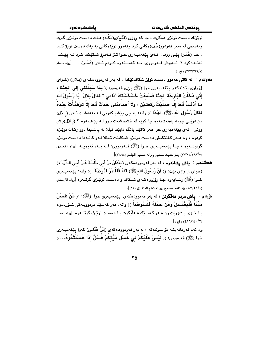نوێژێك دەست نوێژي دەگرت ، جا كە رۆژي (فَتْم)ى(مَكِّه) مـات دەسـت نوێـژي گـرت ومەسچى لە سەر ھەردوو(خُف)ەكانى كرد وھەموو نوێژەكانى بە يەك دەست نوێژ كـرد ، جـا (عُمَر) پٽِي ووت: ئـهي پٽِغهمبـهري خـوا تـۆ ئـهمرۆ شـتٽِكت كـرد لـه پٽِـشدا نهتــدهکرد ؟ تــهویش فــهرمووی: بــه قهســتهوه کــردم تــهی (عُمَــر) . [رواه مـسلم (٢٧٧/٢٣٢/١) وغيره)].

- **دهوتهم : له کاتی مهمور دمست نویْژ شکاندنیْکدا** ، له بهر فهرموردهکهی (بـلال) (خـوای لِّ رازي بيِّت) كهوا پِيِّغهمبهري خوا (ﷺ) بِيِّي فهرموو: (( **بِمَا سَبَقْتَنِي إِلَى الجَنَّة** ، إِنِّي دَخَلْتُ البَارِحَةَ الجَنَّةَ فَسَمعْتُ خَشْخَشَتَكَ أمَامي ؟ فَقَالَ بِلالُ: يَا رَسُولَ الله مَا أَدْنْتُ قَط إِلَّا صَلِّيْتُ رَكْعَتَيْنِ ، وَلاَ أَصَابَتْنِي حَدَثٌ قَط إِلاَّ تَوَضَّأْتُ عِنْدَهُ فَقَالَ رَسُولُ الله (ﷺ): لهَذَا )) واته: به چی پێشم کهوتی لـه بهههشـت ئـهى (بـلال) من دوێني چومه بهههشتهوه جا کوٽِم له خشخشهت بـوو لـه پٽِشمهوه ؟ (بـلال)پـش ووتي: ئەي يێغەمبەرى خوا ھەر كاتێك بانگم دابێت ئيللا لە ياشىيدا دوو ركات نوێـژم کردوه ، وه هـهر کـاتێِکیش دهسـت نوێـژم شـکابێت ئـیللا لـهو کاتـهدا دهسـت نوێـژم گرتۆتــەوە ، جــا يێعەمبــەرى خــوا (ﷺ) فــەرمووى: لــه بــەر ئەوەيــە [رواه الترمــذى (٥/٧٨٢/٢٨٢) وهو حديث صحيح بروانه صحيح الجامع (٧٨٩٤)].
- هُهِشْتُهُمْ ﴾ ياش رشانهُوه ، له بهر فهرموودهكهي (معْدَانُ بنُ أَبِي طَلْحَةَ عَنْ أَبِي الدَّرْدَاء) (خواي لِنْ رازِي بِيْتٍ) (( أَنَّ رَسُولَ الله(ﷺ) قَاءَ فَأَفْطَرَ فَتَوَضَّأَ . )) واته: بِيْغهمبِهري خــوا (ﷺ) رشــايـهوه جــا رۆژووهكــهى شــكاند و دهسـت نوێــژى گرتـــهوه [رواه الترمــذى (٨٧/٥٨/١) وإسناده صحيح بروانه تمام المنة (ل ١١١)].
- نوِّيهم : ياش مردو هەلگرتن ، له بەر فەموودەكەي يێفەمبەرى خوا (ﷺ): (( مَنْ غَسَلَ مَيِّتَا ۖ فَلْيَغْتَسلْ وَمَنْ حَمَلَهُ فَلْيَتَوَضَّأْ ﴾) واته: هەر كەسێك مردوویـەكى شـۆردەوە بـا خــۆی بــشۆرێت وه هــهر کهسـێك هــهڵيگرت بـا دهسـت نوێـژ بگرێتــهوه [رواه احمد (٤٨٦/١٤٥/٢) وغيره].
- وه ئهم فهرمانهیشه بۆ سوننهته ، له بەر فەرموودەكەي (إِبْنُ عَبَّاس) كەوا يێغەمبـەرى خوا (ﷺ) فەرمورى: (( لَيْسَ عَلَيْكُمْ في غُسْل مَيِّتَكُمْ غُسْلٌ إِذَا غَسَلَتْمُوهُ...))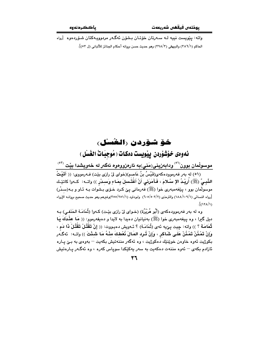واته: پێويست نيپه لـه سـهرتان خۆتـان بـشۆن ئهگـهر مردوويـهکتان شـۆردەوە [رواه الحاكم (٢٨٦/١) والبيهقي (٣٩٨/٣) وهو حديث حسن بروانه أحكام الجنائز للألباني (ل ٥٣)].

### خَوْ شَوْرِدن (الْغُسْلُ)

ئەوەي خۆشۆردن ييمويست دەكات ( مُوجبَاتُ الغُسْل )

موسولْمان بوون<sup>(٥١)</sup> ودابەزينى(مَنِي)به ئارەزووەوە ئەگەر لە خەويشدا بێت <sup>(٥٢)</sup>

(٥١) له بهر فهرموودهکهى(قَيْسُ بنُ عَاصم)(خواى ليّ رازى بيّت) فـهرمووى: (( أَتَيْتُ النَّبِـيِّ (ﷺ) أُرِيْـدُ الإِ سْـلامَ ، فَـأَمَرَنِي أَنْ أَغْتَـٰسلَ بِمَـاءِ وَسـدْرٍ )) واتــه: كــهوا كاتيْـك موسولمان بوو ، پێغهمبهري خوا (ﷺ) فهرماني ييّ كرد خـۆي بـشُوات بـه ئـاو و بـه(سـدْر) [رواه النسائي (١٨٨/١٠٩/١) والترمذي (٢/٥٠٢/٢) وابوداود (١/٢٥١/١٥٩)وغيرهم وهو حديث صحيح بروانــه الإرواء  $\frac{1}{\sqrt{2}}$ 

وه له بهر فهرموودهکهی (أَبُو هُرَيْرُة) (خـوای لِیّ رازی بێت) کـهوا (ثُمَامَـة الحَنَفـی) بـه ديل گيرا ، وه پيغهمبهري خوا (ﷺ) بهنيانيان دهيدا به لايدا و دهيفهرموو: (( مَا عَفَّدَكَ يَا ثُّمَامَة ؟ )) واته: چيت پێيه ئهي (ثُمَامَـة) ؟ ئـهويش دهيـووت: (( إِنْ تَقْتُلْ تَقْتُلْ ذَا دَم ، وِإِنْ تَمْـذُنْ تَمْـذُنْ عَلَـى شَـاكر ، وإِنْ تُـرِد المَـالَ ذُعْطكَ منْـهُ مَـا شَـنْتَ )) واتــه: ئهگـهر بکوژيت ئەوە خاوەن خوێنێك دەكوژيت ، وە ئەگەر مننەتيش بكەيت – بەوەي بە بـێ يـارە ئازادم بکهی – ئەوه مننەت دەکەبت بە سەر بەکێکدا سوياس کەرە ، وە ئەگـەر يـارەتيش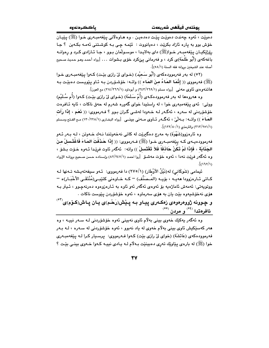دهويت ، ئەوە جەندت دەويت ييْت دەدەيىن . وە ھـاوەلانى ييْغەمبـەرى خـوا (ﷺ) ييْيان خوش بوو به ياره ئازاد بكريّت ، دهيانووت : ئێمـه چـی بـه كوشـتنی ئهمـه بكـهين ؟ جـا رۆژێکپـان پێغەمبـەر خـوا(ﷺ) داي بەلايـدا ، موسـولْمان بـوو ، جـا ئـازادى كـرد و رەوانــه باغهکهي (أَبُو طَلَحَة)ي کرد ، و فهرماني بيِّکرد خوّي بشوات … [رواه أحمد ومو حديث صحيح أصله عند الشيخين بروانه فقه السنة (٥٨/١)].

(٥٢) له بهر فهرموودهکهي (أَبُو سَعِيْد) (خـواي ليّ رازي بيّـت) کـهوا پيّغهمبـهري خـوا (ﷺ) فەرمورى (( إِنَّمَا المَاءُ مِنَ المَاء )) واتــه: خۆشـۆردن بــه ئـاو يـێويـست دەبێـت بــه هاتندودی ناوی مهنی [رواه مسلم (٢٤٣/٢٦٩/١) و أبوداود (٢١٤/٣٦٦/١) مع العون].

وه هەروەها لە بەر فەرموودەكـەي (أُمّ سَلَمَة) (خـواي لِيْ رازي بِيْـت) كـەوا (أُم سُلَيْم) ووټي: ئەي يێغەمبەرى خوا ، لە راستيدا خواي گەورە شەرم لە حەق ناكات ، ئايە ئـافرەت خۆشۆردنى له سەرە ، ئەگـەر لـه خـەودا لەشـى گـران بـوو ؟ فـەرمووى: (( نَعَم ، إِذَا رَأَت العَمَاءَ )) واتــه: بــه لّيٌ ، ئه گــه و ئــاوى مــه ني بينــي [رواه البخـاري (١٢٢/٢٢٨/١) مـع الفـتح ومـسلم (٢١٢/٢٥١/١) والترمذي (١/ ١٢٢/٢٥١).

وه ئارەزوو(شَهْوَة) به مەرج دەگیریْت لە كاتى نەخەوتندا نـەك خـەوتن ، لـه بـەر ئـەو فه رمووده يــهى كـه پێغهمبــهرى خــوا (ﷺ) فــهرمووى: (( إِذَا حَـذَفَتَ المَـاءَ فَاغَتَـسلْ مـنَ الجِذَابَة ، فَإِذَا لَمْ تَكُنْ حَاذْفَاً فَلاَ تَغْتَسلْ )) واته: ئهگەر ئاوت فرێدا ئـهوه خـو٘ت بـشو٘ ، وه نَّه گَهر فريّت نهدا ، ئهوه خوّت مهشــوٚ [روا احمد (٨٢/٢٤٧/١) وإسناده حسن صـحيح بروانــه الإرواء  $\sqrt{\langle 117/2\rangle}$ 

ئیمامی (شَوکَانی) له(نَیْلُ الأَوْطَار) (١/٢٧٥) دا فهرمووی: ئـهو سیفهتهیـشه تـهنها لـه كـاتي ئـارەزوودا ھەيــە ، بۆيــە (المـصَنِّف) – كــە خـاوەنى كتێبـي(مُنْتَقَـى الأَخْبَـار)ە – ووتوپەتى: ئەمەش ئاماژەپە بۆ ئەوەي ئەگەر ئەو ئاوە بە ئـارەزوەوە دەرنەچـوو ، ئـيتر بـە .<br>هۆي نەخۆشىيەوە بێت يان بە هۆي سەرماوە ، ئەوە خۆشۆردن يێوست ناكات و چوونه ژووهرهوهی زهکـهری پیـاو بـه پـیش(رَحْـم)ی یـان یـاش(کـوّم)ی<sup>(٥٢)</sup> ئافرەتدا <sup>(٥٤)</sup> و مردن <sup>(٥٥)</sup>

وه ئەگەر پەكێك خەوي بېنى بەلام ئاوي نەبېنى ئەوە خۆشۆردنى لـە سـەر نييــە ، وە هەر كەسێكيش ئاوى بينى بەلاّم خەوى لە ياد نەبوو ، ئەوە خۆشۆردنى لە سـەرە ، لـە بـەر فهرموودهکهی (عَائشَة) (خوای لیٌ رازی بیّت) کـهوا فـهرمووی: یرسـیار کـرا لـه یـیّغهمبـهری

37

خوا (ﷺ) له بارهي پێاوێك تەرى دەبينێت بـﻪلام لـﻪ پـادى نيپـﻪ كـﻪوا خـﻪوى بينـي بێـت ؟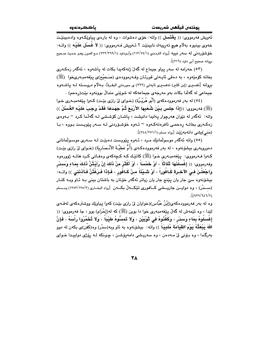ئەويش فەرمووى: (( يَغْتَسل )) واتە: خۆى دەشوات ، وە لە بارەي پياوێِكەوە وادەبينێت خەوى بينيوه بەلّام هيچ تەرپيەك نابينێت ؟ ئـەويش فـەرمووى: (( لاَ غَسلْلَ عَلَيْـه )) واتـه: خُوْشِوْرِدِنِي له سهر نبييه [رواه الترمذي (١١٣/٧٤/١) وأبـوداود (١٢٣/٢٩٩/١) مـم العـون وهـو حـديث صـحيح بروانه صحيح أبي داود (٢١٦)].

(٥٣) حەرامە لە سەر يياو جيماع لە گەلٌ ژنەكەيدا بكات لە ياشەوە ، ئەگەر زەكـەرى بخاته كۆمێەوە ، بە دەقى ئايـەتى قورئـان وفـەرموودەي (صَـحيْح)ى يێغەمبـەرىخوا (ﷺ) بروانه [تفسیری (إین کثیر) تەفسیری ئاپەتی (۲۲۲) ی سورەتی البقرة]، بـ4لاّم دروستـة لـه بیاشــهوه جيماعي له گهلّدا بکات بهو مهرجهي جيماعهکه له شوێني مندالٌ بوونهوه بێت(رهحم) .

(٥٤) له بهر فهرموودهکهي (أَبُو هُرَيْـرُة) (خـواي ليّ رازي بيّـت) کـهوا بيّغهمبـهري خـوا (ﷺ) فەرمورى: ((إِذَا جَلَسَ بَيْنَ شُعَبِها الأَرْبَعَ ثُمَّ جَهَدَهَا فَقَدْ وَجَبَ عَلَيْه الغُسْلُ )) واته: ئەگەر لە نێوان ھەرچوار پەليدا دانيشت ، پاشان كۆشىشى لـە گەلْدا كـرد – بـەوەي زەكەرى بخاتــە رەحمـى ئافرەتەكــەوە – ئــەوە خۆشـۆردنى لــە ســەر يێويــست بـووە ، بـا (هَني)يشي دانهبهزيت [رواه مسلم (٢٤٨/٢٧١/١)].

(٥٥) واته ئەگەر موسولْمانێك مـرد ، ئـەوە يـێويـست دەبێت لـه سـەرى موسـولْمانانى دهوروبهري بيشۆنەوه ، له بەر فەرموودەكـەي (أُمُّ عَطيَّـةَ الأنْـصَاريَة) (خـواي ليْ رازي بێت) کـهوا فـهرمووي: بێغهمبـهري خـوا (ﷺ) کاتێـك کـه کـچهکهي وهفـاتي کـرد هاتـه ژوورهوه وفهرمووى: (( إغْسلْنَهَا ثَلَاثَاً ، أَوْ خَمْساًَ ، أَوْ أَكْثَرَ منْ ذَلكَ إِنْ رَأَيْتُنَّ ذَلكَ بِمَاءٍ وَسدْر وَاجْعَلْـنَ فـي الآخـرة كَـافُوراً ، أَوْ شَـيْئًاً مـنْ كَـافُور ، فَـإِذَا فَـرَغْتُنَّ فَـآذنَنـَى ﴾) واتــه: بیشۆنەوە سێ جار یان یێنج جار یان زیاتر ئەگەر خۆتان بە باشتان بینی بـه ئـاو وبـه کنـار (ســـدْر) ، وه دوايـــن جاريـــشي كـــافوري تێِكـــهلٌ بكـــهن [رواه البخــاري (١٢٥٢/١٢٥/٣) ومــسلم  $\sqrt{(158/151/5)}$ 

وه له بهر فهرموودهکهی(اِبْنُ عَبَّاس)(خوایان لیّ رازی بێت) کهوا پیاوێك ووشترهکهی لهقـهی لێدا ، وه ئێمهش له گهڵ پێغهمبهري خوا دا بوين (ﷺ) که له(إِحْرَام) بوو ، جا فهرمووي: (( إِغْسلُوهُ بِمَاءٍ وَسَدْرٍ ، وَكَفَّنُوهُ في تُوْبَيْنِ ، وَلا تَمسُّوهُ طيْبَاً ، وَلا تُخَمِّرُوا رأْسَهُ ، فَإِنَّ اللهَ يَبْعَثُهُ يَوْمَ القِيَامَة مُلَبِيَاً )) واته: بيشۆنەوه به ئاو ويە(سدْر) وە(كفْن)ى بكەن لە دوو بهرگدا ، وه بـۆنى لىٰ مـهدەن ، وه سەريـشى دامەيۆشـن ، چـونكه لـه رۆژى دواپيـدا خـواي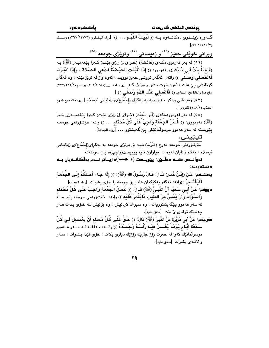يوذتەن فيقفن شەريعەت

ياككردنه وه

م<br>است الله المعنى المستقوم الله عليه (( لَمَبِيْسِكَ اللَّهُسُمَّ . . . )) [رواه البنساري (٢/١٢٧/٢) ومسلم  $J(15.7/126)$ 

وبرانی خویْنی حەیز <sup>(٥٦)</sup> و زەيسانی <sup>(٥٧)</sup> ونویْژی جومعه <sup>(٥٩)</sup>

(٥٦) له بهر فهرموودهكهي (عَائشَة) (خـواي ليّ رازي بيّـت) كـهوا پيّغهمبـهر (ﷺ) بـه (فَاطمَةَ بِنْتُ أَبِي حُبَيْش)ى فەرموو: (( إِذَا أَقْبَلَت الحَيْصْنَةُ فَدَعى الصَّلاةَ ، وَإِذَا أَدْبَرَت فَاغْتَسَلِّمِي وَصَلِّمِي )) واته: ئەگەر تووشى حەيز بوويت ، ئەوە واز لە نوێژ بێنە ، وە ئەگەر كۆتايشى پى هات ، ئەوە خۆت بىشۆ و نوێژ بكــه [رواه البخارى (٢٠٦/٤٠٩/١) ومسلم (١/٢٦٢/٢٦٢) وغيرهما والفاظ غير البخارى (( فَ**اغْسلى عَذْك الدَّمَ وَصَلَّى** )) ].

(٥٧) زەيسانى وەكو حەيز وايە بە يەكراي(إجْمَاع)ى زانايانى ئيسلام [بروانه المجوع شرح المهذب (١٤٨/٢) للنووي ].

(٥٨) له مەر فەرموودەكەي (أَبُو سَعيْد) (خـواي ليْ رازي بيْـت) كـەوا يـيْغەمبـەرى خـوا (ﷺ) فه رمووى: (( غُسْلُ الجُمُعَةِ وَاجِبٌ عَلَى كُلِّ مُحْتَلِمٍ ... )) واته: خوّشوّردنى جومعـه پێویسته له سهر ههموو موسولْمانێکی یێ گهیشتوو … [رواه الجماعة].

تيٽِيني:

.<br>خۆشۆردنم جومعه مەرج (شَرْط) نىييە بۆ نوێژى جومعە بە يەكراي(إجْمَاع)ى زانايـانى ئيسلام ، بهلام زانايان لەوە دا جياوازن ئايە يێويست(وَاجب)ە يان سوننەتە.

نەوانـــەں كـــە دەڵــێن: پێویـــست (و<sup>َاــ</sup>جــب)َه زیـــاتر نـــەم بەڵگانـــەیان بـــە دەستە ۋەبە :

يهكــهم: عَـنْ (إِبْنُ عُمَـر) قَـالَ: قَـالَ رَسُـولُ الله (ﷺ): (( إِذَا جَاءَ أَحَدُكُمْ إِلَـى الجَمُعَةِ فَلْيَغْتَسلْ ))واته: ئەگەر يەكێكتان ھاتن بۆ جومعه با خۆى بشوات [رواه الجماعة]. دووهم: عَنْ أَبِي سَعيْد أنَّ النَّبِيَّ (ﷺ) قَـالَ: (( غُسلُلُ الجُمُعَةِ وَاجِبٌ عَلَى كُلِّ مُحْتَلِمِ وَالسِّوَاكُ وَأَنْ يَمَسَّ منَ الطِّيبِ مَايَقْدرُ عَلَيْه )) واته: خۆشۆردنى جومعه پێویستهُ له سهر ههموو يێگهيشتوويهك ، وه سيواك كردنيش ، وه بۆنيش لـه خـۆى بـدات هــهر جِهنديْك تواناي ليٌ بِيْتِ [متفق عليه]. **سىيەم:** عَنْ أَبِي مُرَيْرَة عَنْ النَّبِيِّ (ﷺ) قَالَ: (( **حَقٌّ عَلَى كُلِّ مُس**ْلِمِ أَنْ يَ**فْتَ**سلِلَ في كُلِّ

سَبْعَةِ أَيَّامٍ يَوْمَـاً يَغْسلُ فَيْـهِ رَأْسَـهُ وَجَسَدَهُ )) واتــه: حهققــه لــه ســهر هــهموو موسولْمانێك كەوا لە حەوت رۆژ جارێك رۆژێك ديارى بكات ، خۆي تێدا بىشوات ، سـەر و لاشەي بشوات [متفق عليه].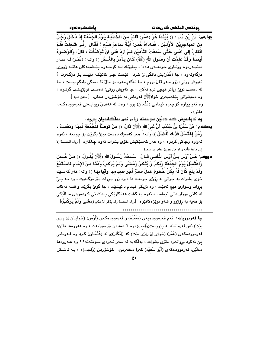**جِهِارِهم:** عَنْ إِبْنِ عُمَرٍ : (( بَيْنَمَا هُوَ (عُمَر) قَائِمٌ منَ الخُطْبَة بَـوْمُ الجُمُعَة إِذْ دَخَلَ رَجُلٌ منَ المُهَاجُرِيْنَ الأَوَّلِيْنِ ، فَذَادَاهُ عُمَرٍ: أَيَّةُ سَاعَةٍ هَذِه ؟ فَقَالَ: إِنِّي شَغَلْتُ فَلَمْ أَنْقَلبُ إِلَى أَهْلى حَتَّى سَمعْتُ التَّأْذيْنِ فَلَمْ أَرْدْ عَلَى أَنْ تَوَضَّأْتُ ، قَالَ: وَالوُضُوءُ أَيْضَا وَقَدْ عَلَمْتَ أَنَّ رَسُولَ الله (ﷺ) كَانَ يَأْمُرُ بِالغُسْل )) واتـه: (عُمَـر) لـه سـهر مینبـهرهوه ووتـاری جومعـهی دهدا ، پیاوێـك لـه كۆچـهره پێـشینهكان هاتـه ژووری مزگەوتەوە ، جا (عُمَر)يش بانگى لى كرد: ئێستا چى كاتێكە دێيت بـۆ مزگـەوت ؟ ئەويش ووتى: زۆر سەر قالٌ بووم ، جا نەگەرامەوە بۆ مالٌ تا دەنگى بانگم بيست ، جا له دهست نوێژ زیاتر هیچی ترم نهکرد ، جا ئهویش ووتی: دهست نوێژیشت گرتـوه ، وه دەيشىزانى يېيغەمبەرى خوا(ﷺ) فەرمانىي بە خۆشۆردىن دەكرد [متفق عليه ]. وه ئەو بياوه كۆچەرە ئيمامى (عُثْمَان) بوو ، وەك لە ھەندىّ ريوايـەتى فەرموودەكـەدا هاتو ه.

وه نەوانەيش كە دەلّێن سوننەتە زياتر نەم بەلّگانەيان يىنيە:

- يهڪهم: عَنْ سَمُرَة بنُ جُنْدُب أنَّ نَبِيَ الله (ﷺ) قَالَ: (( مَنْ تَوَضَّأَ للْجُمُعَة فَبِهَا وَنعْمَتْ ، وَمَنْ إِغْتَسَلَ فَذَلكَ أَفْضَلُ )) واته: هەر كەسێك دەست نوێژ بگرێت بۆ جومعه ، ئەوە تهواوه وچاکي کردوه ، وه ههر کهسێکيش خۆي بشوات ئهوه چاکتره [رواه الخمسة إلا إبن ماجة فأنه رواه من حديث جابر بن سمرة].
- בgaهم: عَـنْ أَوْس بـنُ أَوْس الثُّقَفـي قَـالَ: سَـمعْتُ رَسُـولَ الله (ﷺ) يُقُـولُ: (( مَـنْ غَـسَلَ وَاغْتَسَلَ يَوْمَ الجَمُعَة وَبَكَرَ وَابْتَكَرَ وَمَشَى وَلَمْ يَرْكَبْ وَدَنَا منَ الإِمَامِ فَاسْتَمَعَ ولَمْ يَلِغْ كَانَ لَهُ بِكلِّ خُطوَةٍ عَمَلُ سَنَةٍ أَجْرَ صبيَامهَا وَقَيَامهَا ﴾) واته: مەر كەسـێك خۆي بشوات به جوانې له رۆژي جومعـه دا ، وه زوو بـروات بـۆ مزگـهوت ، وه بـه يــې بروات وسواري هيچ نهبێت ، وه نزيکي ئيمام دانيشێت ، جا گويّ بگرێت و قسه نهکات له کاتی ووتار دانی ئیمامدا ، ئەوە بە گشت ھەنگاوێکی پاداشتی کردەوەی سالێکی بلِ هەيە بە رۆژوو و شەو نوێژەكانێوە [رواە الخمسة ولم يذكر الترمذى (مَشْمَى وَلَمْ يَوْكَبْ)]

جا فهرموويانه: ئهم فهرموودهيهي (سَمُرَة) و فهرموودهکهي (أَوْس) (خوايـان ليٌ رازي بێت) ئەو فەرمانانە لە پێويست(وَاجِب)ەوە لا دەدەن بۆ سوننەت ، وە ھەورەھا دلێن: فهرموودهکهی (عُمَر) (خوای لیٌ رازی بێت) که (إِنْکَار)ی له (عُثْمَـان) کـرد وه فــهرمانی يئ نهكرد برواتهوه خوّى بشوات ، بهلگهيه له سهر ئـهوهي سـوننهته!! وه هـهروهها دهڵێن: فەرموودەكەي (أَبُو سَعيْد) كەوا دەفەرمێ: خۆشۆردن (وَاجِب)ە ، بـه ئاشىكرا

 $\mathbf{t}$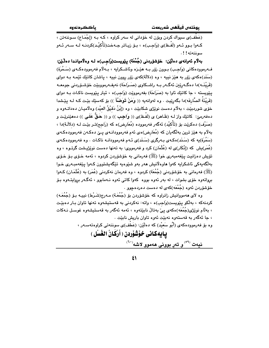ياككردنه وه

(عَطْف)ى سيواك كردن ويۆن له خۆدانى له سهر كراوه ، كـه بـه (إِجْمَاع) سـوننهتن ، کـهوا بـوو ئـهو (لَفْـظ)ى (وَاجـب)ه ، بـۆ زيـاتر جـهخت(تَأْكيْـد)كردنـه لـه سـهر ئـهو سوننەتە!!.

بەلام ئەوانەي دەلێن: خۆشۆردنى (جُمْعَة) پێويست(وَاجب)ە لــه وەلاميانـدا دەلّـێن: فــهرموودهکانی (وَاجِب) بــوون زۆر بــه هێـزه وئاشــکرايه ، بــهلام فهرموودهکــهی (سَــمُرَة) (سَنَد)هکهي زۆر به هێز نيپه ، وه (دلالَة)کهي زۆر روون نيپه ، پاشان کاتێك ئێمـه بـه دواي (قَرِيْنَــه)دا دەگــەريْـن ئەگــەر بــە راشــكاوى (صَــرَاحَة) نەيفـەرمووييّت خۆشـۆردنى جومعــە يێويسته ، جا کاتێك ئاوا به (صَرَاحَة) بفەرمووێت (وَاجب)ه ، ئيتر يێويست ناکـات بـه دوای (قَرِيْنَةُ الصَّارِفَه)دا بِگەرێِيت . وه لەوانەيە (( وَهَنْ تَوَضَّأَ )) بۆ كەسێك بێت كـه لـه يێشدا خۆي شوردېيد ، بهلام دەست نوپژي شكابيد ، وه (إِبْنُ دَقيْقُ العيْد) وەلاميـان دەداتــەوە و دهفهرميّ: کاتێك واز لــه (ظَـاهر) ی (لَفْـظ)ی (( واجـب )) و (( حَـقٌّ عَلَـى )) دههێنرێـت و (صَرْف) دەكرێت بۆ (تَأْكيْد) ئەگەر فەرموودە (مُعَارض)ە كە (رَاجِم)تـر بێـت لـه (دلالَـة)دا ، بهلام به هێز ترین بهلگهیان که (مُعَارِض)هي ئهم فهرموودانـهي پـێ دهکـهن فهرموودهکـهي (سَمُرَة)په که (سَنَد)هکـهي بـهرگري (سَنَد)ي ئـهم فهرموودانـه ناکـات . وه فهرموودهکـهي (عُمَر)بِش که (إنْکَار)ی له (عُثْمَان) کرد و فهرمووی: به تهنها دهست نوێژپیشت گرتـوه ، وه تۆپش دەزانىت يېغەمبەرى خوا (ﷺ) فەرمانى بە خۆشۆردن كردوە ، ئەمە خىۆي بىۆ خىۆي بەلگەيەكى ئاشكرايە كەوا ھاوەلانىش ھەر بەو شێوەيە تێگەيشتوون كـەوا يێغەمبـەرى خـوا (ﷺ) فەرمانى بە خۆشۆردنى (جُمُعَة) كردوه ، وە فەرمان نەكردنى (عُمَر) بە (عُثْمَـان) كـەوا برواتهوه خۆی بشوات ، له بهر ئهوه بووه کهوا کاتی ئهوه نـهمابوو ، ئهگـهر بروایتـهوه بـۆ خۆشۆردن ئەوە (جُمْعَه)كەي لە دەست دەردەچوو .

وه لای ههمووانیش زانراوه که خۆشۆردن بۆ (جُهُعَـة) مـهرج(شَـرْط) نییـه بـۆ (جُهُعَـه) کردنهکه ، بهڵکو پێویست(وَاجب)ه ، واته: نهکردنی به قهستیشهوه تهنها تاوان بـار دهبێت ، بەللم نوێژى(جُمُعَه)ەكەي يى بەتالْ نابێتەوە ، ئەمە ئەگەر بە قەستيشەوە غوسىل نـﻪكات ، جا ئهگەر بە قەستەوە نەبێت ئەوە تاوان باريش نابێت .

وه بۆ فەرموودەكەي (أَبُو سَعيْد) كە دەلێن: (عَطْف)ى سوننەتى كراوەتەسـەر ،

بِابِهِكانِي خَوْشُوْرِدِنِ ( أَرْكَانُ الغُسْلِ )

 $\cdot^{(1^{\circ})}$ نيەت  $^{(0^{\circ})}$ و تەر بوونى ھەموو لاشە

 $\mathbf{t}$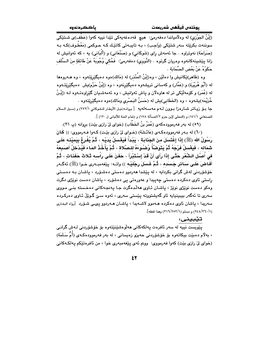(إِبْنُ الجَوْزِي) له وهلَّامياندا دەفەرمىّ: هيچ قەدەغەيەكى تێدا نييە كەوا (عَطْف)ى شـتێكى سوننەت بكرێِتە سەر شتێكى (وَاجب) ، بـه تايبـەتى كاتێك كـه حـوكمى (مَعْطُـوف)كـه بـه (صَرَاحَة) نەوتراوە ٠ جا ئەمەش راي (شَوكَانى) و (صَنْعَانى) و (أَلْبَانى) يە ، كە ئەوانيش لە زانا پێشينهكانهوه وهريان گرتوه . (النَّوَوي) دهفهرميّ: ۖ فَحُكيَ وُجُوبَهُ عَنْ طَائفَةٍ منَ الـسَّلَف حَكَوْهُ عَنْ بَعْض الصَّحَابَة .

وه (ظَاهر)ێِکانیش وا دهڵێن ، وه(إبْنُ المُنْذر) له (مَالك)هوه دهیگێرێِتهوه ، وه هـهروهها له (أَبُو هُرَيْرة) و (عَمَّار) و كهسانى تريشهوه دهيگێرنهوه ، وه (إِبْنُ حَزْم)يش دهيگێرێتـهوه له (عُمَر) و کۆمەلْٽِکى تر له هاوەلان و پاش ئەوانىش ، وە ئەمەشىيان گێراوەتـەوە لــە (إِبْـنُ خُزَيْمَه)يشەوە ، وە (الخَطَابى)يش لە (حَسَنُ البَصْرى ومَالك)ەوە دەيگێرێتەوە . جا بـفي زيـاتر شـارەزا بـوون لـهم مەسـەلەيە [بروانـه(نيـل الأوطـار للـشوكانى ٢٧٢/١) و (سـبل الـسلام

للصنعاني ١٤١/١) و (المحلي لإبن حزم ٢/المسألة ١٧٨) و (تمام المنة للألباني ل ١٢٠) ].

(٥٩) له پهر فهرموودهکهي (عُمَرُ بنُ الخَطَّابِ) (خواي ليّ رازي بيّت) پروانه (پ ٣١).

(٦٠) له ب1ر فهرموودهكـهي (عَائَـشَة) (خـواي ليّ رازي بيّـت) كـهوا فـهرمووي: (( كَانَ رَسُولُ الله (ﷺ) إِذَا إِغْتَسَلَ مِنَ الجَذَابَـةِ ، يَدْدَأُ فَيَغْسِلُ بَدَنْـِهِ ، ثُمَّ يُفْرِغُ بيَميْنـه عَلَـى شمَاله ، فَيَغْسلُ فَرْجَهُ ثُمَّ يَتَوَضَّأُ وُضْبُوءَهُ للصَّلاة ، ثُمَّ يَأْخُذُ المَاءَ فَيُدْخِلُ أَصَيغَهُ في أُصِلِ الشُّعْرِ حَتَّـى إِذَا رَأَى أَنْ قَدْ إِسْتَبْرَأَ ، حَفَنَ عَلَـى رَاْسـه ثَـلاثَ حَفَذَاتِ ، ثُمّ أَفَاضَ عَلَى سَائِرٍ جَسَدَه ، ثُمَّ غَسَلَ رِجْلَيْـه )) واتــه: بِيّفهمبـهري خـوا (ﷺ) نُهكـهر خۆشۆردنى لەش گرانى بكردايە ، لە يێشدا ھەردوڧ دەستى دەشىۆرد ، ياشان بـە دەسـتى راستي ئاوي دهکرده دهستي جهيبدا و عهورهتي يي دهشۆرد ، پاشان دهست نوێژي دگرت وهکو دهست نوێژی نوێژ ، پاشان ئـاوی ههڵدهگرت جـا پهنجـهکانی دهخـسته بنـی مـووی سەرى تا ئەگەر بېبېنيايە ئاو گەيشتورتە يێستى سەرى ، ئەوە سىێ گوێڵ ئـاوى دەركـردە سەريدا ، ياشان ئاوي دەكردە ھـەمور لاشـەيدا ، ياشـان ھـەردور يىمى شـۆرد [رواه البخاري (٢٤٨/٣٦٠/١) و مسلم (٢١٦/٢٥٣/١) وهذا لفظه].

### تێبينى:

.<br>ي<u>ٽوي</u>ست نيپه له سهر ئافروت پهلکهکاني **م**ەلوەشێنێتەوە بۆ خۆشۆردنى لـﻪش گرانـي ، بەلام دەبێت بيكاتەوە بۆ خۆشۆردنى حەيزو زەيسانى ، لە بەر فەرموودەكـەي (أُمُّ سَلَمَة) (خواي ليٌ رازي بيّت) کهوا فهرمووي: ووتم ئهي پيّغهمبهري خوا ، من ئافرهتيّکم پهلکـهکاني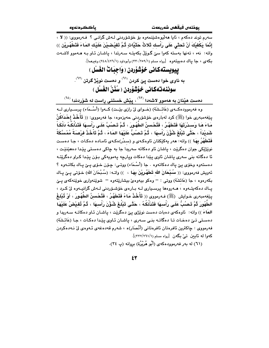سەرم توند دەكەم ، ئايا ھەلىيوەشىنىمەوە بۆ خۆشۆردنى لـەش گرانـى ؟ فـەرمووى: (( لا ، إِنَّمَا يَكْفِيْكَ أَنْ تَحثى عَلَى رَاْسك ثَلاثُ حَثَيَّاتٍ ثُمَّ تَفيْضيْنَ عَلَيْك المَاءَ فَتَطْهُرِيْن ﴾) واته: نهء ، تەنھا بەستە كەوا سێ گوێڵ بكەپتــه ســەرتدا ، پاشـان ئـاو بــه هــەموو لاشــەت بکهی ، جا پاك دهبیتهوه [رواه مسلم (٢٣٠/٢٥٩/١) وأبوداود (١/٢٤٨/٤٢٦) وغیرهما].

> ييويستهكاني خوْشْوْردن ( وَاجبَاتْ الْغُسْل ) به ناوی خوا دمست پێ کردن <sup>(٦١)</sup> و دمست نوێژ گرتن <sup>(٦٢)</sup>. سوننەتەكانى خۆشۆردز ( سُنُنُ الغُسْل )

دمست هیّنان به ههموو لاشهدا <sup>(٦٢)</sup> ، پِیّش خستنی رِاست له شوّردندا <sup>(٦٤)</sup>

وه فەرموودەكــەي (عَائــشَة) (خــواي ليْ رازي بِيْــت) كــەوا (أَسْــمَاء) يرســياري لــه پێغەمبەرى خوا (ﷺ) كرد لەبارەي خۆشۆردنى حەيزەوە، جا فەرمووى: (( تَأْخُذُ إِحْدَاكُنَّ مَاءَ هَا وَسَدْرَتَهَا فَتَطَهَّرُ ، فَتُحْسنُ الطُّهُورَ ، ثُمَّ تَـصُبَّ عَلَـى رَأْسِـهَا فَتَدْلُكُهُ دَلْكَـاً شَديْدَاً ، حَتَّى تَبْلُغَ شُؤُنَ رَاْسهَا ، ثُمَّ تَصنُبُّ عَلَيْهَا المَاءَ ، ثُمَّ تَاْخُذُ فرْصَةً مُمْسَّكَةً فَتَطَهَّرُ بِهَا ﴾) واته: هەر يەكێكتان ئاوەكـەي و (سـدْر)ەكـەي ئامـادە دەكـات ، جـا دەسـت نوێڗٝێۣکی جوان دهگرێت ، پاشان ئاو دهکاته سهریدا جا به چاکی دهستی پێدا دههێنێت ، ئا دهگاته بنی سەری یاشان ئاوی یێدا دەکات ویارچە يەمويەكى بـۆن يێدا كـراو دەگرێتـﻪ دهستهوه وخوّي ييّ ياك دهكاتهوه . جا (أَسْـمَاء) ووتـي: چـۆن خـوّي يـيّ يـاك بكاتـهوه ؟ ئەويش فەرمووى: (( سُبْحَانَ الله تَطَهَّرِيْنَ بِهَا ، )) واتـه: (سُبْحَانَ الله) خـوّتى يــِيّ يـاك بکەرەوە ، جا (عَائشَة) ووتى : – وەکو بيەوەئ بيشارێتەوە – شوێنەوارى خوێنەکەي يـێ ياك دەكەيتـەوە ، ھـەروەھا يرسـيارى لــه بـارەي خۆشـۆردنى لــهش گرانيــەوە لىْ كـرد ، ينِغهمبهري خـوايش (ﷺ) فـهرمووي (( تَأْخُذُ مَاءً فَتَطَهَّرُ ، فَتُحْسنُ الطَّهُورَ ، أَوْ تُبْلغُ الطُّهُورَ ثُمَّ تَـصِبُّ عَلَـى رَأْسهَا فَتَدْلُكُهُ ، حَتَّـى تَبْلُغَ شُؤْنَ رَأْسهَا ، ثُمَّ تُفيْضُ عَلَيْهَا المَاءَ )) واته: ئاوهکهی دهبات دهست نوێژی پێ دهگرێت ، پاشـان ئـاو دهکاتـه سـهریدا و دەستى تىن دەخات تا دەگاتــه بنـى ســەرى ، پاشـان ئـاوى پێدا دەكـات ، جـا (عَائـشَة) فەرمووى : چاكترين ئافرەتان ئافرەتانى (أَنْصَار)ە ، شەرم قەدەغەي ئـەوەي لىْ نـەدەكردن كهوا له ئايين تيّ بگهن [رواه مسلم (٢٦١/٢٦١/١)].

(٦١) له بهر فهرموودهكهى (أَبُو هُرَيْرُة) بروانه (پ ٣٤).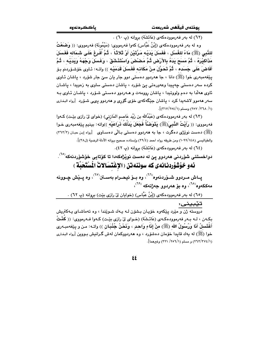(٦٢) له مهر فهرموودهكهي (عَائِشَة) بروانه (پ ٦٠) .

وه له بهر فهرموودهکهی (إِبْنُ عَبَّاس) کهوا فهرمووی: (مَیْمُونَة) فهرمووی: (( وَضَعْثُ للذَّبِي (ﷺ) مَاءً للغُسْل ، فَغَسَلَ يَدَيْـه مَرَّتَيْنِ أَوْ تَلاثَـاً ، ثُمَّ أُفْرِغَ عَلَـي شَمَاله فَغَسَلَ مَذَاكِيْرَهُ ، ثُمَّ مَسَعَ بَدَهُ بِالأَرْضِ ثُمَّ مَصْنْصَ وَاسْتَذْشَقَ ، وَغَسَلَ وَجْهَهُ وَبَدَبْه ، ثُمَّ أَفَاضَ عَلَى حَسَده ، ثُمَّ تَحَوَّلَ منْ مَكَانِه فَغَسلَ قَدَمَيْه )) واته: ئـاوى خۆشـۆردنم بـۆ يٽغهمبهري خوا (ﷺ) دانا ، جا ههردوو دهستي دوو جار ڀان سيّ جار شۆرد ، ڀاشان ئـاوي ۔<br>کردہ سهر دمستی جهییدا وعهوروتی یئ شۆرد ، پاشان دمستی ساوی به زمویدا ، پاشان ئاوی هەلّدا بە دەم ولووتىدا ، ياشان روومەت و ھـەردوو دەسـتى شـۆرد ، ياشـان ئـاوى بـە سهر ههموو لاشهیدا کرد ، یاشان جێگهکهی خۆی گۆری و ههردوو ی<sub>ک</sub>ی شـۆرد [رواه البخـاری (١/ ٢٦٨/ ٢٥٧) ومسلم (١/٢٥٤).

(٦٣) له بهر فهرموودهكهي (عَبْدُالله بن زَيْد عَاصم المَازِني) (خواي ليِّ رازي بِيِّت) كـهوا فەرمووى: (( رَأَيْتُ النَّبِيَ(ﷺ) يَتَوَضَّأُ فَجَعَلَ يَدْلُكُ نراعَيْه ))واته: بينيم يێغەمبەرى خـوا (ﷺ) دهست نوێژی دهگرت ، جا به ههردوو دهستی بـالّی دهسـاوی [رواه إبـن حبـان (٣٦٢/٢) والطياليسي (١٠٩٩/١٤٨) ومن طريقه رواه احمد (٣٩/٤) وإسناده صحيح بروانه الأدلة الرضية (٣٨١)].

(٢٤) له بهر فهرموودهكهى (عَائشَة) بروانه (پ ٤٢).

دواخستنی شۆردنی هەردوو پێ له دەست نوێژەكەدا تا كۆتايى خۆشۆردنەكە<sup>(٦٥)</sup>.

### ئهو خوْشْوْردنانهي كه سوننهتن (الإغْتسَالاتُ الْسْتَحَيّة )

يــاش مــردوو شــۆردنەوه<sup>(٦٦)</sup>، وه بــۆ ئيحــرام بەســتن<sup>(٦٧)</sup>، وه يــێش چــوونه مەككەوە<sup>(٦٨)</sup>، وە بۆ ھەردو<u>و</u> جەژنەكە <sup>(٦٩)</sup>،

(٦٥) له بهر فهرموودهکهى (إِبْنُ عَبَّاس) (خوايان لِيٌ رازى بيِّت) برِوانه (پ ٦٢) . تێبينى:

دروسته ژن و ميرد پيکهوه خۆيان بشۆن لـه پـهك شـويندا ، وه تهماشـاى پـهکتريش بِكِـهِن ، لـه بِـهر فهرموودهكـهي (عَائـشَة) (خـواي ليّ رازي بِيّـت) كـهوا فـهرمووي: (( كَفْتُ أَغْتَسلُ أَنَا وَرُسُولُ الله (ﷺ) منْ إِنَاءٍ وَاحدٍ ، وَنَحْنُ جُنُبَانِ )) واتـه: مـن و پێفهمبـهري خوا (ﷺ) له یهك قایدا خۆمان دەشۆرد ، وه هەردووكمان لەش گىرانىش بىووين [رواه البخارى (٢٦٣/٣٧٤/١) و مسلم (٢٥٦/١/ ٣٢١) وغيرهما].

 $\mathbf{\hat{z}}$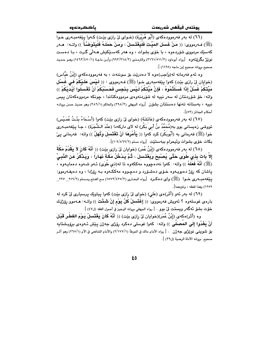(ﷺ) فـﻪرمووى: (( مَنْ غَسَلَ المَيِّتَ فَلْيَغْتَسلْ ، وَمَنْ حَمَلَهُ فَلْيَتَوَضَّأْ )) واتـه: هـﻪر کهسێك مردووى شۆردەوە ، با خۆى بشوات ، وە ھەر كەسىێكىش ھـﻪلْى گـرت ، بـا دەسـت نويْژ بگرێتەوە [رواە أبوداود (٣/١٦١/٥١١/٣) والترمذى (٣/٢١٨/٣) وأبـن ماجـة (١/١٤٧٠/١) وهـو حـديث صحيح بروانه صحيح إبن ماجه (١١٩٥) ].

وه ئهم فهرمانه له(وَاجِب)هوه لا دهدرێِت بۆ سوننهت ، به فهرموودهکهی (إِبْنُ عَبَّاس) (خوايان ليّ رازي بيّت) كهوا ينغهمبهري خـوا (ﷺ) فـهرمووي : (( لَـيْسَ عَلَـيْكُمْ فـي غَسْل مَيِّتَكُمْ غُسْلٌ إِذَا غَسَلْتُمُوهُ ، فَإِنَّ مَيِّتَكُمْ لَيْسَ بِنَجِس فَحَسْبُكُمْ أَنْ تَعْسلُوا أيْديْكُمْ ﴾) واته: خۆ شۆردنتان له سەر نييه له شۆردنەوەي مردووەكتاندا ، چونكه مردووەكەتان ييس نبيه ، بهستانه تهنها دهستتان بشوّن [رواه البيهقي (٢٩٨/٢) والحاكم (٢٨٦/١) وهو حديث حسن بروانه أحكام الجنائز (٥٣)].

(٦٧) له بهر فهرموودهكهى (عَائشَة) (خواى ليٌ رازى بيّت) كهوا (أَسْمَاءُ بِنْتُ عُمَيْس) تووشی زەبسانی بوو بە(مُحَمَّدُ بنُ أَبی بَکْر) له لای دارکەدا (عِنْدَ الشَّجَرَة) ، جـا یێغەمبـەری خوا (ﷺ) فەرمانى بە (أُبُوبَكْر) كرد كەوا (( يَأْمُرَهَا أَنْ تَغْتَسَلَ وَتُهلَّ )) واتە: فەرمانى ييْ بكات خوّى بشوات وئيحرام ببهستيّت [رواه مسلم (١٠٩/٨٦٩/٢)].

(٦٨) له بهر فهرموودهكهى (إِبْنُ عُمَرٍ) (خوايان لِيْ رازِي بيْتِ) (( أَنَّهُ كَانَ لاَ يَقْدُمُ مَكَّةَ إِلاّ بَاتَ بِذِي طُوَى حَتَّى يُصْبِحَ وَيَغْتَسِلَ ، ثُمَّ يَدْخُلُ مَكَّةَ ذَهَارَاً ، وَيَذْكُرُ عَنِ الذَّبِيِّ (ﷺ) أَنَّهُ فَعَلَهُ )) واتـه: كـهوا نـهدهچووه مـهككهوه تـا لـه(ذي طُوَى) ئـهو شـهوه دهمايـهوه ، ياشان كه رۆژ دەبويــهوه خــۆى دەشــۆرد و دەچـووە مەككــهوه بــه رۆژدا ، وه دەيـفــهوموو: ينفه مبــه ري خــوا (ﷺ) واي دهكـرد [رواه البخـاري (٢/٥٧٢/٤٣٥) مـع الفـتح ومـسلم (٢/١٩١\_ ٢٢٧\_\_ ٢٢٧ ١٢٥٩) وهذا لفظه ، وغيرهما].

(٦٩) له بهر ئهو (أَثَر)هي (عَلَى) (خواي ليٌ رازي بيّت) كهوا پياويّك پرسياري ليٌ كرد له بارەي غوسلەوە ؟ ئەويش فەرمووى: (( إغْتَسلْ كُلَّ يَوْم إنْ شَـثْتَ )) واتــه: ھــەموو رِۆژێـك خْوْت بشْنَوْ ئُه گُهر ويستت ليّ بوو . [ رواه البيهقي بروانه الوجيز في أصول الفقه (ل٤٧) ].

وه (أَثَر)هكهي (إِبْنُ عُمَر)(خوايان لِيّ رازِي بِيّت) (( أَنَّهُ كَانَ يَغْتَسلُ بَـوْمَ الفَطْـر قَبْـلَ أَنْ يَغْدُوا إِلَى المُصَلِّي )) واته: كهوا غوسلي دهكرد روّزى جه ژن يێش ئـهوهى بروّيـشتايه مِقِ شَعوينـي نـويَـزي جـه ژن . [ رواه الأمام مالك في الموطأ (١/١٧٧/١) والأمام الشافعي في الأم (١/٢٦٥) وهو أثـر صحيح بروانه الأدلة الرضية (ل٣٩) ].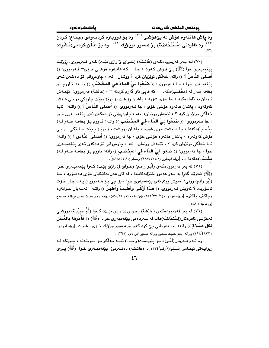باككردنهوه

بوذتەن فىقفىن شەرىعەت

.<br>وه ياش هاتنەوه هۆش لـه بێهۆشـى <sup>۷۰</sup>٬ وه بـۆ دووبـاره كردنـهوهى (جمَـاع) كـردن ....<br>(<sup>۷۱)</sup>، وه ئافرەتى (مُسْتَحَاضَة) بىق ھـەموق نوپْـژْيْك <sup>(۷۲)</sup> ، وە بىق (دَفْـن)كردىنى(مُـشْرك)  $(94)$ 

(٧٠) لـه بـهر فهرموودهكـهي (عَائـشَة) (خـواي ليّ رازي بيّـت) كـهوا فـهرمووي: روِّژيّـك يٽِغەمبەرى خوا (ﷺ) بـِيّ مـوّش كـەوت ، جـا – كـه هاتـەوه هوّشـي خـوّي– فـەرمووي: (( أَصلِّي النَّاسُ ؟ )) واته: خهڵکي نوێژيان کرد ؟ ووټمان: نهء ، چاوهرواني تۆ دهکهن ئـهي پِيّفهمبهري خوا ، جـا فـهرمووي: (( **ضَعُوا لـيَ المَاءَ فـي المخْضَبِ** )) واتـه: تُـاووم بـوّ بخەنە سەر لە (مخْضَب)ەكەدا – كە قاپى ئاو گەرم كردنە – ، (عَائشَة) فەرمووى: ئێمـەش ئاومان بۆ ئامادەكرد ، جا خۆى شۆرد ، ياشان رۆيشت بۆ نوپْژ بچێت جارێكى تر بـى ھـۆش كەوتەوە ، ياشان ھاتەوە ھۆشى خۆي ، جا فـەرمووى: (( أَصَلِّي النَّـاسُ ؟ )) واتــه: ئايـا خەلكى نوپژيان كرد ؟ ، ئێمەش ووتمان: نەء ، چاوەروانى تۆ دەكەن ئەي يێغەمبـەرى خـوا › جا فـه(مووى: (( صَعُوا لـىَ المَاءَ فـى المخْصَبِ )) واتـه: ئـاووم بـوّ بخهنـه سـهر لـه( مخْضَب)هکهدا ، جا دانیشت خوّی شوّرد ، پاشان روّیشت بـوّ نویّـِژ بـچیّت جـاریّکی تـر بـی هۆش كەوتەوە ، پاشان ھاتەوە ھۆشى خۆى ، جا فەرمووى: (( أَصَلَى النَّـاسُ ؟ )) واتــه: ئايا خەلكى نوێژيان كرد ؟ ، ئێمەش ووتمان: نەء ، چاوەروانى تۆ دەكەن ئـەي يێغەمبـەرى خوا ، جا فەرمووى: (( صَغُوا ليَ المَاءَ في المخْصَبِ )) واته: ئاووم بـوّ بخەنـه سـەر لـه( مخْضَب)هكه دا ... [رواه البخاري (١٧٢/١٧٢/١) ومسلم (١٨/٢١١/١)].

(٧١) له بهر فهرموودهکهي (أَبُو رَافمِ) (خواي ليّ رازي بيّت) کـهوا پيّغهمبـهري خـوا (ﷺ) شەوپْك گەرا بە سەر ھەموو خێزانەكانىدا ، لە لاى ھەر يەكێكيان خۆى دەشىۆرد ، جـا (أَبُو رَافع) ووتي: منيش ووتم ئهي پێغهمبهري خوا ، بۆ چي بـۆ ھــهموويان پـهك جـار خـۆت ناشۆريت ؟ ئەويش فـەرمووى: (( هَـٰذَا أَزْكَـى وأَطْبَـِبُ وَأَطْهَـرُ )) واتــه: ئەمـەيان جـوانترە وچاکترو پاکتره [(رواه ابوداود) (۱/۲۷۰/۱) وإبن ماجه (۱/۱۹٤/۱) بروانه وهو حديث حسن بروانه صحيح إبن ماجه (٤٨٠)].

(٧٢) له بەر فەرموودەكەي (عَائشَة) (خـواي لِيّ رازي بِيّـت) كـەوا (أُمُّ حَبِيْبَـة) تووشى نهخوشی ئافرەتان(إسْتحَاضَة)هات له سەردەمی پێغەمبەری خوادا (ﷺ) (( فَأَمَرَهَا بِالغُسْل لكُلِّ صَـلاَقِ )) واتـه: جا فـهـرمانـي يـێ كرد كـهـوا بـێ هـهـمـوو نـوێـژێك خــۆی بــشوات [رواه أبـوداود (٢٩٢/٤٨٣/١) بروانه وهو حديث صحيح بروانه صحيح ابي داود (٢٦٩)].

وه ئـهم فـهرمان(أمْـر)ه بـوّ يێويـست(وَاجـب) نييـه بـهڵكو بـوّ سـوننهته ، چـونكه لـه ریوایـهتی ئیمـامی[(مُـسْلم)(١/رقـم/٣٢٤) ]دا (عَائـشَة) دهفـهرمیؒ: پێغهمبـهری خـوا (ﷺ) پــیٚی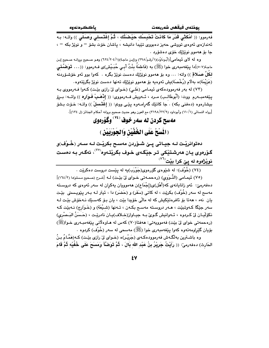يوختەں فيقھى شەريعەت

.<br>فەرموو: (( أُمْكُثْي قَدْرَ مَا كَانَتْ تَحْسِسُك حَيْصَتُك ، ثُمَّ إغْتَسلى وَصَلِّي )) واتـه: بـه ئەندازەي ئەوەي تووشى حەيز دەبووى تێيدا دانيشە ، پاشان خۆت بشۆ − و نوێژ بكە − ، جا بۆ ھەموۋ نويژتك خۆي دەشۆرد .

وه له لاى تُيمامي[(أبُودَاوُد)(١/رقم/٢٩٨) و(إبن ماجة)(١//٢٠٤)(٥٢٤) وهـو صـحيح بروانـه صـحيح إبن ماجة(٥٠٧)[دا پِيْغەمبەرى خوا (ﷺ) بە (فَاطمَةً بِنْتُ أَبـى حُبَـيْش)ى فـەرموو: ((… قَوَضَّـئى لكُلِّ صَـٰلاقِ )) واته: … وه بۆ هەموو نوێژێك دەست نوێژ بگره . كەوا بوو ئەو خۆشـۆردنە (عَرْيْمَة)ه بهلٌام (رُخْصَة)بش ئەوەبە بۆ ھەموو نوێژێك تەنھا دەست نوێژ بگرێتەوە.

(٧٣) له بهر فهرموودهکهي ئيمامي (عَلي) (خـواي ليّ رازي بيّـت) کـهوا فـهرمووي بـه يِيّغهمبــهرم ووت: (أَبُوطَالـب) مــرد ، ئــهويش فــهرمووى: (( إِنَّاهَـبْ فَـوَارِم )) واتــه: بــرِق بيشارەوه (دەفنى بكه) . جا كاتێك گەرامـەوە يێـى ووتم: (( إغْتَـسلْ )) واتــه: خـۆت بـشۆ [رواه النسائي (١/١٠/١) وأبوداود (٢١٩٨/٢٢/٩) مم العون وهو حديث صحيح بروانه أحكام الجنائز (ل ١٣٤)].

# مەسح كردن له سەر خوف (°<sup>۷)</sup> وكَوْرەوى (الْمَسْحُ عَلَى الخُفَّيْنِ وَالجَوْرَبَيْنِ )

دەتوانریْت لـه جیـاتی پـێ شـۆردن مەسـح بکریْـت لـه سـەر (خُـوْف)و گـۆرەوي بـان ھەرشـتێكى تـر جێگـەي خـوف بگرێتـەوە<sup>‹٬۷</sup>٬ ئەگـەر بـە دەسـت نوێ<del>ژ</del>هوه له پێ کرا بێت<sup>(٧٦)</sup>

(٧٥) نُیمامی (النَّـوَوي) (رهحمـهتی خـوای ليٌ بيِّـت) لـه [شـرح (صـحيح مـسلم)دا (١٦٤/٣)] دهفهرمیٰ: ئەو زانایانەی كە(أَهْل)ى(إجْمَاع)ن ھەموویان بەكران لە سەر ئەوەی كە دروستە مەسى لە سەر (خُوْف) بكرێت ، لە كاتى (سَفَر) و (حَضَر) دا ، ئيتر لـه بـەر يێويـستى بێت يان نهء ، هەتا بۆ ئافرەتێكيش كە لە مالّى خۆيدا بێت ، يان بـۆ كەسـێك نـەخۆش بێـت لـە سەر جێگا كـەوتبێت ، ھـەر دروسـتـه مەسـح بكـەن ، تـەنھا (شـبْعَة) و (خَـوَارج) نـەبێت كـه نكوّليان ليّ كردوه ، ئــهوانيش گـوي بـه جيـاواز(خـلاف)يـان نادريّـت ، (حَـسَنُ البَـصْرى) (ره حمه تي خواي ليّ بيّت) فه موويه تي: ههفتا(٧٠) كه س له هـاوه لاّني ييّغه مبـه ري خـوا(ﷺ) بۆيان گێراومەتەوە كەوا يێغەمبەرى خوا (ﷺ) مەسحى لە سەر (خُوْف) كردوە ٠

وه باشترین بهالگـهش فهرموودهکـهی (جَریْـر)ه (خـوای لی رازی بیّـت) کـه(هَمَّـامُ بـنُ الحَارِث) دەفەرمىؒ: (( رَأَيْتُ جَرِيْرُ بِنُ عَبْد الله بَالَ ، ثُمَّ تَوَضَّأَ وَمَسَحَ عَلَى خُفَيْه ثُمَّ قَامَ

٤Y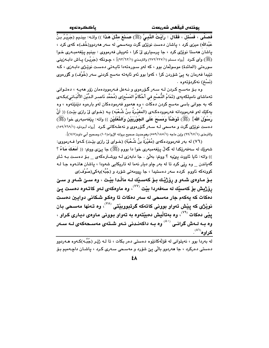فَصَلَّى ، فَسُئلَ ، فَقَالَ : رَأَيْتُ النَّبِيَّ (ﷺ) صَنَعَ مِثْلَ هَذَا )) واتـه: بينـيم (جَرِيْـرُ بِنُ عَبْدالله) میزی کرد ، پاشان دهست نوێژی گرت ومهسمی له سهر ههردوورخُف)ه کهی کرد ، ياشان هەستا نوێژي کرد ، جا پرسپاري ليّ کرا ، ئەويش فەرمووي : بينيم پێغەمبەرى خـوا (ﷺ) وای کـرد [رواه مـسلم (٢٧٢/٢٢٧/١) والترمـذي (٩٢/٦٣/١)]، چـونـکه (جَریْـر) پــاش دابــهزینـی سورەتى (المائدة) موسولّمان بوو ، كه لەو سـورەتەدا ئاپـەتى دەسـت نوێـژى دابـەزى ، كـە تێیدا فەرمان بە پیٚ شۆردن کرا ، کەوا بوو ئەو ئايەتە مەسح کردنی سەر (خُوْف) و گۆرەوى (نَسْخ) نەكردۆتەوە .

وه بـۆ مەسـح كـردن لـه سـەر گـۆرەوي و نـەعل فـەرموودەمان زۆر ھەيـە ، دەتـوانى تهماشاى ناميلكهيهى (تَمَامُ النُّصْح في أَحْكَامُ المَسْح)ى (مُحَمَّد نَاصـر الـدِّيْن الأَلْبَـاني)بكـهى که به جوانی باسی مهسح کردن دهکات ، وه ههموو فهرمودهکان لهو بارهوه دێنێتهوه ، وه يهكێك لهو فهرموودانه فهرموودهكهى (المُغيْـرَةُ بـنُ شُـعْبَه) يـه (خـواى ليّ رازى بيّـت) (( أَنَّ رَسُوْلَ اللهِ} (ﷺ) تَوَضَّأَ وَمَسَحَ عَلَى الجَوْرِبَيْنِ وَالنَّعْلَيْنِ )) واته: بِيْغهمبەرى خوا (ﷺ) دهست نویژنی گرت و مهسمی لـه سـهر گـۆرەوی و نهعلـهکانی کـرد [رواه أبـوداود (١٥٩/٢٦٩/١) والترمذي (١/٦٧/١٧) وإبن ماجه (١/١٨٥/١٥٥٩) وهوحديث صحيح بروانه الإرواء(١٠١) وصحيح أبي داود(١٤٧)].

(٧٦) له بهر فهرموودهكهي (مُغَيْرَةَ بنُ شُعْبَةٍ) (خـواي ليّ رازي بيّـت) كـهوا فـهرمووي: شەوێك لە سەفەرێكدا لە گەڵ يێغەمبەرى خوا دا بووم (ﷺ) جا يێى ووتم: (( أَمَعَكَ مَـاءٌ ؟ )) واته: ئايا ئاووت يي يه ؟ ووتم: به لَيْ . جا دابه زي لـه ووشـترهكهي \_ بـوّ دهسـت بـه ئـاو گەياندن \_ وه رێي کرد تا له بەر چاو ديار نەما له تاريکايي شەودا ، ياشان ھاتـەوە جـا لـه کوونهکه ناووم کرده سهر دهستیدا ، جا روومهتی شۆرد و (جُبَّه)پهکی(صُوْف)ی

بِيق ماوەي شەو و رۆژپْك بِيق كەسىيك لـه مالْـدا بِيْـت ، وه سىيْ شـەو و سىيْ رۆژيش بۆ كەسێك لە سەفەردا بێت <sup>‹‹››</sup>› وە ماوەكە*ى* لـەو كاتـەوە دەست يـێ دمکات که پهکهم جار مهسمي له سهر دمکات تا ومکو شکاني دوايين دمست نوێژي که پێش تهواو بووني کاتهکه گرتبوويٽِتي <sup>(۷۸)</sup>، وه تـهنها مهسـحي بـان يٽي دمکات <sup>(۷۹</sup>)، وه بهتاڵيش دمبٽتهوه به تهواو بـووني مـاومي ديـاري کـراو ، وه بـه لـهش گرانــى <sup>‹‹^</sup>′ وه بـه داكهنـدنى ئـهو شـتهى مهســحهكهى لـه ســهر <u>کراوه<sup>(۸۱)</sup>.</u>

له بەردا بوو ، نەپتوانى لە قۆلەكانٽوه دەستى دەر بكات ، تا لـه ژێر (جُبَّـه)كـەوە ھـەردوو دهستي دهرکرد ، جا ههردوو بالّي ييّ شۆرد و مهسـحي سـهري کـرد ، پاشـان داچـهميم بـۆ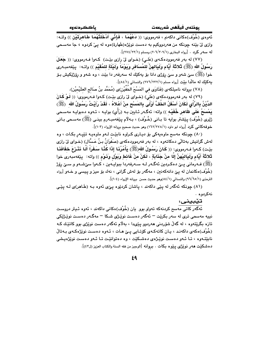.<br>ئەوەي (خُوْف)ەكانى داكەنم ، فەرمووى: (( فَعْهُمَا ، فَإِنِّى أَنْخُلْتُهُمَا طَاهرَتَيْن )) واتـه: وازي ليٌ بيّنه چونکه من ههردووکيم به دهست نوێژه(طَهارة)هوه له ييٌ کردوه ، جا مهسـحي له سهور كرد . [رواه البخاري (٢٠٦/٢٠٩/١) ومسلم (٢٧٤/٢٢/١)].

(٧٧) له بهر فهرموودهكهي (عَلي) (خواي ليٌ رازي بيّت) كهوا فـهرمووي: (( جَعَلَ رَسُولُ الله (ﷺ) ثَلاثَة أَيَّام ولَيَالهنَّ للمُسافر ويَوْمَاً ولَيْلَةٍ للمُقَيْم )) واتـه: بِيّفهمبـهرى خوا (ﷺ) سێ شەو و سێ رِۆژی دانا بۆ پەكێك لە سەرفەر دا بێت ، وە شەو و رِۆژێِكپش بـۆ يهكيِّك له مالَّدا بِيِّت [رواه مسلم (٢٢٢/٢٢٢/١) والنسائي (١/٨٤)].

(٧٨) بروانه ناميلكهى (فَتَاوَى في المَسْحَ الخُفَّيْن)ى (مُحَمَّد بنُ صَالح العثَيْميْن).

(٧٩) له بهر فهرموودهکهی (عَلی) (خـوای لیٌ رازی بیّـت) کـهوا فـهرمووی: (( لَـوْ کَالْ الدِّيْنُ بِالرَّأْى لَكَانَ أَسْفَلُ الخُفِّ أَوْلَى بِالمَسْحِ منْ أَعْلاهُ ، لَقَدْ رَأَيْتُ رَسُولُ الله ﴿ يَمْسَعُ عَلَى ظَاهِرٍ خُفَيْهِ )) واته: ئەگـەر ئـايين بـه (رَأَى) بوايـه ، ئـهوه دەبوايـه مەسـحى ژێری (خُوْف) پێشتر بوایه تا بـانی (خُـوْف) ، بـهلام پێغهمبـهرم بینـی (ﷺ) مهسـحی بـانی خوفه كاني كرد [رواه ابو داود (١٦٢/٢٧٨/١) وهو حديث صحيح بروانه الإرواء (١٠٣)].

(٨٠) چونکه مهسم ماوهيهکي بۆ ديارى کراوه نابيّت لـهو ماوهيـه تێيـهر بکـات ، وه لهش گرانیش بهتالی دهکاتهوه ، له بهر فهرموودهکهی (صَفَوَانُ بـنُ عَـسَّال) (خـوای لیٌ رازی بِيّت) كـهوا فـهرمووى: (( كَانَ رَسُولُ الله(ﷺ) يَأْمُرُنَـا إِذَا كُنَّـا سَفَرَاً أَلَّـا نَثْـرْعَ خفَافَذَا ثَلاثَةَ أَيَّامٍ وَلَيَالِيْهِنَّ إِلَّا مِنْ جَذَابَةٍ ، لَكِنْ مِنْ غَائِطٍ وَبَوْلٍ وَذَوْمٍ )) واته: ۖ پێغهمبهرى خوا (ﷺ) فــهرماني پــێ دهکـردين ئهگـهر لــه ســهرفهردا ببوايــهين ، کــهوا سـێشــهو و ســێ رێڗ (خُوْف)ەكانمان لە يېّ دانەكەنىن ، مەگەر بۆ لەش گرانى ، نەك بۆ مېز و پيسى و خـەو [روام الترمذي (١/٥/٦٥) والنسائمي (١/٨٤)وهو حديث حسن بروانه الإرواء (١٠٤)].

(٨١) چونکه ئهگەر له پێی داکهند ، پاشان کردێوه پێی ئهوه بـه (طَاهر)ی لـه پێی نەكردوە .

تيبينى:

.<br>ئەگەر كاتى مەسىم كردنەكە تەوار بور يان (خُوْف)ەكانى داكەند ، ئەوە ئـيتر دروسـت نيپه مەسمى ترى لە سەر بكرێت – ئەگەر دەست نوێژى شىكا – مەگـەر دەست نوێژێكى تازه بگرێتەوه ، له گەڵ شۆردنى ھەردوو يێىدا ، بەلام ئەگەر دەست نوێژى بوو كاتێك كـه (خُوْف)ەكەي داكەند ، يان كاتەكەي كۆتايى پىيّ ھات ، ئـەوە دەست نوێژەكەي بـەتالْ نابێتـهوه ، تـا ئـهو دهسـت نوێـژهى دهشـكێت ، وه دهتوانێـت تـا ئـهو دهسـت نوێژهيـشى دهشكيّت هەر نوێژى يێوه بكات . بروانه [الوجيز من فقه السنة والكتاب العزيز (ل٤٢)].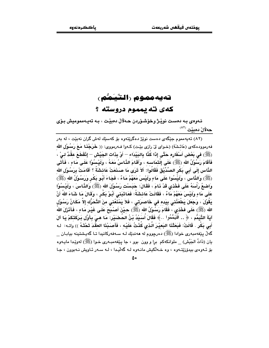### تەيەمموم (التَّيَـمُّم) کهي ته يهموم دروسته ؟

ئـهوهي بـه دهست نويْـِژ وخوّشـوّردن حـهلالْ دهبيّت ، بـه تهيـهمموميش بـوّي حەلال دەبيْت (<sup>٨٢</sup>)

(۸۲) تهبهمموم جێگهي دهست نوێژ دهگرێتهوه يۆ كهسێك لهش گران نهيێت ، له پهر فه رمووده كه ي (عَائشَة) (خـواى ليّ رازى بيّـت) كـهوا فــه رمووى: (( خَرَجْنَـا مَـعَ رَسُولُ الله (ﷺ) في بَعْض أَسْفَارِه حَتَّى إِذَا كُنَّا بِالبَيْدَاء – أَوْ بِذَات الجَيْش – إِنْقَطَعَ عقْدٌ لـيْ ، فَأَقَامَ رَسُوْلُ الله (ﷺ) عَلَى إِلْتَمَاسِهِ ، وَأَقَامَ الذَّاسُ مَعَهُ ، وَلَيْسُوْا عَلَى مَاءِ ، فَأَتَى الذَّاس إِلَى أَبِي بَكْرِ الصِّدِّيْقِ فَقَالُوا: أَلاَ تَرَى مَا صَذَعَتْ عَائِشَةُ ؟ أَقَامَتْ بِرَسُوْلِ الله (ﷺ) وَالذَّاسِ ، وَلَيْسُوا عَلَى مَاءٍ وَلَيْسَ مَعَهُمْ مَاءٌ ، فَجَاءَ أَبُو بَكْرٍ وَرَسُوْلُ الله (ﷺ) وَاصْبِعُ رَأْسَهُ عَلَى فَخْذِي قَدْ ذَامَ ، فَقَالَ: حَبَسْت رَسُوْلَ الله (ﷺ) وَالذَّاسَ ، ولَيْسُوْا عَلَى مَاءٍ وَلَيْسَ مَعَهُمْ مَاءٌ ، فَقَالَتْ عَائِشَةُ: فَعَاتَبَنِى أَبُوْ بَكْرٍ ، وَقَالَ مَا شَاءَ اللهُ أَنْ يَقُوْلَ ، وَجَعَلَ يَطْعَنُني بِيَده في خَاصرَتي ، فَلاَ يَمْنَعُني مِنَ التَّحَرُّك إلاَّ مَكَانُ رَسُوْل الله (ﷺ) عَلَى فَخْذي ، فَقَامَ رَسُوْلُ الله (ﷺ) حَيْنَ أَصْبُحَ عَلَى غَيْرِ مَاءٍ ، فَأَنْزَلَ اللهُ آيَةَ التَّيَمُّم ، ﴿ .. فَتَيَمَّمُوا …﴾ فَقَالَ أَسَيْدُ بْنُ الحُصْنَيْرِ: مَا هـىَ بِأَوَّلِ بَركَتكمْ يَا آلَ أَبِي بَكْرٍ . قَالَتْ: فَبَعَثْنَا البَعيْرَ الَّذى كُنْتُ عَلَيْه ، فَأَصَبْنَا العقْدَ تَحْتَهُ )) واتـه: لـه گەلّ يێغەمبەرى خوادا (ﷺ) دەرچوۋم لە ھەندێك لـە سـەڧەركانيدا تـا گەيـشتينـە بيابـان \_ يان (ذَاتُ الجَيْش) ملوانكهكم برا و وون بوو ، جا پێغهمبـهري خـوا (ﷺ) لهوێـدا مايـهوه بۆ ئەوەي بېدۆرێتەوە ، وە خەلكېش مانـەوە لـە گەلّيـدا ، لـە سـەر ئـاويش نـەبوون ، جـا

٥.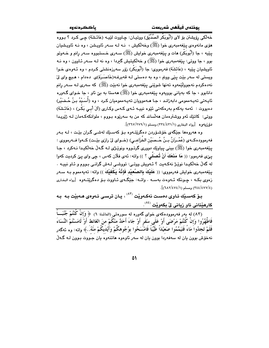يوذتەں فيقھى شەريعەت

هۆي مانەوەي يېغەمبەرى خوا (ﷺ) وخەلكيش ، نـه لـه سـەر ئاويـشن ، وه نـه ئاويـشيان يٽِيه ، جا (أَبُوبَكُر) هات و پێغهمبهري خواپش (ﷺ) سـهري خـستبووه سـهر رانم و خـهوتو بوو ، جا ووټي: پێغەمبەری خوا (ﷺ) و خەلکىتيش گىردا ، وه نه لـه سـەر ئـاوون ، وه نـه ئاويشيان بيٽيه ، (عَائشَة) فەرمووى: جا (أَبُوبَكْر) زۆر سەرزەنشتى كـردم ، وە ئـەوەي خـوا ویستی له سهر بێت پێی ووتم ، وه به دهستی لـه قهبرغـه(خَاصَـرَة)ی دهدام ، هـیچ وای ليّ نه٥دهکردم نهجوولێمهوه تهنها شوێني پێغهمبهري خوا نهبێت (ﷺ) که سهري لـه سـهر رانم دانابوو ، جا که بهياني بوويهوه پيّغهمبهري خوا (ﷺ) ههستا به بيّ ئاو ، جا خـواي گـهوره ئاپـەتى تەپـەممومى دابەزانـد ، جـا ھـەموويان تەپـەمموميان كـرد ، وە (أُسَـبْدُ بـنُ ڪُـضَبَٰر) دهيووت : ئەمە يەكەم بەرەكەتى ئێوە نييـە ئـەي كـەس وكـارى (آلَ أَبـى بَكْرٍ) ، (عَائـشَة) ووتي: کاتٽِك ئەو ووشترەمان ھەلساند کە من بە سەرێوە بىووم ، ملوانکەکـەمان لــە ژێِريـدا دَوْرْمَةُوهِ [رواه البخاري (٢/٤٤١/٤٣١) ومسلم (٢٦٧/٢٧٩/١)].

وه هەروەها جێگەي خۆشىۆردن دەگرێتەوە بىۆ كەسىێك لەشى گىران بێت ، لـه بـەر فەرموودەكــەي (عُمْـرَانُ بــنُ هُــمنَيْن الخُزَاعــى) (خــواي لِيْ رازي بێـت) كــەوا فــەرمووي : يٽِغەمبەرى خوا (ﷺ) بينى پياوێك دوورى گرتـووه ونوێـژى لـه گـەلْ خەلْكىـدا نـەكرد ، جـا يـيِّي فـهرموو: (( مَا مَذَهَكَ أَنْ تُصلِّي ؟ )) واته: ئـهي فلَّان كـهس ، جي واي يـيِّ كرديت كـهوا له گەلٌ خەلكىيدا نوێِژ نەكـەيت ؟ ئـەويش ووتـى: تووشـى لـەش گرانـى بـووم و ئـاو نييـە . يێغەمبەرى خوايش فەرمورى: (( عَلَيْكَ بِالصَّعَيْد فَإِنَّهُ يَكْفَيْكَ )) واتە: تەپەمموم بـه سـەر زهوی بکـه ، چـونکه ئـهوهت بهسـه . واتــه: جێگـهی ئـاووت بــوّ دهگرێتــهوه  $[$ رواه البخـاری  $\frac{1}{2}$ (٤٧٧/٤٧٤/١) ومسلم (٦٨٢/٤٧٤/١).

بـوّ كەسـێك ئـاوى دەسـت نەكـەوێت <sup>(۸۳)</sup> ، يـان ترسـي ئـەوەي ھـەبێت بـه بـه کارهێنانی ئاو زيانی لِّ بِکەوێِت <sup>(٨٤)</sup>.

(٨٣) له بِهر فهرموودهکهی خوای گهوره له سورهتی (المائدة: ٦) ﴿ وَإِنْ كُنْتُمْ جُنُبَـــاً فَاطَّهَّرُوا وَإِنْ كُنْتُمْ مَرْضَى أَوْ عَلَى سَفَرٍ أَوْ جَاءَ أَحَدٌ منْكُمْ منَ الغَائط أَوْ لَامَسْتُمْ النِّسَاءَ فَلَمْ تَجِدُوا َمَاءً فَتَيَمَّمُوا صَعِيْدَاً طَيِّبَاً فَامْسَحُوا بِوُجُوهِكُمْ وَأَيْدَيكُمْ منْهُ…﴾ وإته: وه ئهڰەر .<br>نه خوش بوون بان له سهفه ردا بوون بان له سهر ئاوهوه هاتنهوه بان جـووت بـوون لـه گـه ل

 $\bullet$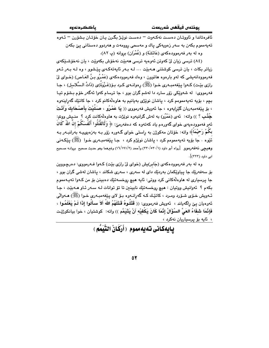بوذتەن فىقھى شەرىعەت

ئافرەتاندا و ئاووتـان دەسـت نەكـەوت = دەسـت نوٽـژ بىگـرن بـان خۆتـان بـشۆرن = ئـەوە تەپەمموم بكەن بە سەر زەويەكى ياك و مەسحى روومەت و ھەردوو دەستانى يێ بكەن وه له بهر فهرموودهکهی (عَائشَة) و (عُمْرَان) بروانه (پ ۸۲).

(٨٤) ترسي زبان ليّ کهوين ئهوهبه ترسي ههيئت نهخوّش بکهويّت ، بان نهخوّشيککهي زیاتر بکات ، بان ترسی کوشتنی هـهبێت ... لـه بـهر ئایهتهکـهی بێشوو ، وه لـه بـهر ئـهو فهرموودانهيشي که لهو باردود هاتوون ، ودك فهرموودهکهي (عَمْـرُو بـنُ العَـاص) (خـواي لِيّ رازی بێت) کـهوا پێغهمبـهری خـوا (ﷺ) رهوانـهی کـرد بـۆ(غَـزْوَةٌ)ی (ذَاتُ الـسَّلاسل) ، جـا .<br>فهرمووي: له شهوێکي زۆر سارد دا لهشم گران بوو ، جا ترسام کهوا ئهگهر خۆم بـشۆم تيـا بچم ، بۆيە تەپەممومم كرد ، پاشان نوێژى بەيانيم بە ھاوەلّەكانم كرد ، جا كاتێك گەراپنەوە ، بۆ يێغەمبەربان گێرايەوە ، جا ئەويش فەرمووى (( يَا عَمْرُو ، صَلَّيْتَ بِأَصْحَابِكَ وَأَنْتَ جُنُبُ ؟ )) واته: ئەي (عَمْرُو) بە لەش گرانيەوە نوێژت بە ھاوەلْەكانت كرد ؟ منـيش ووتم: ئەو فەموودەيەي خواي گەورەم ياد كەتەوە كە دەفەرمىّ: ﴿ وَلَاتَقْتُلُوا أَنْفُسَكُمْ إِنَّ اللَّهَ كَانَ بکُمْ رَحَيْمَاً﴾ واته: خۆتان مەكوژن بە راستى خواي گـەورە زۆر بـه بەزەيىچـە بەرانبـەر بـه ئُٽوه . جا ٻوّيه تهيهممومم کرد ، پاشان نوٽِڻم کرد ، جـا پٽغهمبـهري خـوا (ﷺ) پٽِڪهني وهيچي نهفهرموو \_ [رواه أبو داود (٢٢٠/٥٢٠/١) وأحمد (٢/١٩١/٢) وغيرهما وهو حديث صحيح بروانـه صـحيح امه داود (۳۲۳)].

وه له بهر فهرموودهکهي (جَابر)يش (خواي ليّ رازي بيّت) کـهوا فـهرمووي: دهرچـووين بۆ سەفەرێك جا پياوێكمان بەردێك داي لە سەرى ، سەرى شكاند ، پاشان لەشى گران بوو ، جا پرسپاري له هاوهڵهکاني کرد ووتي: ئايه هيچ روخسهتێك دهبينن بۆ من کـهوا تـهيـهمموم بکهم ؟ ئەوانىش ووتيان : هيچ روخسەتێك نابينىن تا تۆ توانات لـه سـەر ئـاو ھـەبێت ، جـا ئـهويش خــۆی شــۆرد ومــرد ، کاتێـك كــه گهرِانــهوه بــۆ لای پـێغهمبــهری خــوا (ﷺ) هــهوالْـی ئەوەيان يېْ راگەياند ، ئەويش فەرمووى: (( قَتَلُوهُ قَتَلَهُمُ اللهُ أَلاَ سالَٰوا إِذَا لَمْ يَعْلَمُوا ، فَإِنَّمَا شَفَاءُ العَىِّ السُؤَالُ إِنَّمَا كَانَ يَكْفِيْه أَنْ يَتَيَمَّم ﴾) واته: كوشتيان ، خوا بيانكورْيّت ، ئايە بۆ پرسياريان نەكرد ،

يايەكانى تەيەمموم (أَرْكَانُ التَّنَمُّم)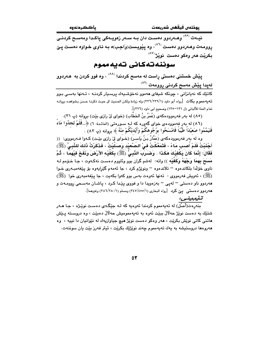نیـهت <sup>(۸۰)</sup> وهـهردوو دهسـت دان بـه سـهر زهویـهکی پاکـدا ومهسـح کردنــی روومهت وهـهردوو دهست <sup>(۸٦)</sup>، وه يێويست(وَاجب)ه بـه نـاوى خـواوه دهست يـێ بکريْت هەر وەكو دەست نويْژ <sup>(۸۷)</sup>

### سوننه تهكانى تهيه مموم

پێش خستنی دهستی راست له مهسح کردندا <sup>(۸۸)</sup> ، وه فوو کردن به هـهردوو لە<u>پدا پێش م</u>ەسح كردنى روومەت <sup>(۸۹)</sup>

کاتێك که نەپانزانى ، چونکە شىفاي ھەمور نەخۆشىيەك پرسىپار کردنــه ، تــەنھا بەسـى بـور ته یه مموم بکات  $\, \, [\,$ رواه أبو داود (۲۲٦/۲۳۹/۱) وله زیادة ولکن الحدیث الی حیث ذکرنـا حسن بـشواهده بروانـه تمام المنة للألباني (ل ١٣١–١٣٥) وصحيح ابي داود (٢٢٦)].

(٨٥) له بهر فهرموودهكهى (عُمَرُ بنُ الخَطَّابِ) (خواى ليّ رازى بيّت) بروانه (پ ٣١).

(٨٦) له بهر فهموودهي خواي گهوره كه لـه سـورهتي (المائـدة: ٦) ﴿..فَلَمْ تَجِلُوا مَاءَ فَتَيَمَّمُوا صَعَيْدَاً طَيِّبَاً فَامْسَحُوا بِوُجُوهِكُمْ وَأَيْدِيْكُمْ منْهُ ﴾ بروانه (پ ٨٣) .

وه له بهر فهرموودهکهی (عَمَّارُ بِنُ يَاسـر) (خـوای ليّ رازی بيّـت) کـهوا فـهرمووی: (( أَجْنَبْتُ فَلَمْ أَصبِ مَاءً ، فَتَمَعَّكْتُ فِيْ الصَّعِيْدِ وَصَلّيْتٍۢ ، فَذَكَرْتُ ذَلِكَ لِلنَّبِيِّ (ﷺ) فَقَالَ: إِنَّمَا كَانَ يَكْفِيْكَ هَكَذَا . وَصْـَرَبَ النَّبِيُّ (ﷺ) بِكَفَّيْه الأَرْضَ وَنَفَخَ فَيْهَمَا ، ثُمَّ مَسَعَ بِهِمَا وَجْهَهُ وَكَفَّيْه )) واته: لهشم گران بوو وئاووم دهست نهكـهوت ، جـا خـۆمم لـه ناوي خۆلّدا بلكاندەوە – تلاندەوە – ونوێژم كرد ، جا ئەمەم گێراپەوە بۆ يێغەمبـەرى خـوا (ﷺ) ، ئەويش فەرمووى : تەنھا ئەوەت بەس بوو كەوا بكەيت ، جا يَيْغەمبەرى خُوا ۚ (ﷺ) ههردوو ناو دهستی – لهیی – بهزهویدا دا و فووی یێدا کرد ، یاشـان مهسـحی روومـهت و هـهـردوو د.هستمی یـێ کرد [رواه البخاری (۱/٥٥٥//) ومسلم (۱/ ۲۸۰/۲۸۰) وغیرهما].

#### تٽيبينيء

.<br>بنهږهت(أصل) له تهپهمموم کردندا ئهوهيه که لـه جێگـهى دهسـت نوێـژه ، جـا هــهر شتێك به دەست نوێژ حەلالٌ بېێت ئەوە بە تەپەمموميش حەلالٌ دەبێت ، وە دروسىتە يـێش هاتني کاتي نوێش بکرێت ، ههر وهکو دهست نوێژ هيچ جياوازيهك له نێوانيان دا نييه ، وه مەروەما دروستيشە بە يەك تەيەمموم چەند نوپْژێك بكرێت ، ئيتر فەرز بێت يان سوننەت.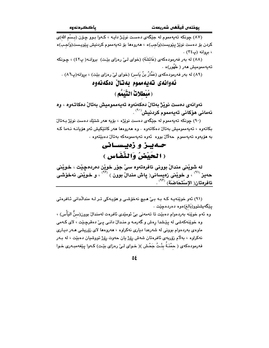(٨٧) چونکه تهیهمموم له جێگهی دهست نوێـژ دایـه ، کـهوا بـوو چـۆن (بـسْم الله)ی كردن بۆ دەست نوێژ پێویست(وَاجب)ە ، ھەروەھا بۆ تەيەمموم كردنيش پێویست(وَاجب)ە ، بروانه (پ۲٤) .

(٨٨) له بهر فهرمودهكهي (عَائشَة) (خواي لـيّ رهزاي بيّت) بروانـه( ب٤٢) ، جـونكه تەيەممومىش ھەر ( طَهُور)ە ٠

(٨٩) له بهر فهرمودهکهي (عَمَّارُ بنُ يَاسرِ) (خواي ليِّ رهزاي بيّت) ، بروانه(پ٨٦) .

### ئەوانەي تەيەمموم بەتان دەكەنەوە ( مُبْطَلاتُ النَّبِيَمُم )

ئەوانەي دەست نوپژ بەتال دەكەنەوە تەيەمموميش بەتال دەكاتەوە ، وە نەمانى ھۆكانى تەيەمموم كردنيش<sup>60</sup> .

(٩٠) چونکه تەپەمموم له جێگەي دەست نوێژە ، بۆيە ھەر شتێك دەست نوێژ بەتال بکاتەوە ، تەپەممومىش بەتال دەكاتەوە . وە ھەروەھا ھەر كاتێكىش ئەو ھۆيانـە نـەما كـە به هۆيەوە تەيەمموم حەلالٌ بووە ئەوە تەيەممومەكە بەتالٌ دەبێتەوە .

### حـدبـز و زهيسـاني (الحَبْضُ وَالنِّفَاسِ )

له شويْنى مندالْ بوونى ئافرەتەوە سىْ جۆر خويْن دەردەچيْت ، خويْنى حەيز <sup>(٩١</sup>ْ) ، و خويْنى زەيسانى( ياش مندالْ بوون ) (<sup>٩٢)</sup> ، و خويْنى نەخۆشى ئافرەتان( الإسْتحَاضَة) <sup>(٩٣)</sup> .

(۹۱) ئەو خوێنەپە كە بە بے' مىچ نەخۆشى و مۆپەكى تىر لـە مندالْدانى ئـافرەتى يێڰەيشتوو(بَالغ)ەوە دەردەچێت .

وه ئهم خوێِنه بەردەوام دەبێت تا تەمەنى بىِّ ئومێدى ئافرەت لەمندالٚ بوون(سنُّ اليَأْس) ، وه خوێنهکهشی له پێشدا رهش و گهرمـه و منـدالٌ دانـی یـیٌ دهقرچـێت ، لای کـهمی ماوهی بهردهوام بوونی له شهرعدا دیاری نهکراوه ، ههروهها لای زۆریشی هـهر دیـاری نهکراوه ، بهلام زۆربەي ئافرەتان شەش رۆژ يان حەوت رۆژ تووشيان دەبێت ، لە بـەر فەرمودەكەي ( حمْنَـةَ بِنْـتُ جَحْش )( خـواي لـيْ رەزاي بێت) كـەوا پێغەمبـەرى خـوا

 $\Delta \xi$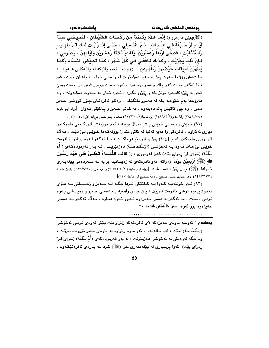يوذتەں فيقھى شەريعەت

(ﷺ)يكِيّ فەرمور (( إِنَّمَا هَذَه رَكْضَةٌ مِنْ رَكَضَات الشَّيْطَان ، فَتَحيْضي ستَّةَ أَيَّـام أَوْ سَـبْعَةً فـى علْـم الله ، ثُـمَّ اغْتَـسلى ، حَتَّـى إذَا رَأَيْـت أَنَّـك قَـدْ طَهـرْت وَاسْتَذْقَيْت ، فَصَلَّى أَرْبَعَاً وَعَشْرِيْنَ لَيْلَةَ أَوْ ثَلاثًا وَعَشْرِيْنَ وَأَيَّامهنَّ ، وَصُومى ، فَإِنَّ ذَلِكَ يُجْزِيْك ، وَكَذَلِك فَافْعَلى في كُلِّ شَهْرٍ ، كَمَا تَحيْضُ النِّسَاءُ وَكَمَا يَطْهُرْنَ لميْقَات حَيْضهنَّ وَطَهْرِهنَّ .. )) واته: ئهمه يالنِّكه له يالْـهكانى شـهيتان ، جا شەش رۆژ تا حەوت رۆژ بە حەيز دەژمێريت لە زانستى خوا دا ، ياشان خۆت بىشۆ ، تا ئەگەر بېنېت كەوا ياك وتەمېز بويتەوە ، ئەوە بېست وچوار شەو يان بېست وسىّ .<br>شەو بە رۆژەكانيەوە نوێژ بكە و رۆژوو بگـرە ، ئـەوە ئـيتر لـە سـەرت دەكـەوێت ، وە ههروهها بهم شێوهيه بکه له ههموو مانگێکدا ، وهکو ئافرهتـان چۆن تووشي حـهيز دهبن ، وه چی کاتیش پاك دهبنهوه ، به كاتی حـهیز و پـاكێتی ئـهوان .[رواه ابـو داود( ٢/٢٨٤/٤٧٥/١) والترمذي(١٢٨/٨٢/١) ابن ماحة(٢٠٥/١٢٧/٢٠٥) بمعناه وهو حسن بروانه الإوراء ( ٢٠٥) ].

(٩٢) خوٽني زەيسانى خوٽني ياش مندال بوونه ، ئەم خوٽنەش لاي كـهمى ماوەكـهى دياري نهکراوه ، ئافرەتى وا ھەيە تەنھا لە کاتى مندالٌ بوونەكـەدا خـوێنى لـئ دێت ، بـﻪلاّم لای زۆری ماوهکهی له چل(٤٠) رِۆژ زیاتر تێپەر ناکات ، جا ئەگەر لـهوه زیـاتر ئـافرەت خوێنی لیٰ هـات ئــهوه بــه نهخۆشـی (الإسْتحَاضَـة) دهژمێرێـت ، لــه بـهر فهرمودهكـهى ( أُمّ سَلَمَة) (خواي ليْ رەزاي بيْت) كەوا فەرمووي : (( كَانَت الذُّفَسَاءُ تَجْلسُ عَلَى عَهْد رَسُول الله (ﷺ) أَرْبَعيْنَ يَوْمَاً )) واته: ئەو ئافرەتەي لە زەيسانيدا بوايە لـه سـەردەمى پێغەبـەرى خـــوادا (ﷺ) چــل رۆژ داد.هنیـــشت [رواه ابــو داود ( / ٣٠٧/٥٠١) والترمــذي ( ١٢٩/٩٢/١) وابــن ماجــة (١/٢١٢/١٣) وهو حديث حسن صحيح بروانه صحيح ابن ماجة (٥٣٠)].

(۹۳) ئــهو خوينهيـه كـهوا لــه كـاتيْكى تــردا جگــه لــه حــهيز و زهيـسانى بــه هــوّى نهخوشپيەوه توشى ئافرەت دەبێت ، يان جارى واھەيە بـه دەمـى حـەيز و زەيـسانى يـەوە توشي دهبێت ، جا ئەگەر بە دەمى حەيزەوە نـەبوو ئـەوە ديـارە ، بـەلاّم ئەگـەر بـە دەمـى حەيزەرە بور ئەرە - **سىن دالەتى ھەيە :** –

يهڪهم : ئەوەپە ماوەي حەيزەكە لاي ئافرەتەكە زانراو بێت پێش ئەوەي توشى نەخۆشى (إسْتَحَاضَة) ببيّت ، لهم حالّةتهدا ، ئهو ماوه زانراوه به ماوهى حهيز بوّى دادهنريّت ، وه جگه لهوهيش به نهخوشي دهژمێرێت ، له بهر فهرمودهکهي (أمّ سَلَمَة) (خواي لـيّ رهزای بێت) کهوا پرسپاری له پێغهمبهری خوا (ﷺ) کرد لـه بـارهی ئافرهتێکـهوه ،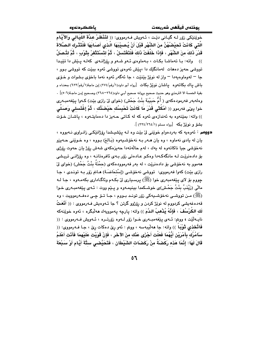يوذتەں فيقھى شەريعەت

خويننِكي رزر لـه گيـاني ديْت ، ئـهويش فـهرمووي: (( لتَنْظُرْ عدَّةَ اللَّيَالي وَالأَيَّام الَّتى كَانَتْ تَحيْضُهُنَّ منَ الشَّهْرِ قَبْلَ أَنْ يُصيبْبَهَا الَّذى أَصَابَهَا فَلْتَتْرِكَ الصَّلاةَ قَدْرَ ذَلكَ منَ الشَّهْرِ ، فَإِذَا خَلَّفَتْ ذَلكَ فَلْتَغْتَسِلْ ، ثُمَّ لتَسْتَتْفِرْ بِثَوْبٍ ، ثُمَّ لتُصلّ )) واته: با تهماشا بکات ، بهماوهی ئـهو شـهو و رۆژانـهی کهلـه پـێش دا تێيدا ۔<br>تووشی حهیز دههات لهمانگێك دا ،پێش ئەوەي تووشی ئەوە بېێت كه تووشی بوو ، جا – لهوماوهيهدا – واز له نوێژ بێنێت ، جا ئهگهر ئهوه نهما باخۆی بـشوات و خـوّی باش بياك بكاتـهوه بياشان نويْـژ بكات [رواه أبو داود(١/رقم/٢٧٤) ابن ماجة(١/رقم/٦٢٣) بمعنـاه و .<br>بقية الخمسة الا الترمذي وهو حديث صحيح بروانه صحيح أبـي داود(٢٦٤–٢٦٨) وصـحيح إبـن ماجـة(٥٠٦)] . وهلهبهر فهرمودهكهي ( أُمُّ حَبِيْبَةَ بِنْتُ جَحْش) (خواي ليْ رازي بِيْت) كـهوا بِيْغهمبـهري خوا بِيَى فەرمور (( أَمْكُتْبِي قَدْرَ مَا كَانَتْ تَحْبِسُك حَيْصَتُك ، ثُمَّ إغْتَسلي وَصَلِّي )) واته: بمێنهوه به ئهندازهي ئهوه كه له كاتي حـهيز دا دهمايتـهوه ، پاشـان خـوّت مشق و نويز يکه [رواه مسلم (٢٦٤/٢٦٤/١)].

دووهم : ئەوەيە كە بەردەوام خوێنى لىٰ بيْت وە لــه يَيْشيشدا رِۆژانێكـى زانـراوى نــهبووە ، يان له يادي نهماوه ، وه يان هــهر بـه نهخوشـيـهوه (بَـالمَ) بـووه ، وه خـويّنى حـهيزو نهخوشي جيا ناکاتەوه له يەك ، لەم حالّەتەدا حەيزەكەي شەش رۆژ يان حەوت رۆژى بۆ دادەنريت لـه مانگەكـەدا وەكـو عـادەتى زۆر بـەى ئافرەتانـه ، وە رۆژانـى تريـشى ههموو به نهخوشی بو دادهنریت ، له بهر فهرموودهکهی (حمْنَةُ بِنْتُ جَحْش) (خوای ليّ رازي بيّت) كهوا فهرمووي: تووشي نهخوّشي (إسْتحَاضَة) هـاتم زوّر بـه توندي ، جـا جووم بۆ لاي پێغەمبەرى خوا (ﷺ) پرسپارى ليّ بكـه م وئاگـادارى بكەمـەوە ، جـا لـه مالْی (زَیْنَبُ بِنْتُ جَحْش)ی خوشـکمدا بینیمـهوه و پـێم ووت : ئـهی پێغهمبـهری خـوا (ﷺ) مـن تووشـي نەخۆشـيەكى زۆر تونـد بـووم ، جـا تــۆ چـي دەفــەرموويت ، وە قەدەغەيشى كردووم لە نوێژ كردن و رۆژوو گرتن ؟ جا ئــەوەيش فــەرمووى : (( أَنْعَتُ لَك الكُرْسُفَ ، فَإِنَّهُ يُذْهبُ الدَّمَ )) واته: يارچه يهموويهك ههلّبگره ، ئهوه خويّنهكه نايــه لَيْت ، ووتم: ئــهى يـيْغهمبــهرى خــوا زۆر لــهوه زۆرتــره ، ئــهويش فــهرمووى : (( فَاتَّحْذي ثَوْبِياً )) واته: جا هەلىيەسە ، ووتم : ئەو رىٰ دەكات رىٰ ، جـا فـەرمووي: (( سَآمُرُك بِأَمْرَيْنِ أَيُّهُمَا فَعَلْتِ أَجْزَى عَنْك منَ الآخَرِ ، فَإِنْ قَوَيْتِ عَلَيْهِمَا فَأَنْت أَعْلَمُ قَالَ لَهَا: إِنَّمَا هَذه رَكْضَةٌ منْ رَكَضَات الشَّيْطَان ، فَتَحَيَّضـى ستَّةَ أَيَّام أَوْ سَبْعَةَ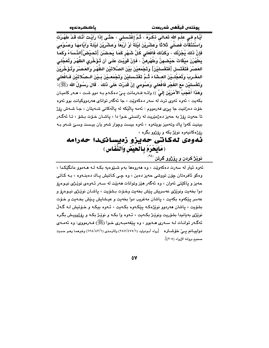باككردنهوه

أَيَّام في علْم الله تَعَالَى ذكْرُهُ ، ثُمَّ إغْتَسلى ، حَتَّى إذَا رَأَيْتَ أَنَّك قَدْ طَهُرْتَ وَاسْتَذْقَأْت فَصلَى ثَلاثًا وَعشْرِيْنَ لَيْلَةً أَوْ أَرْبَعَاً وَعشْرِيْنَ لَيْلَةً وَإَيَّامهَا وَصُوْمى فَإِنَّ ذَلِكَ يُجْزِئُك ، وَكَذَلِكَ فَافْعَلى كُلَّ شَهْرٍ كَمَا يَحصْنُ [تَحيْضُ]الذِّسَاءُ وكَمَا يَطْهُرْنَ ميْقَاتَ حَيْصْهِنَّ وَطُهْرِهِنَّ ، فَإِنْ قَوَيْت عَلَى أَن تُؤَخِّرِي الظَّهْرَ وَتُعَجِّلـي العَصْرَ فَتَغْتَسل [فَتَغْسليْنَ] وَتَجْمَعيْنَ بَيْنَ الصَّلاتَيْنِ الظَّهْرَ وَالعَصْرَ وَتُؤَخِّرِيْنَ المَغْـربِ وَتُعَجِّلـيْنَ العـشَاءَ ثُـمَّ تَغْتَـسليْنَ وَتَجْمَعـيْنَ بَـيْنَ الـصَّلاتَيْن فَـافْعَلى وَتَغْسليْنِ مَعَ الفَجْرِ فَافْعَلى وَصُومى إِنْ قَدَرْت عَلَى ذَلكَ . قَالَ رَسُولُ الله (ﷺ): وَهَذَا أَعْجَبُ الأَمْرَيْنِ إِلَىَّ )) واتــه:فــهرمانت يــىٰ دهكـهم بــه دوو شـت ، هــهر كاميـان بکهيت ، ئەوه ئەوي ترت له سەر دەکەوێت ، جا ئەگەر تواناي ھەردووکيانت بوو ئەوە خۆت دەزانيت جا يېّي فەرمووم : ئەمە يالَيْكە لە يالْهكانى شـەيتان ، جـا شـەش رۆژ تا حەوت رۆژ بە حەيز دەژمێريت لە زانستى خـوا دا ، ياشـان خـۆت بـشۆ ، تـا ئەگـەر بينيت كهوا ياك وتهميز بويتهوه ، ئهوه بيست وجوار شهو يان بيست وسئ شـهو بـه رۆژەكانيەوە نوێژ بكە و رۆژوو بگرە ،

### ئەوەي لەكاتى حەيزو زەيسانىدا حەرامە (مَايَحْرُمُ بِالْحَيْضْ وَالنِّفَاسِ )

نوێؚژ کردن و روٚژوو گرتن <sup>(</sup>

ئەوە ئيتر له سەرت دەكەوپّت ، وە ھەروەھا بەم شىيّوەيە بكـه لـه ھــەموو مانگێكدا ، وهکو ئافرهتان چۆن تووشي حەيز دەبن ، وه چى كاتيش ياك دەبنــهوه ، بـه كـاتى حەيز و پاكێتى ئەوان ، وە ئەگەر ھێز وتوانات ھەبێت لە سـەر ئـەوەي نوێـژى نيـوەرۆ دوا بخەيت ونوێڙي عەسريش پێش بخەيت وخـۆت بـشۆيت ، ياشـان نوێـژي نيـوەرۆ و عەسر يێكەوە بكەيت ، ياشان مەغريب دوا بخەيت و عيشايش يـێش بخـەيت و خـۆت بشۆيت ، پاشان هەردوو نوێژەكە يێكەوە بكەيت ، ئەوە بيكە و خۆتيش لـه گـەلّ نوێژي بهيانيدا بشۆريت ونوێژ بکـهيت ، ئـهوه وا بکـه و نوێژ بکـه و رۆژوويـش بگـره ئهگـهر توانـات لـه سـهري هـهبوو ، وه يێغهمبـهري خـوا (ﷺ) فـهرمووي: وه ئـهمـهي دواييــانم يـــيٌ خۆشــتره [رواه أبـودواود (٢٨٧/٤٧٥/١) والترمـذي (١٢٨/٨٣/١) وغيرهمـا وهـو حـديث صحيح بروانه الإرواء (٢٠٥)].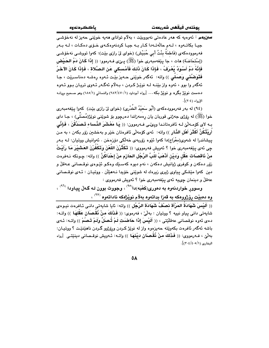**ستن یهم :** ئەرەبە کە مەر عادەتى نەبوربێت ، بەلاّم تواناى مەبە خوێنى حەيز لە نەخۆشى جيا بكاتهوه ، لهم حالّهتهدا كار به جيا كردنهوهكهى خـوّى دهكات ، لـه بـهر فهرموودهكهي (فَاطمَةُ بِنْتُ أَبِي حُبَيْشٍ) (خواي ليْ رازي بيّتٍ): كهوا تووشـي نهخوّشـي (إسْتحَاضَة) هات ، جا يێغەمبەرى خوا (ﷺ) يـێي فـﻪرموو: (( إِذَا كَانَ دَمُ الحَيْض فَإِنَّهُ دَمَّ ٱسْوَدٌ يُعْرَفُ ، فَإِذَا كَانَ ذَلِكَ فَأَمْسكي عَنِ الصَّلاة ، فَإِذَا كَانَ الآخَرُ فَتَوَضَّنَّى وَصَلِّي )) واته: ئەگەر خوێنى حـەيز بێت ئـەوە رەشـە دەناسـرێت ، جـا ئهگەر وا بوو ، ئەوە واز بێنـه لـه نوێـژ كـردن ، بـهلاّم ئەگـەر ئـهوى تريـان بـوو ئـهوه دهست نويْژ بگره و نويْژ بكه… [رواه أبوداود (١/٢٨٢/٤٧٠) والنسائي (١٨٥/١) وهو صحيح بروانـه  $\lbrack (7.8)$ 

(٩٤) له بهر فهرموودهکهي (أَبُو سَعيْدُ الخُدْرِي) (خواي ليّ رازي بيّت) کهوا پيّغهمبهري خوا (ﷺ) له رۆژي جەژنى قوربان يان رەمەزاندا دەرچوو بۆ شوێنى نوێژ(مُصَلِّي) ، جـا داي بـه لاي كۆمـەلْێ لـه ئافرەتانـدا ويىُنـى فـەرموون: (( بِيَا مَعْشَرَ الدِّساء تَـصَدَّقْنَ ، فَـاِنِّي اُرِيْتُكُنَّ أَكْثَرَ أَهْلِ النَّـار ِ )) واته: ئەي كۆمەلّى ئافرەتان خێر و بەخشىن زۆر بكەن ، بە مـن پيشاندرا له شەوي(معْرَاج)دا كەوا ئێوە زۆربەي خەلكى دۆزەخن . ئەوانىش ووتيان: لـه بـەر ِحِي نَهِي بِيْغهمبهري خوا ؟ ئهويش فهرمووي: (( تَكْتُرْنَ اللُّعْنَ وَتَكْفُرْنَ العَشَيْرَ مَا رَأَيْتُ منْ نَاقصَات عَقْل وَديْنِ أَذْهَبُ للَّبِّ الرَّجُلِ الحَارْمِ منْ إِحْدَاكُنَّ ﴾) واته: چـونكه نـهفرهت زۆر دەكەن و كوفرى ژيانيش دەكەن ، نەم دىيوە كەسىيْك وەكىو ئَيْـوەي نوقــصانى عــەقلْ و دين کهوا مێشکي پياوي ژيري زيرهك له شوێني خۆيدا نـههێڵن . ووټيـان : ئـهي نوقـصاني عهقلٌ و دينمان جيميه ئهي بيُغهمبهري خوا ؟ ئهويش فهرمووي :

وسوور خواردنهوه به دموري(کَعْبَه)دا<sup>(۹۵</sup>) ، وجووت بوون لـه گـهلٌ پيـاودا <sup>(۹٦)</sup> ، وه دهبيْت رِوْرُووهكه به قەزا بداتەوه بەلاّم نويْژەكە ناداتەوه <sup>(٩٧)</sup> ،

.<br>(( أَلَيْسَ شَهَادَةُ المَرْأَة نصنْفُ شَهَادَة الرَّجُل )) واته: ئايا شايهتى دانـى ئـافرەت نيـوهى شايەتى دانى يياو نييە ؟ ووتيان : بەلىؒ ، فەرموي: (( فَذَلِكَ منْ نُقْصِلَن عَقْلهَا )) واتـه: دەي ئەرە نوقصانى عەقلَيْتى ، (( أَلَيْسَ إِذَا حَاصْبَت لَمْ تُحصَلِّ وَلَمْ تَحصُمْ )) واتـه: ئـهى باشه ئهگەر ئافرەت بكەوێتە حەيزەوە واز لە نوێژ كردن ورێژوو گردن ناھێنێت ؟ ووتيـان: بهلْيٌ ، فـهرمووى: (( فَذَلِكَ مِنْ نُقْصَانِ دِيْنِهَا )) واتـه: ئـهويش نوقـصانى دينيّتـى [رواه البخاري (٢٠٤/٤٠٥/١)].

 $\Delta$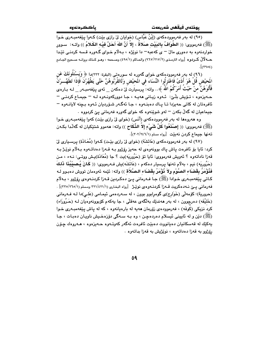(٩٥) له بهر فهرموودهکهي (إِبْنُ عَبَّاس) (خوايان ليّ رازي بێت) کـهوا پێغهمبـهري خـوا (ﷺ) فەرمووى: (( الطَّوَافُ بِالبَيْت صَلاةٌ ، إِلاَّ أَنَّ اللهَ أَحَلَّ فَيْـه الكَـلامُ )) واتـه: ۚ سـوور خواردنهوه به دهوری مالٌ – ی کهعبه– دا نوی٘ژه ، بـهلٌام خـوای گـهوره قـسه کردنـی تیٌدا حــه لْأَلْ كــردوه [رواه الترمـذى (٢/٧١٧/٢١٧) والحـاكم (١/٤٩٥) وصـححه ، وهـو كـذلك بروانـه صـحيح الجـامع  $\sqrt{(7902)}$ 

(٩٦) له بهرِ فهرموودهٖکهی خوای گهوره له سورهتی (البقرة: ٢٢٢)دا ﴿ وَيَسْئُلُونَكَ عَن الَمحيْضِ قُلْ هُوَ أَذَىً فَاعْتَزِلُوا النِّسَاءَ في المَحيْضِ وَلَاتَقْرَبُوهُنَّ حَتَّى يَطْهُرْنَ فَإِذَا تَطَهَّــرْنَ فَأْتُوَهُنَّ منْ حَيْثُ أَمَرَكُمُ اللّهُ ﴾.. واته: برسيارت َلىٰ دهكهن \_ ئهى پێغهمبـهر \_ لـه بـارهى حـه يزهوه ، تــوّيش بلّـيّ: ئــهوه زيـاني ههيـه ، جـا دووركهونـهوه لـه – جيمـاع كردنـي – ئافرەتان لە كاتى چەيزدا تـا يـاك دەبنـەوە ، جـا ئەگـەر شـۆرديان ئـەوە بـچنە لايانـەوە – جيماعيان له گهڵ بکهن – لهو شوێنهوه که خوای گهوره فهرمانی يێ کردووه .

وه ههروهها له بهر فهرموودهكهي (أنَّس) (خواي ليِّ رازي بيِّت) كهوا ييِّغهمبـهري خـوا (ﷺ) فەرمووى: (( إصْنَعُوا كُلَّ شَيْءٍ إلاّ الذِّكَاح )) واتە: ھەموو شتێكيان لە گەلّدا بكـەن ته نها جيماع كردن نه بيّت [رواه مسلم (٢٠٢/٢٤٦/١)].

(٩٧) له بهر فهرموودهكهى (عَائشَة) (خواى ليِّ رازي بيِّت) كـهوا (مُعَـانَة) پرسـياري ليّ کرد: ئايا بۆ ئافرەت ياش ياك بوونەوەي لە حەيز رۆژوو بـه قـەزا دەداتـەوە بـەلاّم نويْـژ بـه قەزا ناداتەوە ؟ ئەويش فەرمووى: ئايا تۆ (حَرُوريَه)يت ؟ جا (مُعَانَة)يـش ووتــى: نــهء ، مـن (حَرُوريَه) نيم ، بهلام تەنھا پرسيار دەكەم ، (عَائشَه)يش فــهرمووى: (( كَـانَ يُـصيْبُـنَا لَاللَهَ فَذُوِّمَرُ بِقَضَاء الصَّوْمِ ولاَ نُؤْمَرُ بِقَضَاء الصَّلاَة )) واته: ئيّمه ئەوەمان تووش دەبـوو لـه کـاتي پێفهمبـهري خـوادا (ﷺ) جـا فـهرماني پـێ دهکـردين قـهزا کردنـهوهي رۆژوو ، بـهلام فه رماني يـێ نـه٥دكريت قـهزا كردنـهوهي نويْـِرْ [رواه البخاري (٢٢١/٤٢١/١ ومسلم (٢٦٥/٢٦٥/١)] . (حرورية): كۆمەلى (خَوَارج)ى گومرابوو بوون ، له سـەردەمى ئيمـامى (عَلـى)دا لـه فـەرمانى (خَلَيْفَه) دهرچوون ، له بهر ههندێك بهالگهى عهقلْمي ، جا يهكهم كۆبوونهوهيان لـه (حَـرُورَاء) کرد نزیکی (کُوفَه) ، فهرموودهی زۆرمان هەیه له بارەیانەوه ، که له پاش پێغهمبـهری خـوا (ﷺ) دێن و له ئاييني ئيسلام دەردەچن ، وه بـه سـهگي دۆزەخـيش ناويـان دەبـات ، جـا پەكێك لە قەسكانيان دەپانووت دەبێت ئافرەت ئەگەر كەوتـەوە ھـەيزەوە ، ھـەروەك چـۆن رۆژوو به قەزا دەداتەوە ، نوێژپش بە قەزا بداتەوە .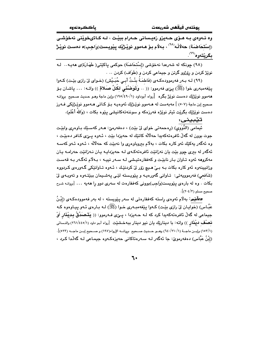باككردنهوه

وه ئـهوهي بـه هــوّي حــهيزو زهيــساني حــهرام ببيّـت ، لــه كــاتيخويّني نهخوّشــي (إسْتَحَاضَة) حەلاْلْە<sup>‹^^</sup>› بەلاّم بىق ھەموق نويْـژێك پێويـست(وَاجِب)ە دەست نويّـژ **بگريٽەوه<sup>(۹۹)</sup>.** 

(٩٨) جونكه له شەرعدا نەخۆشى (إسْتحَاضَة) حوكمى ياكێتى( طَهَـارَة)ى ھەيـە.. لـه نوێژ کردن و رۆژوو گرتن و جیماعی کردن و (طَوَاف) کردن .. .

(٩٩) لـه بـهر فهرموودهكـهى (فَاطمَـةُ بِنْـتُ أَبـي حُبَـيْش) (خـواى ليّ رازى بيّـت) كـهوا يێِغەمبەرى خوا (ﷺ) يێي فەرموو: (( .. وَتَوَصَّنَّى لكُلِّ صَلاقٍ )) واتـه: ... ياشـان بـوّ ههموو نوێژێك دەست نوێژ بگرە [رواه أبوداود (١/٤٩٠/١) وإبن ماجة وهـو حـديث صـحيح بروانــه صحیح اِبن ماجة (٥٠٧) ] مەبەست لە ھـﻪموو نوێژێك ئەوەپـﻪ بـۆ كـﺎتى ھـﻪموو نوێژێكى فـﻪرز دەست نوێژێك بگرێِت ئىيتر نوێژە فەرزەكە و سوننەتەكانىشى يـێوە بكات ، (وَاللهُ أَعْلَم).

تێبينى:

ئیمامی (النُّوَوی) (رەحمەتی خوای لیْ بیْت) ، دەفەرمیؒ: هـەر كەسىیّك بـاوەڕى وابیٚت جوت بوون له گەلْ ئافرەتەكەيدا حەلالْه كاتێك لە حەيزدا بێت ، ئـەوە يـێي كـافر دەبێت ، وه ئەگەر يەكێك ئەو كارە بكات ، بەلام بېروباوەرى وا نەبێت كە حەلالە ، ئـەوە ئـەو كەسـە ئەگەر لە بىرى چور بێت يان نەزانێت ئافرەتەكەي لـە حەيزدايـە يـان نـەزانێت حەرامـە يـان مهکروهه ئهوه تـاوان بـار نابێت و کهففارهتیـشی لـه سـهر نییـه ، بـهلام ئهگـهر بـه قهسـت وزانيينهوه ئهو کاره بکات بـه بـيِّ هـيـچ زۆر ليِّ کردنٽِك ، ئـهوه تـاوانٽِکي گـهورهي کـردووه (شَافعی) فەرموويەتى: تاوانى گەورەپ وويٽوپستە لێی پەشىيمان بېێتەوە وتەوبەي لێ بکات . وه له بارهي پێويست(وَاجِب)بووني کهففارهت له سهري دوو را ههيه … [بروانـه شـرح  $\cdot$ (۲۰٤/۳).

*دهآییم*: بهلام ئەوەی راستە كەففارەتى لە سەر پێویستە ، لە بەر فەموودەكەی (إبْـنُ عَبَّـاس) (خوايـان ليٌ رازي بێـت) كـهوا يێغهمبـهري خـوا (ﷺ) لـه بـارهي ئـهو ييـاوهوه كـه جيماعي له گەڵ ئافرەتەكەيدا كرد كە لـه حـەيزدا ، يــێى فـەرموو: (( يَتَـَصَدَّقُ بِـديْنَار أَوْ نصلْف ديْنَار )) واته: با ديناريْك يان نيو دينار ببهخشيْت [رواه أبو داود (٢٦١/٤٤٥/١) والنسائي (١٥٣/١) وإبــن ماجــة (١٤٠/٢١٠/١) وهــو حــديث صــحيح برِوانــه الإرواء(١٩٧) و صــحيح إبــن ماجــه (٥٢٣)]. (إِبْنُ عَبَّاس) دەڧەرموێ: جا ئەگەر لـﻪ سـﻪرەتاكانى حەيزەكـﻪوە جيمـاعى لـﻪ گەڵدا كـرد ،

٦.